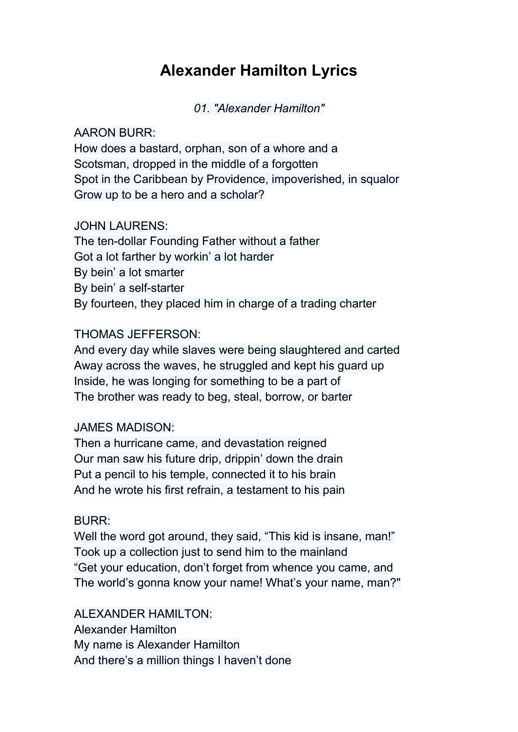# **Alexander Hamilton Lyrics**

*01. "Alexander Hamilton"* 

#### AARON BURR:

How does a bastard, orphan, son of a whore and a Scotsman, dropped in the middle of a forgotten Spot in the Caribbean by Providence, impoverished, in squalor Grow up to be a hero and a scholar?

#### JOHN LAURENS:

The ten-dollar Founding Father without a father Got a lot farther by workin' a lot harder By bein' a lot smarter By bein' a self-starter By fourteen, they placed him in charge of a trading charter

### THOMAS JEFFERSON:

And every day while slaves were being slaughtered and carted Away across the waves, he struggled and kept his guard up Inside, he was longing for something to be a part of The brother was ready to beg, steal, borrow, or barter

### JAMES MADISON:

Then a hurricane came, and devastation reigned Our man saw his future drip, drippin' down the drain Put a pencil to his temple, connected it to his brain And he wrote his first refrain, a testament to his pain

### BURR:

Well the word got around, they said, "This kid is insane, man!" Took up a collection just to send him to the mainland "Get your education, don't forget from whence you came, and The world's gonna know your name! What's your name, man?"

ALEXANDER HAMILTON: Alexander Hamilton My name is Alexander Hamilton And there's a million things I haven't done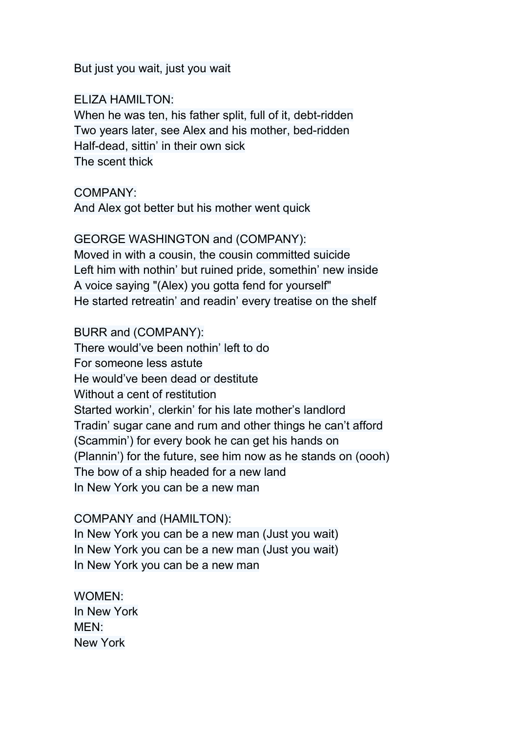But just you wait, just you wait

ELIZA HAMILTON: When he was ten, his father split, full of it, debt-ridden

Two years later, see Alex and his mother, bed-ridden Half-dead, sittin' in their own sick The scent thick

COMPANY:

And Alex got better but his mother went quick

GEORGE WASHINGTON and (COMPANY): Moved in with a cousin, the cousin committed suicide Left him with nothin' but ruined pride, somethin' new inside A voice saying "(Alex) you gotta fend for yourself" He started retreatin' and readin' every treatise on the shelf

BURR and (COMPANY): There would've been nothin' left to do For someone less astute He would've been dead or destitute Without a cent of restitution Started workin', clerkin' for his late mother's landlord Tradin' sugar cane and rum and other things he can't afford (Scammin') for every book he can get his hands on (Plannin') for the future, see him now as he stands on (oooh) The bow of a ship headed for a new land In New York you can be a new man

COMPANY and (HAMILTON): In New York you can be a new man (Just you wait) In New York you can be a new man (Just you wait) In New York you can be a new man

WOMEN: In New York MEN: New York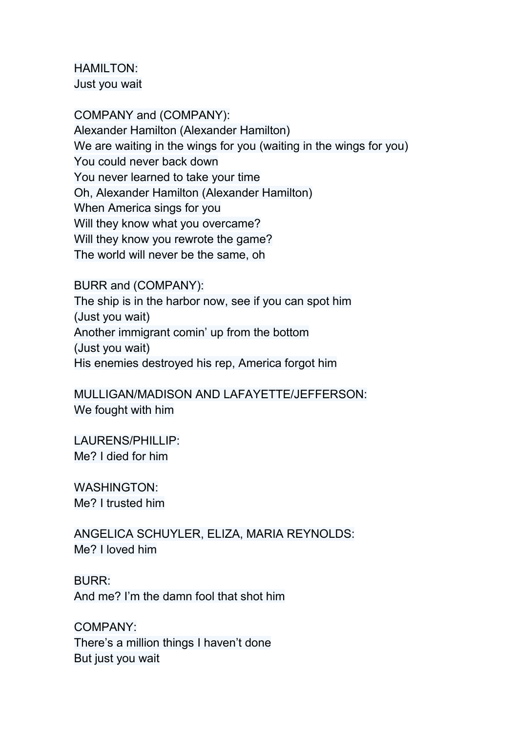HAMILTON: Just you wait

COMPANY and (COMPANY): Alexander Hamilton (Alexander Hamilton) We are waiting in the wings for you (waiting in the wings for you) You could never back down You never learned to take your time Oh, Alexander Hamilton (Alexander Hamilton) When America sings for you Will they know what you overcame? Will they know you rewrote the game? The world will never be the same, oh

BURR and (COMPANY): The ship is in the harbor now, see if you can spot him (Just you wait) Another immigrant comin' up from the bottom (Just you wait) His enemies destroyed his rep, America forgot him

MULLIGAN/MADISON AND LAFAYETTE/JEFFERSON: We fought with him

LAURENS/PHILLIP: Me? I died for him

WASHINGTON: Me? I trusted him

ANGELICA SCHUYLER, ELIZA, MARIA REYNOLDS: Me? I loved him

BURR: And me? I'm the damn fool that shot him

COMPANY: There's a million things I haven't done But just you wait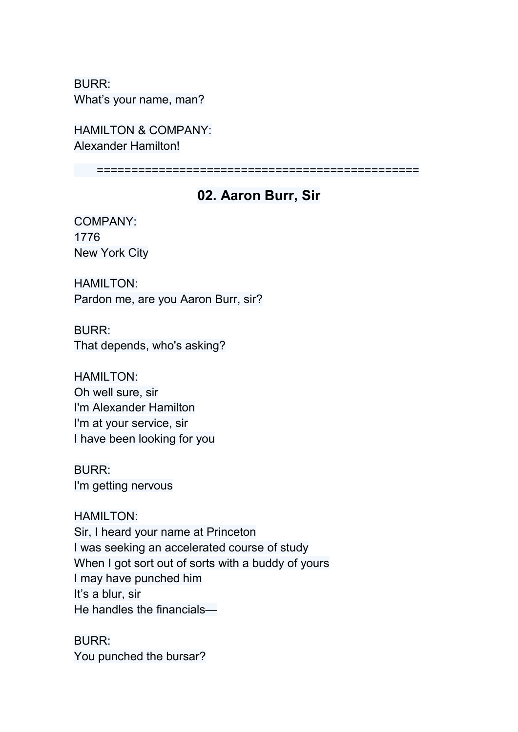BURR: What's your name, man?

HAMILTON & COMPANY: Alexander Hamilton!

===============================================

# **02. Aaron Burr, Sir**

COMPANY: 1776 New York City

HAMILTON: Pardon me, are you Aaron Burr, sir?

BURR: That depends, who's asking?

HAMILTON: Oh well sure, sir I'm Alexander Hamilton I'm at your service, sir I have been looking for you

BURR: I'm getting nervous

HAMILTON: Sir, I heard your name at Princeton I was seeking an accelerated course of study When I got sort out of sorts with a buddy of yours I may have punched him It's a blur, sir He handles the financials—

BURR: You punched the bursar?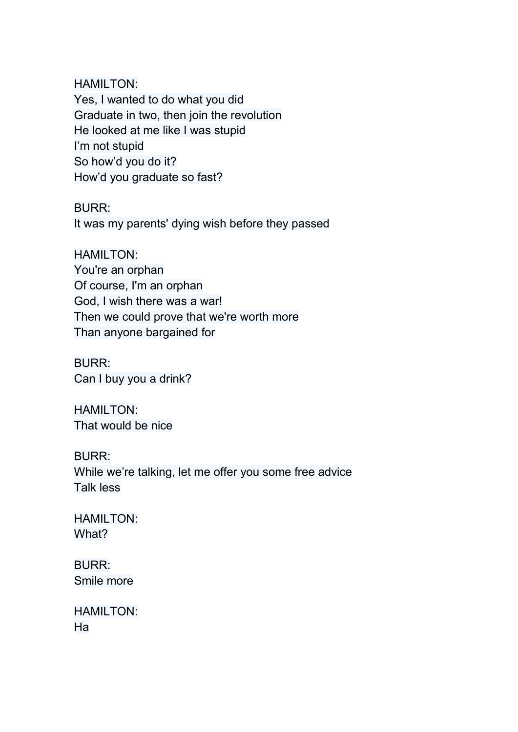HAMILTON:

Yes, I wanted to do what you did Graduate in two, then join the revolution He looked at me like I was stupid I'm not stupid So how'd you do it? How'd you graduate so fast?

BURR:

It was my parents' dying wish before they passed

HAMILTON: You're an orphan Of course, I'm an orphan God, I wish there was a war! Then we could prove that we're worth more Than anyone bargained for

BURR: Can I buy you a drink?

HAMILTON: That would be nice

BURR: While we're talking, let me offer you some free advice Talk less

HAMILTON: What?

BURR: Smile more

HAMILTON: Ha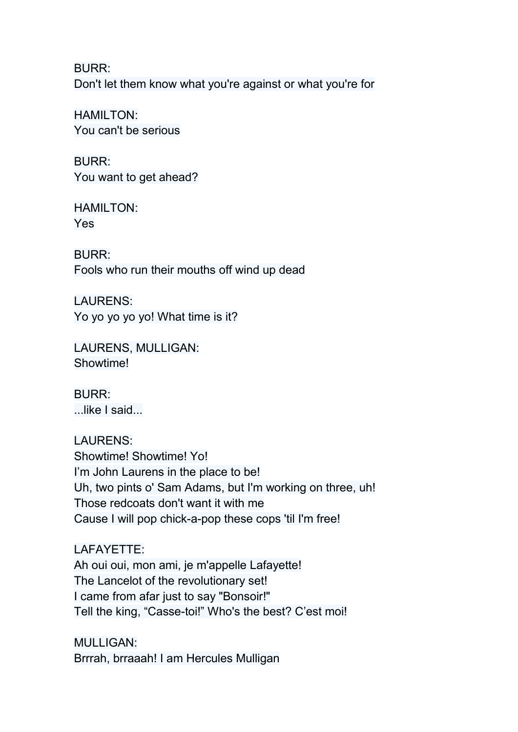BURR: Don't let them know what you're against or what you're for

HAMILTON: You can't be serious

BURR: You want to get ahead?

HAMILTON<sup>.</sup> Yes

BURR: Fools who run their mouths off wind up dead

LAURENS: Yo yo yo yo yo! What time is it?

LAURENS, MULLIGAN: Showtime!

BURR: ...like I said...

LAURENS: Showtime! Showtime! Yo! I'm John Laurens in the place to be! Uh, two pints o' Sam Adams, but I'm working on three, uh! Those redcoats don't want it with me Cause I will pop chick-a-pop these cops 'til I'm free!

LAFAYETTE: Ah oui oui, mon ami, je m'appelle Lafayette! The Lancelot of the revolutionary set! I came from afar just to say "Bonsoir!" Tell the king, "Casse-toi!" Who's the best? C'est moi!

MULLIGAN<sup>.</sup> Brrrah, brraaah! I am Hercules Mulligan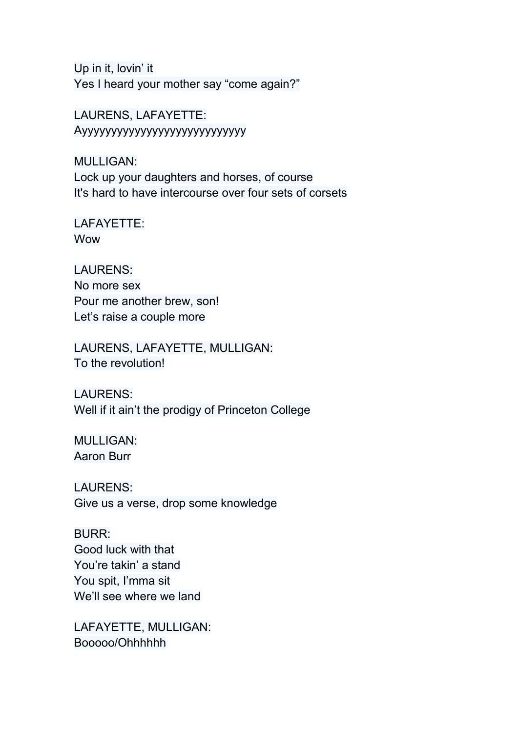Up in it, lovin' it Yes I heard your mother say "come again?"

LAURENS, LAFAYETTE: Ayyyyyyyyyyyyyyyyyyyyyyyyyyyy

MULLIGAN: Lock up your daughters and horses, of course It's hard to have intercourse over four sets of corsets

LAFAYETTE: **Wow** 

LAURENS: No more sex Pour me another brew, son! Let's raise a couple more

LAURENS, LAFAYETTE, MULLIGAN: To the revolution!

LAURENS: Well if it ain't the prodigy of Princeton College

MULLIGAN: Aaron Burr

LAURENS: Give us a verse, drop some knowledge

BURR: Good luck with that You're takin' a stand You spit, I'mma sit We'll see where we land

LAFAYETTE, MULLIGAN: Booooo/Ohhhhhh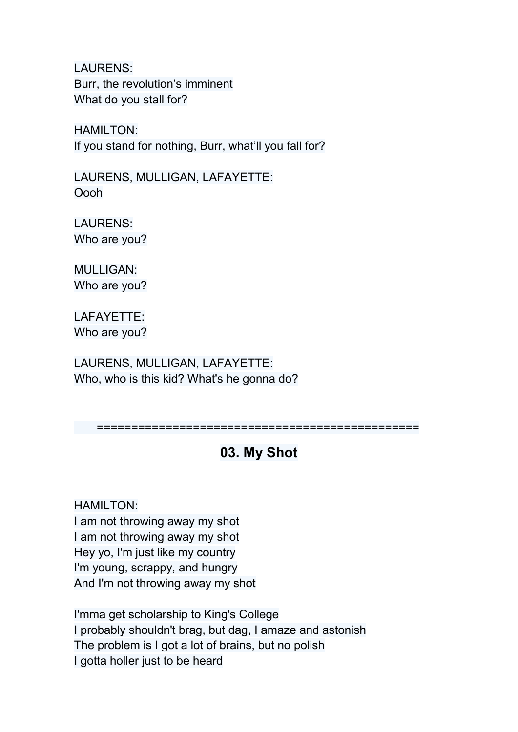LAURENS: Burr, the revolution's imminent What do you stall for?

HAMILTON<sup>.</sup> If you stand for nothing, Burr, what'll you fall for?

LAURENS, MULLIGAN, LAFAYETTE: Oooh

LAURENS: Who are you?

MULLIGAN: Who are you?

LAFAYETTE: Who are you?

LAURENS, MULLIGAN, LAFAYETTE: Who, who is this kid? What's he gonna do?

===============================================

# **03. My Shot**

HAMILTON: I am not throwing away my shot I am not throwing away my shot Hey yo, I'm just like my country I'm young, scrappy, and hungry And I'm not throwing away my shot

I'mma get scholarship to King's College I probably shouldn't brag, but dag, I amaze and astonish The problem is I got a lot of brains, but no polish I gotta holler just to be heard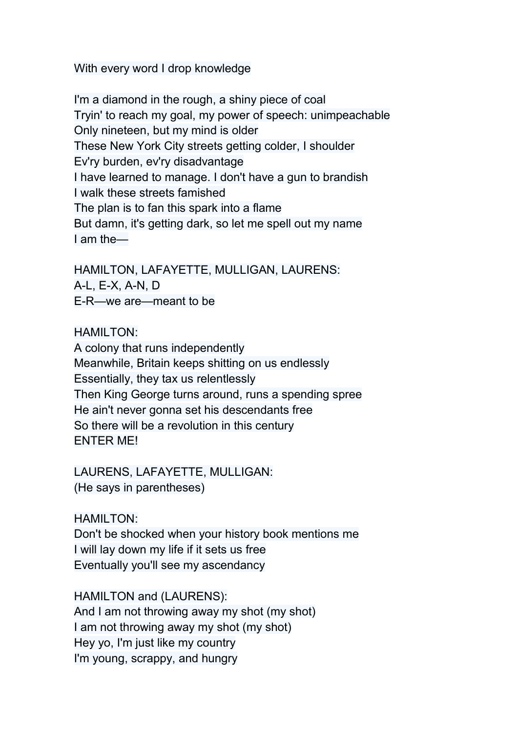With every word I drop knowledge

I'm a diamond in the rough, a shiny piece of coal Tryin' to reach my goal, my power of speech: unimpeachable Only nineteen, but my mind is older These New York City streets getting colder, I shoulder Ev'ry burden, ev'ry disadvantage I have learned to manage. I don't have a gun to brandish I walk these streets famished The plan is to fan this spark into a flame But damn, it's getting dark, so let me spell out my name I am the—

HAMILTON, LAFAYETTE, MULLIGAN, LAURENS: A-L, E-X, A-N, D E-R—we are—meant to be

HAMILTON:

A colony that runs independently Meanwhile, Britain keeps shitting on us endlessly Essentially, they tax us relentlessly Then King George turns around, runs a spending spree He ain't never gonna set his descendants free So there will be a revolution in this century ENTER ME!

LAURENS, LAFAYETTE, MULLIGAN: (He says in parentheses)

HAMILTON: Don't be shocked when your history book mentions me I will lay down my life if it sets us free Eventually you'll see my ascendancy

HAMILTON and (LAURENS): And I am not throwing away my shot (my shot) I am not throwing away my shot (my shot) Hey yo, I'm just like my country I'm young, scrappy, and hungry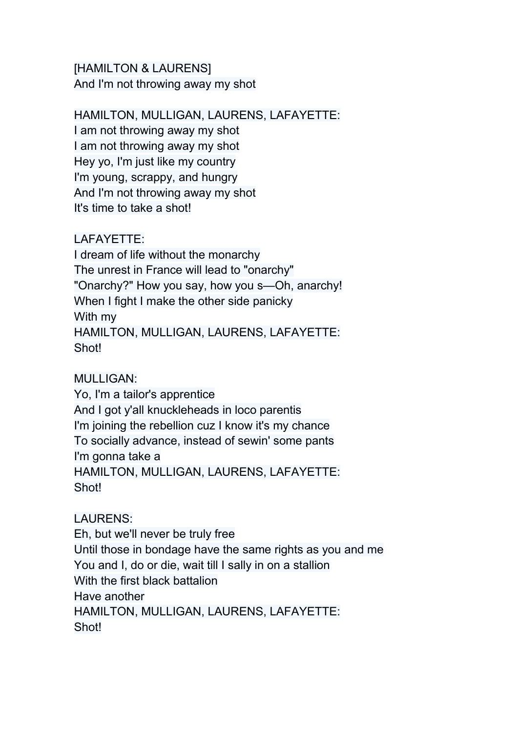[HAMILTON & LAURENS] And I'm not throwing away my shot

HAMILTON, MULLIGAN, LAURENS, LAFAYETTE: I am not throwing away my shot I am not throwing away my shot Hey yo, I'm just like my country I'm young, scrappy, and hungry And I'm not throwing away my shot It's time to take a shot!

### LAFAYETTE:

I dream of life without the monarchy The unrest in France will lead to "onarchy" "Onarchy?" How you say, how you s—Oh, anarchy! When I fight I make the other side panicky With my HAMILTON, MULLIGAN, LAURENS, LAFAYETTE: Shot!

### MULLIGAN:

Yo, I'm a tailor's apprentice And I got y'all knuckleheads in loco parentis I'm joining the rebellion cuz I know it's my chance To socially advance, instead of sewin' some pants I'm gonna take a HAMILTON, MULLIGAN, LAURENS, LAFAYETTE: Shot!

### LAURENS:

Eh, but we'll never be truly free Until those in bondage have the same rights as you and me You and I, do or die, wait till I sally in on a stallion With the first black battalion Have another HAMILTON, MULLIGAN, LAURENS, LAFAYETTE: **Shot!**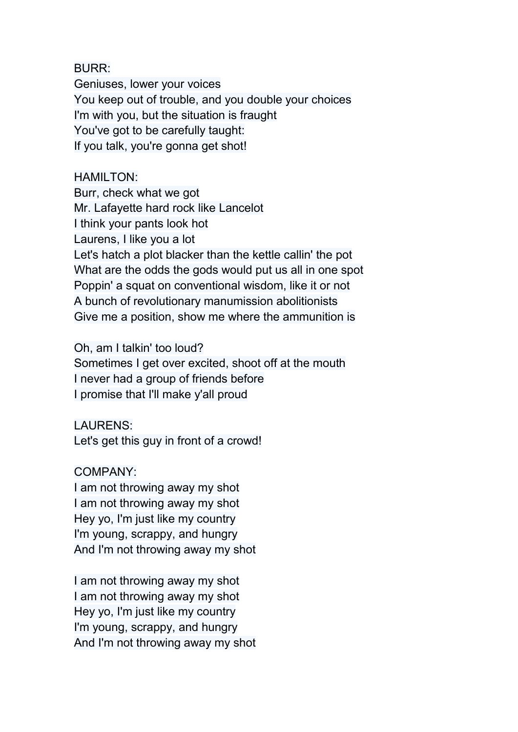BURR:

Geniuses, lower your voices You keep out of trouble, and you double your choices I'm with you, but the situation is fraught You've got to be carefully taught: If you talk, you're gonna get shot!

HAMILTON:

Burr, check what we got Mr. Lafayette hard rock like Lancelot I think your pants look hot Laurens, I like you a lot Let's hatch a plot blacker than the kettle callin' the pot What are the odds the gods would put us all in one spot Poppin' a squat on conventional wisdom, like it or not A bunch of revolutionary manumission abolitionists Give me a position, show me where the ammunition is

Oh, am I talkin' too loud?

Sometimes I get over excited, shoot off at the mouth I never had a group of friends before I promise that I'll make y'all proud

LAURENS: Let's get this guy in front of a crowd!

### COMPANY:

I am not throwing away my shot I am not throwing away my shot Hey yo, I'm just like my country I'm young, scrappy, and hungry And I'm not throwing away my shot

I am not throwing away my shot I am not throwing away my shot Hey yo, I'm just like my country I'm young, scrappy, and hungry And I'm not throwing away my shot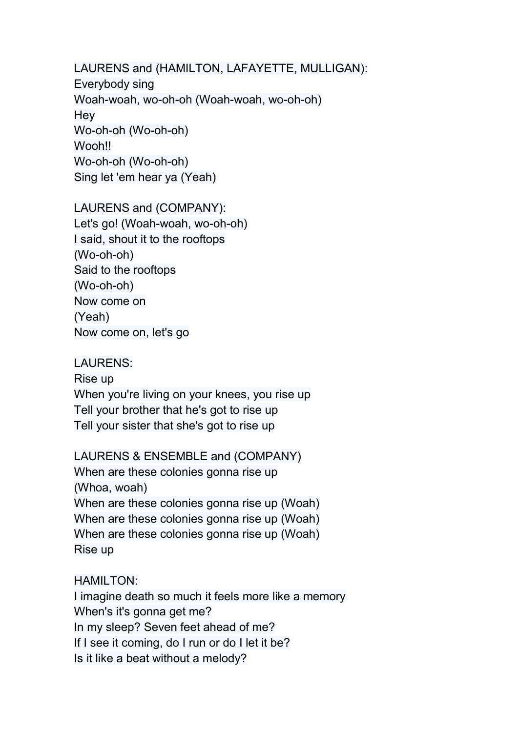LAURENS and (HAMILTON, LAFAYETTE, MULLIGAN): Everybody sing Woah-woah, wo-oh-oh (Woah-woah, wo-oh-oh) Hey Wo-oh-oh (Wo-oh-oh) Wooh!! Wo-oh-oh (Wo-oh-oh) Sing let 'em hear ya (Yeah)

LAURENS and (COMPANY): Let's go! (Woah-woah, wo-oh-oh) I said, shout it to the rooftops (Wo-oh-oh) Said to the rooftops (Wo-oh-oh) Now come on (Yeah) Now come on, let's go

LAURENS: Rise up When you're living on your knees, you rise up Tell your brother that he's got to rise up Tell your sister that she's got to rise up

LAURENS & ENSEMBLE and (COMPANY) When are these colonies gonna rise up (Whoa, woah) When are these colonies gonna rise up (Woah) When are these colonies gonna rise up (Woah) When are these colonies gonna rise up (Woah) Rise up

HAMILTON:

I imagine death so much it feels more like a memory When's it's gonna get me? In my sleep? Seven feet ahead of me? If I see it coming, do I run or do I let it be? Is it like a beat without a melody?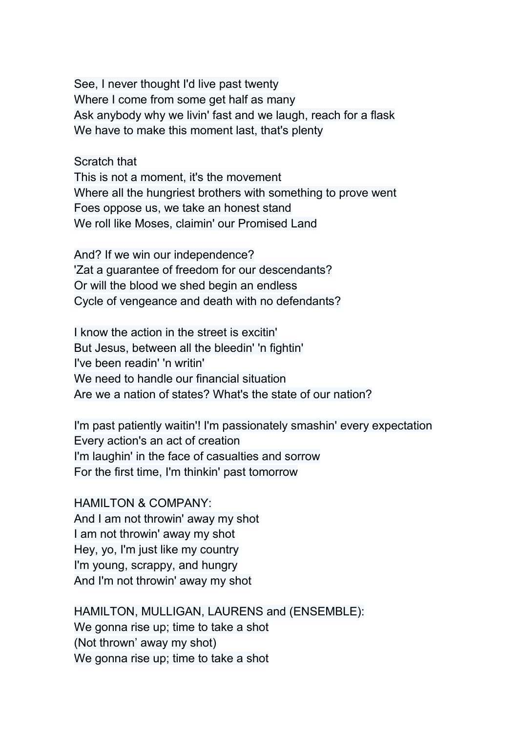See, I never thought I'd live past twenty Where I come from some get half as many Ask anybody why we livin' fast and we laugh, reach for a flask We have to make this moment last, that's plenty

Scratch that

This is not a moment, it's the movement Where all the hungriest brothers with something to prove went Foes oppose us, we take an honest stand We roll like Moses, claimin' our Promised Land

And? If we win our independence? 'Zat a guarantee of freedom for our descendants? Or will the blood we shed begin an endless Cycle of vengeance and death with no defendants?

I know the action in the street is excitin' But Jesus, between all the bleedin' 'n fightin' I've been readin' 'n writin' We need to handle our financial situation Are we a nation of states? What's the state of our nation?

I'm past patiently waitin'! I'm passionately smashin' every expectation Every action's an act of creation I'm laughin' in the face of casualties and sorrow For the first time, I'm thinkin' past tomorrow

#### HAMILTON & COMPANY:

And I am not throwin' away my shot I am not throwin' away my shot Hey, yo, I'm just like my country I'm young, scrappy, and hungry And I'm not throwin' away my shot

HAMILTON, MULLIGAN, LAURENS and (ENSEMBLE): We gonna rise up; time to take a shot (Not thrown' away my shot) We gonna rise up; time to take a shot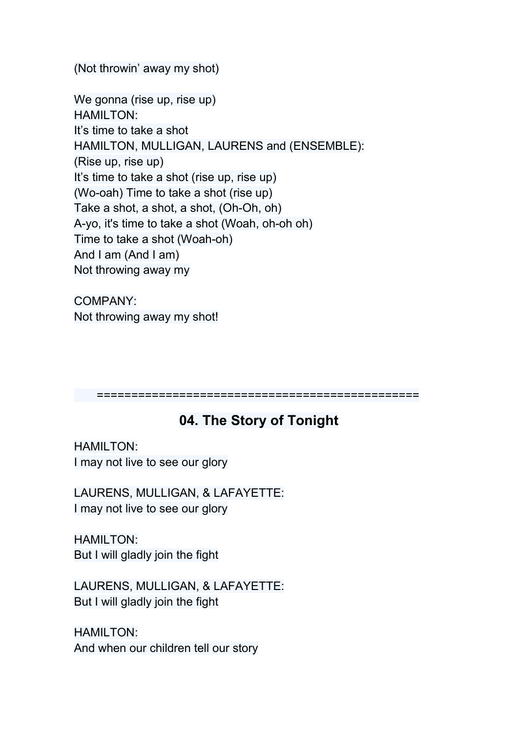(Not throwin' away my shot)

We gonna (rise up, rise up) HAMILTON: It's time to take a shot HAMILTON, MULLIGAN, LAURENS and (ENSEMBLE): (Rise up, rise up) It's time to take a shot (rise up, rise up) (Wo-oah) Time to take a shot (rise up) Take a shot, a shot, a shot, (Oh-Oh, oh) A-yo, it's time to take a shot (Woah, oh-oh oh) Time to take a shot (Woah-oh) And I am (And I am) Not throwing away my

COMPANY: Not throwing away my shot!

#### ===============================================

### **04. The Story of Tonight**

HAMILTON: I may not live to see our glory

LAURENS, MULLIGAN, & LAFAYETTE: I may not live to see our glory

HAMILTON: But I will gladly join the fight

LAURENS, MULLIGAN, & LAFAYETTE: But I will gladly join the fight

HAMILTON: And when our children tell our story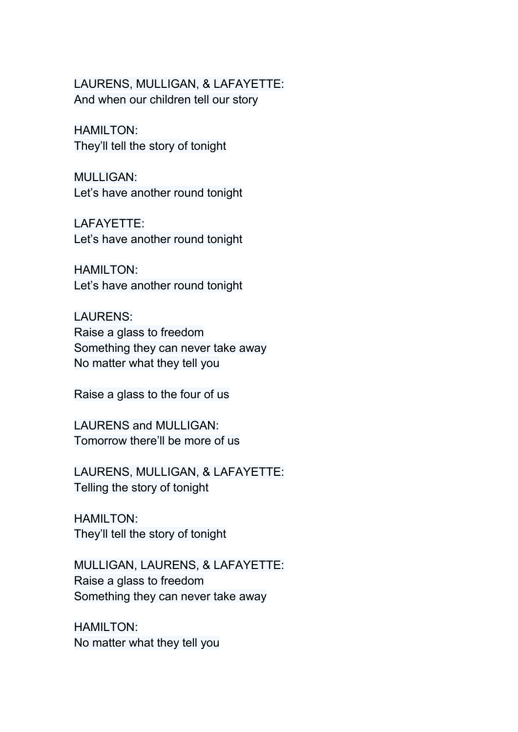LAURENS, MULLIGAN, & LAFAYETTE: And when our children tell our story

HAMILTON<sup>.</sup> They'll tell the story of tonight

MULLIGAN: Let's have another round tonight

LAFAYETTE: Let's have another round tonight

HAMILTON: Let's have another round tonight

LAURENS: Raise a glass to freedom Something they can never take away No matter what they tell you

Raise a glass to the four of us

LAURENS and MULLIGAN: Tomorrow there'll be more of us

LAURENS, MULLIGAN, & LAFAYETTE: Telling the story of tonight

HAMILTON: They'll tell the story of tonight

MULLIGAN, LAURENS, & LAFAYETTE: Raise a glass to freedom Something they can never take away

HAMILTON<sup>.</sup> No matter what they tell you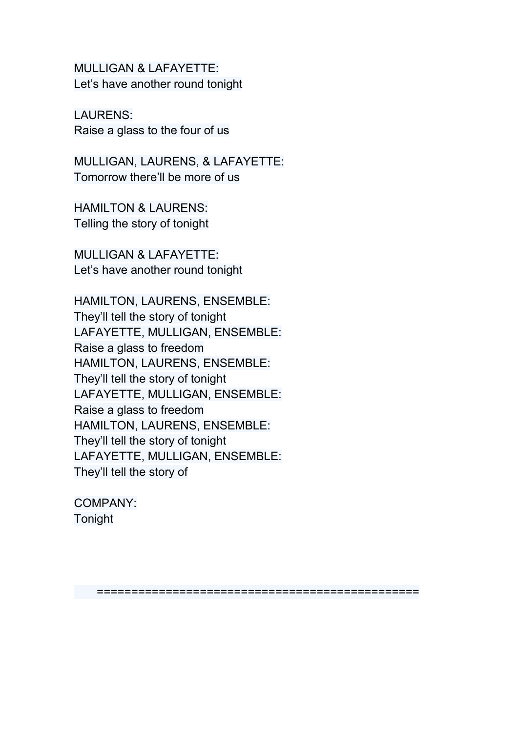MULLIGAN & LAFAYETTE: Let's have another round tonight

LAURENS: Raise a glass to the four of us

MULLIGAN, LAURENS, & LAFAYETTE: Tomorrow there'll be more of us

HAMILTON & LAURENS: Telling the story of tonight

MULLIGAN & LAFAYETTE: Let's have another round tonight

HAMILTON, LAURENS, ENSEMBLE: They'll tell the story of tonight LAFAYETTE, MULLIGAN, ENSEMBLE: Raise a glass to freedom HAMILTON, LAURENS, ENSEMBLE: They'll tell the story of tonight LAFAYETTE, MULLIGAN, ENSEMBLE: Raise a glass to freedom HAMILTON, LAURENS, ENSEMBLE: They'll tell the story of tonight LAFAYETTE, MULLIGAN, ENSEMBLE: They'll tell the story of

COMPANY: **Tonight** 

===============================================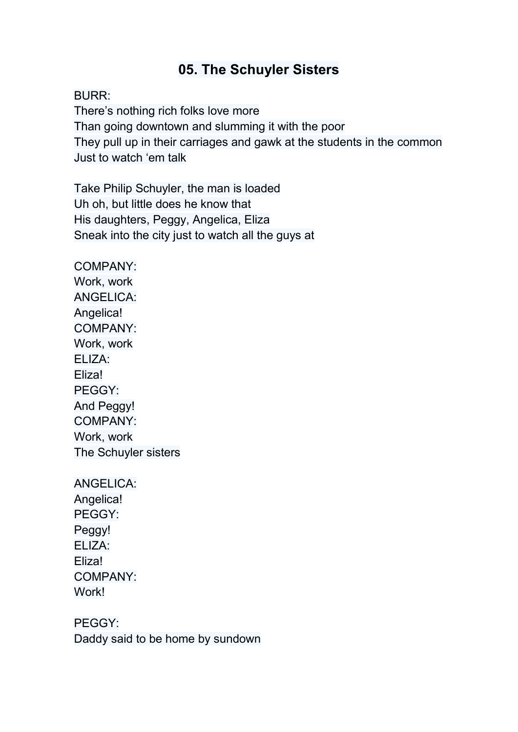# **05. The Schuyler Sisters**

### BURR:

There's nothing rich folks love more Than going downtown and slumming it with the poor They pull up in their carriages and gawk at the students in the common Just to watch 'em talk

Take Philip Schuyler, the man is loaded Uh oh, but little does he know that His daughters, Peggy, Angelica, Eliza Sneak into the city just to watch all the guys at

COMPANY: Work, work ANGELICA: Angelica! COMPANY: Work, work ELIZA: Eliza! PEGGY: And Peggy! COMPANY: Work, work The Schuyler sisters

ANGELICA: Angelica! PEGGY: Peggy! ELIZA: Eliza! COMPANY: Work!

PEGGY: Daddy said to be home by sundown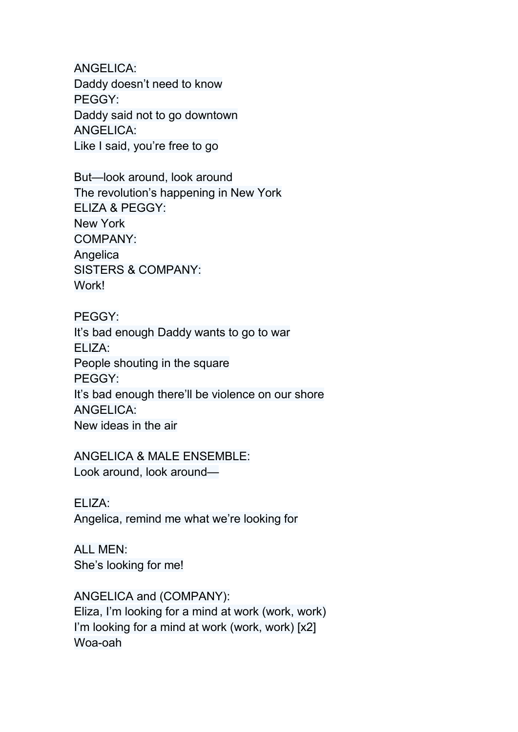ANGELICA: Daddy doesn't need to know PEGGY: Daddy said not to go downtown ANGELICA: Like I said, you're free to go

But—look around, look around The revolution's happening in New York ELIZA & PEGGY: New York COMPANY: Angelica SISTERS & COMPANY: Work!

PEGGY: It's bad enough Daddy wants to go to war  $FI$  IZA: People shouting in the square PEGGY: It's bad enough there'll be violence on our shore ANGELICA: New ideas in the air

ANGELICA & MALE ENSEMBLE: Look around, look around—

 $FI$  IZA: Angelica, remind me what we're looking for

ALL MEN<sup>.</sup> She's looking for me!

ANGELICA and (COMPANY): Eliza, I'm looking for a mind at work (work, work) I'm looking for a mind at work (work, work) [x2] Woa-oah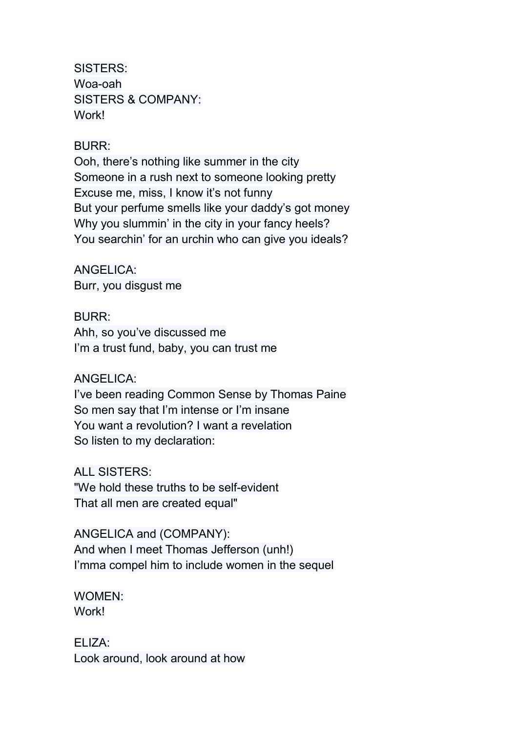SISTERS: Woa-oah SISTERS & COMPANY: Work!

#### BURR:

Ooh, there's nothing like summer in the city Someone in a rush next to someone looking pretty Excuse me, miss, I know it's not funny But your perfume smells like your daddy's got money Why you slummin' in the city in your fancy heels? You searchin' for an urchin who can give you ideals?

ANGELICA: Burr, you disgust me

BURR: Ahh, so you've discussed me I'm a trust fund, baby, you can trust me

#### ANGELICA:

I've been reading Common Sense by Thomas Paine So men say that I'm intense or I'm insane You want a revolution? I want a revelation So listen to my declaration:

ALL SISTERS: "We hold these truths to be self-evident That all men are created equal"

ANGELICA and (COMPANY): And when I meet Thomas Jefferson (unh!) I'mma compel him to include women in the sequel

WOMEN: Work!

 $FI$  IZA: Look around, look around at how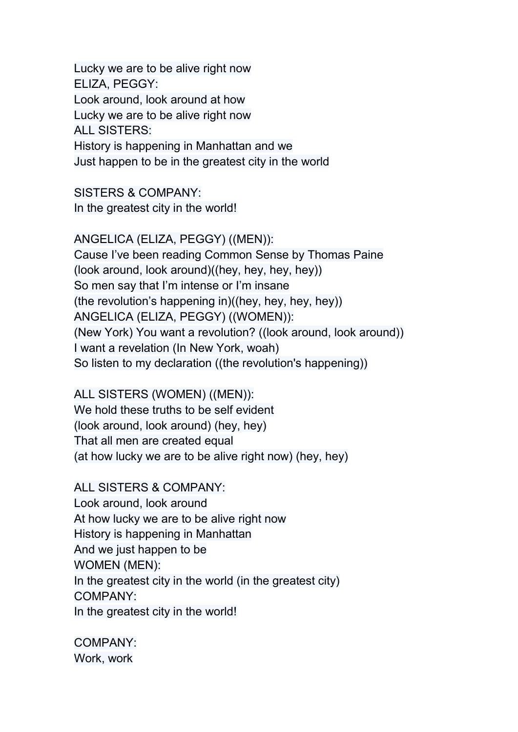Lucky we are to be alive right now ELIZA, PEGGY: Look around, look around at how Lucky we are to be alive right now ALL SISTERS: History is happening in Manhattan and we Just happen to be in the greatest city in the world

SISTERS & COMPANY: In the greatest city in the world!

ANGELICA (ELIZA, PEGGY) ((MEN)): Cause I've been reading Common Sense by Thomas Paine (look around, look around)((hey, hey, hey, hey)) So men say that I'm intense or I'm insane (the revolution's happening in)((hey, hey, hey, hey)) ANGELICA (ELIZA, PEGGY) ((WOMEN)): (New York) You want a revolution? ((look around, look around)) I want a revelation (In New York, woah) So listen to my declaration ((the revolution's happening))

ALL SISTERS (WOMEN) ((MEN)): We hold these truths to be self evident (look around, look around) (hey, hey) That all men are created equal (at how lucky we are to be alive right now) (hey, hey)

ALL SISTERS & COMPANY: Look around, look around At how lucky we are to be alive right now History is happening in Manhattan And we just happen to be WOMEN (MEN): In the greatest city in the world (in the greatest city) COMPANY: In the greatest city in the world!

COMPANY: Work, work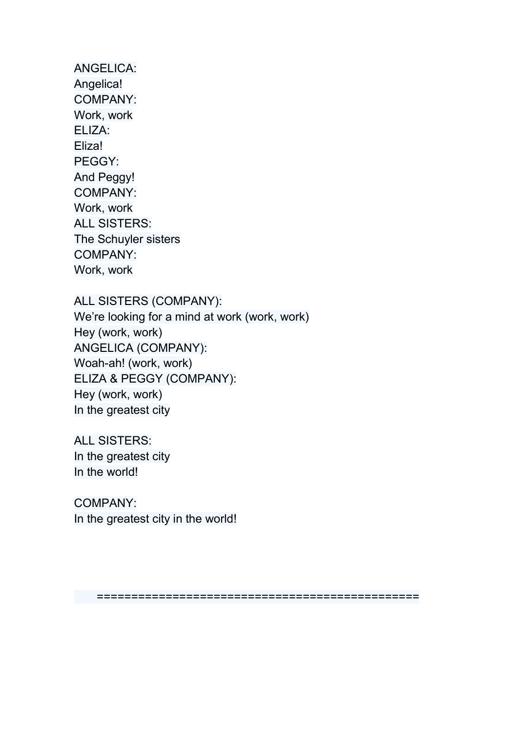ANGELICA: Angelica! COMPANY: Work, work ELIZA: Eliza! PEGGY: And Peggy! COMPANY: Work, work ALL SISTERS: The Schuyler sisters COMPANY: Work, work

ALL SISTERS (COMPANY): We're looking for a mind at work (work, work) Hey (work, work) ANGELICA (COMPANY): Woah-ah! (work, work) ELIZA & PEGGY (COMPANY): Hey (work, work) In the greatest city

ALL SISTERS: In the greatest city In the world!

COMPANY: In the greatest city in the world!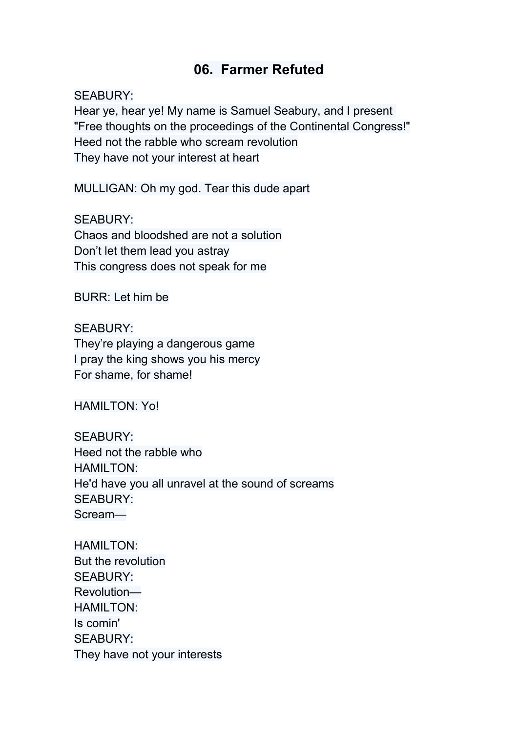# **06. Farmer Refuted**

SEABURY:

Hear ye, hear ye! My name is Samuel Seabury, and I present "Free thoughts on the proceedings of the Continental Congress!" Heed not the rabble who scream revolution They have not your interest at heart

MULLIGAN: Oh my god. Tear this dude apart

SEABURY: Chaos and bloodshed are not a solution Don't let them lead you astray This congress does not speak for me

BURR: Let him be

SEABURY: They're playing a dangerous game I pray the king shows you his mercy For shame, for shame!

HAMILTON: Yo!

SEABURY: Heed not the rabble who HAMILTON: He'd have you all unravel at the sound of screams SEABURY: Scream—

HAMILTON: But the revolution SEABURY: Revolution— HAMILTON: Is comin' SEABURY: They have not your interests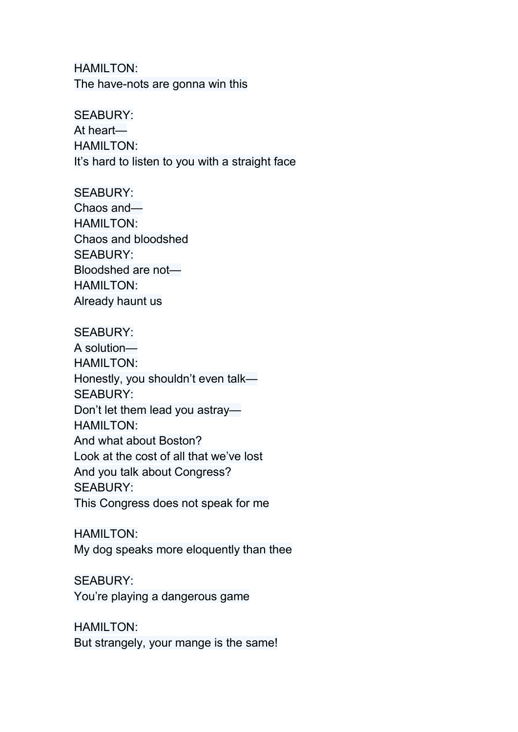HAMILTON: The have-nots are gonna win this

SEABURY: At heart— HAMILTON: It's hard to listen to you with a straight face

SEABURY: Chaos and— HAMILTON: Chaos and bloodshed SEABURY: Bloodshed are not— HAMILTON: Already haunt us

SEABURY: A solution— HAMILTON: Honestly, you shouldn't even talk— SEABURY: Don't let them lead you astray— HAMILTON: And what about Boston? Look at the cost of all that we've lost And you talk about Congress? SEABURY: This Congress does not speak for me

HAMILTON: My dog speaks more eloquently than thee

SEABURY: You're playing a dangerous game

HAMII TON<sup>.</sup> But strangely, your mange is the same!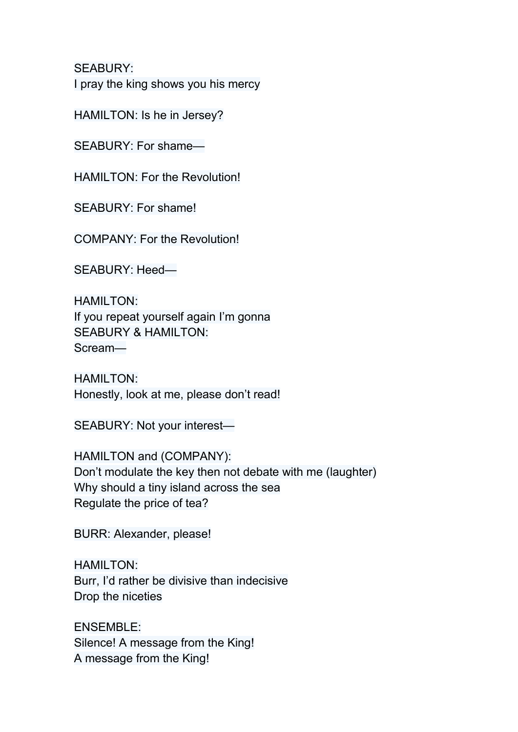SEABURY: I pray the king shows you his mercy

HAMILTON: Is he in Jersey?

SEABURY: For shame—

HAMILTON: For the Revolution!

SEABURY: For shame!

COMPANY: For the Revolution!

SEABURY: Heed—

HAMILTON<sup>.</sup> If you repeat yourself again I'm gonna SFABURY & HAMILTON: Scream—

HAMILTON: Honestly, look at me, please don't read!

SEABURY: Not your interest—

HAMILTON and (COMPANY): Don't modulate the key then not debate with me (laughter) Why should a tiny island across the sea Regulate the price of tea?

BURR: Alexander, please!

HAMILTON: Burr, I'd rather be divisive than indecisive Drop the niceties

ENSEMBLE: Silence! A message from the King! A message from the King!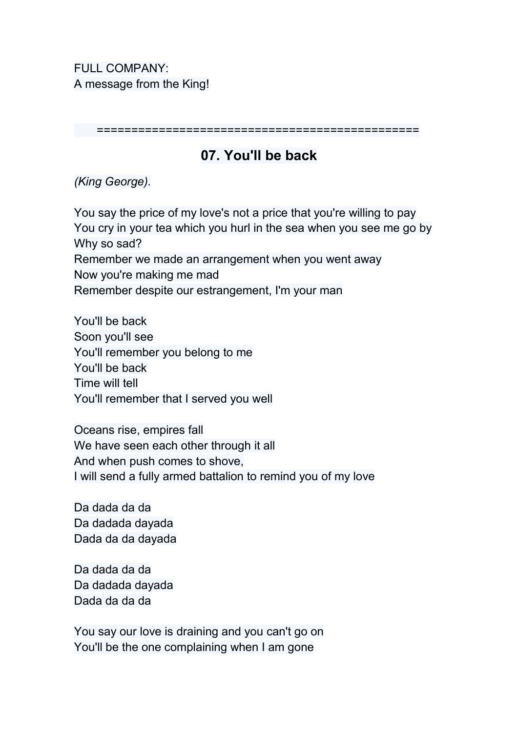===============================================

# **07. You'll be back**

*(King George).*

You say the price of my love's not a price that you're willing to pay You cry in your tea which you hurl in the sea when you see me go by Why so sad? Remember we made an arrangement when you went away Now you're making me mad Remember despite our estrangement, I'm your man

You'll be back Soon you'll see You'll remember you belong to me You'll be back Time will tell You'll remember that I served you well

Oceans rise, empires fall We have seen each other through it all And when push comes to shove, I will send a fully armed battalion to remind you of my love

Da dada da da Da dadada dayada Dada da da dayada

Da dada da da Da dadada dayada Dada da da da

You say our love is draining and you can't go on You'll be the one complaining when I am gone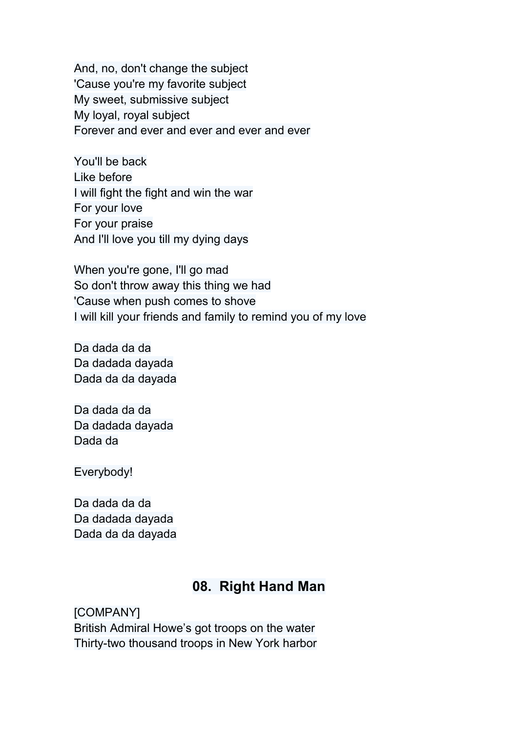And, no, don't change the subject 'Cause you're my favorite subject My sweet, submissive subject My loyal, royal subject Forever and ever and ever and ever and ever

You'll be back Like before I will fight the fight and win the war For your love For your praise And I'll love you till my dying days

When you're gone, I'll go mad So don't throw away this thing we had 'Cause when push comes to shove I will kill your friends and family to remind you of my love

Da dada da da Da dadada dayada Dada da da dayada

Da dada da da Da dadada dayada Dada da

Everybody!

Da dada da da Da dadada dayada Dada da da dayada

# **08. Right Hand Man**

[COMPANY] British Admiral Howe's got troops on the water Thirty-two thousand troops in New York harbor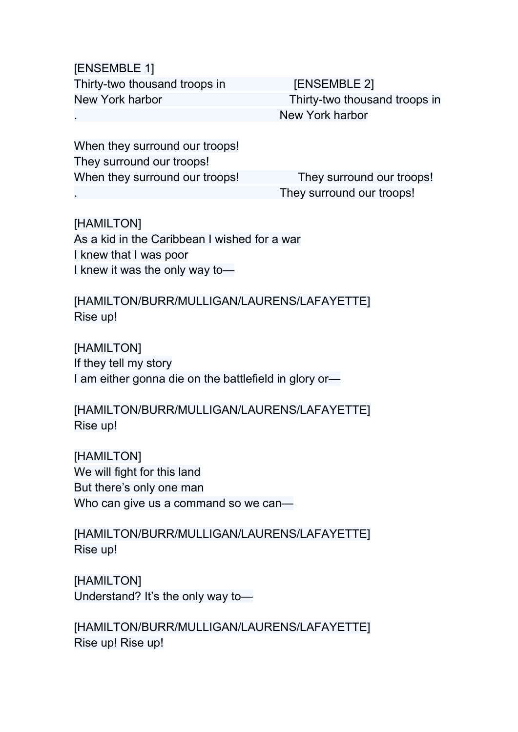[ENSEMBLE 1] Thirty-two thousand troops in [ENSEMBLE 2]

New York harbor **New York harbor** Thirty-two thousand troops in . New York harbor

When they surround our troops! They surround our troops! When they surround our troops! They surround our troops!

They surround our troops!

[HAMILTON] As a kid in the Caribbean I wished for a war I knew that I was poor I knew it was the only way to—

[HAMILTON/BURR/MULLIGAN/LAURENS/LAFAYETTE] Rise up!

[HAMILTON] If they tell my story I am either gonna die on the battlefield in glory or—

[HAMILTON/BURR/MULLIGAN/LAURENS/LAFAYETTE] Rise up!

[HAMILTON] We will fight for this land But there's only one man Who can give us a command so we can—

[HAMILTON/BURR/MULLIGAN/LAURENS/LAFAYETTE] Rise up!

[HAMILTON] Understand? It's the only way to—

[HAMILTON/BURR/MULLIGAN/LAURENS/LAFAYETTE] Rise up! Rise up!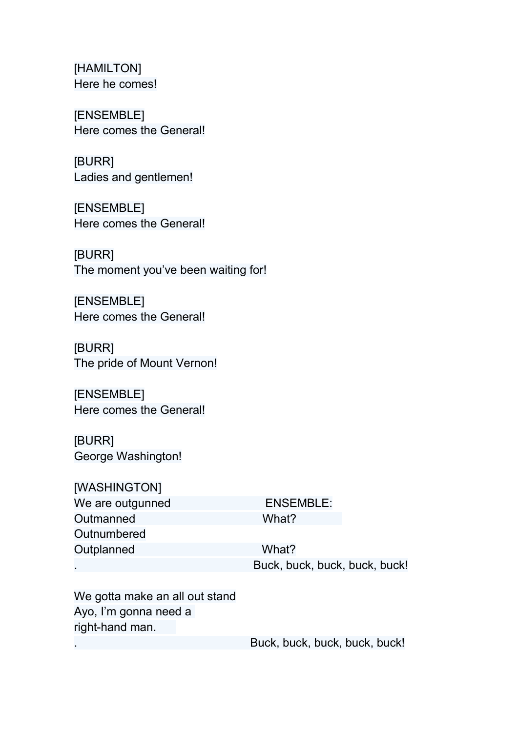[HAMILTON] Here he comes!

[ENSEMBLE] Here comes the General!

[BURR] Ladies and gentlemen!

[ENSEMBLE] Here comes the General!

[BURR] The moment you've been waiting for!

[ENSEMBLE] Here comes the General!

[BURR] The pride of Mount Vernon!

[ENSEMBLE] Here comes the General!

[BURR] George Washington!

[WASHINGTON] We are outgunned ENSEMBLE: Outmanned What? **Outnumbered** Outplanned What?

. Buck, buck, buck, buck, buck!

We gotta make an all out stand Ayo, I'm gonna need a right-hand man.

. Buck, buck, buck, buck, buck!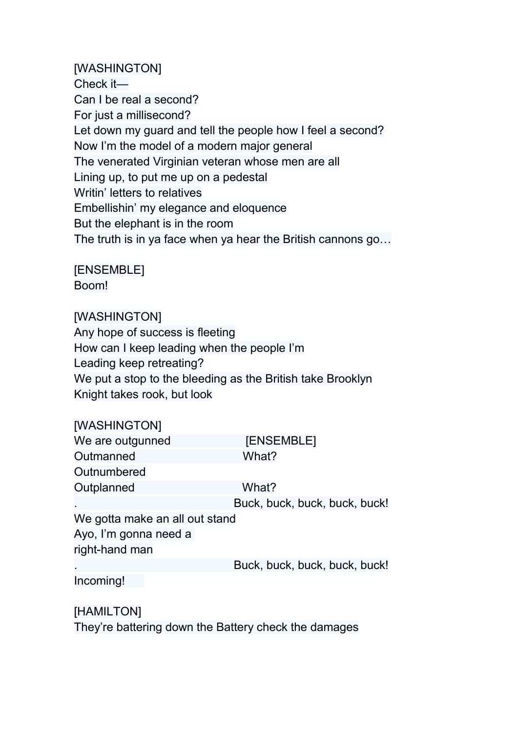[WASHINGTON] Check it— Can I be real a second? For just a millisecond? Let down my guard and tell the people how I feel a second? Now I'm the model of a modern major general The venerated Virginian veteran whose men are all Lining up, to put me up on a pedestal Writin' letters to relatives Embellishin' my elegance and eloquence But the elephant is in the room The truth is in ya face when ya hear the British cannons go…

[ENSEMBLE] Boom!

[WASHINGTON] Any hope of success is fleeting How can I keep leading when the people I'm Leading keep retreating? We put a stop to the bleeding as the British take Brooklyn Knight takes rook, but look

| [WASHINGTON]                   |                               |
|--------------------------------|-------------------------------|
| We are outgunned               | [ENSEMBLE]                    |
| Outmanned                      | What?                         |
| Outnumbered                    |                               |
| Outplanned                     | What?                         |
|                                | Buck, buck, buck, buck, buck! |
| We gotta make an all out stand |                               |
| Ayo, I'm gonna need a          |                               |
| right-hand man                 |                               |
|                                | Buck, buck, buck, buck, buck! |
| Incominal                      |                               |

Incoming!

[HAMILTON] They're battering down the Battery check the damages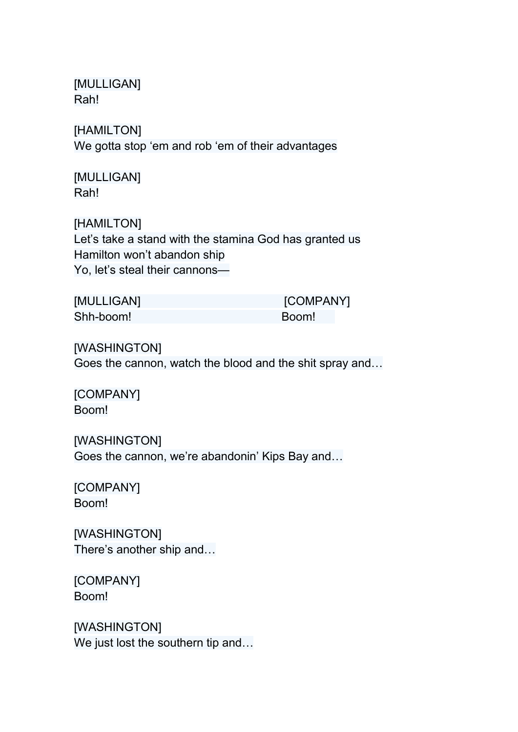[MULLIGAN] Rah!

[HAMILTON] We gotta stop 'em and rob 'em of their advantages

[MULLIGAN] Rah!

[HAMILTON]

Let's take a stand with the stamina God has granted us Hamilton won't abandon ship Yo, let's steal their cannons—

Shh-boom! Boom!

[MULLIGAN] **[COMPANY]** 

[WASHINGTON] Goes the cannon, watch the blood and the shit spray and…

[COMPANY] Boom!

[WASHINGTON] Goes the cannon, we're abandonin' Kips Bay and…

[COMPANY] Boom!

[WASHINGTON] There's another ship and…

[COMPANY] Boom!

[WASHINGTON] We just lost the southern tip and...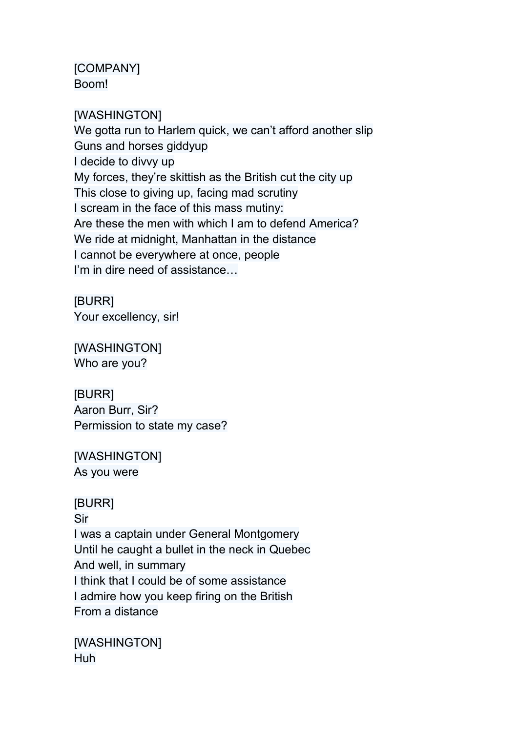[COMPANY] Boom!

#### [WASHINGTON]

We gotta run to Harlem quick, we can't afford another slip Guns and horses giddyup I decide to divvy up My forces, they're skittish as the British cut the city up This close to giving up, facing mad scrutiny I scream in the face of this mass mutiny: Are these the men with which I am to defend America? We ride at midnight, Manhattan in the distance I cannot be everywhere at once, people I'm in dire need of assistance...

[BURR] Your excellency, sir!

[WASHINGTON] Who are you?

[BURR] Aaron Burr, Sir? Permission to state my case?

[WASHINGTON] As you were

#### [BURR]

Sir I was a captain under General Montgomery Until he caught a bullet in the neck in Quebec And well, in summary I think that I could be of some assistance I admire how you keep firing on the British From a distance

[WASHINGTON] Huh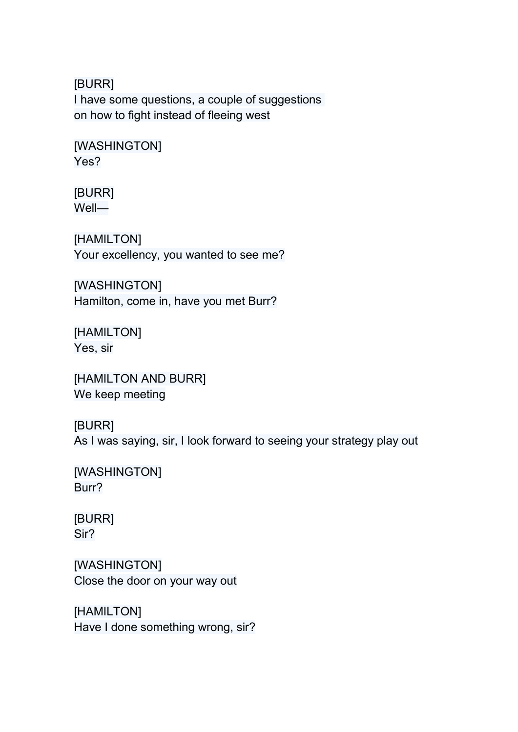[BURR] I have some questions, a couple of suggestions on how to fight instead of fleeing west

[WASHINGTON] Yes?

[BURR] Well—

[HAMILTON] Your excellency, you wanted to see me?

[WASHINGTON] Hamilton, come in, have you met Burr?

[HAMILTON] Yes, sir

[HAMILTON AND BURR] We keep meeting

[BURR]

As I was saying, sir, I look forward to seeing your strategy play out

[WASHINGTON] Burr?

[BURR] Sir?

[WASHINGTON] Close the door on your way out

[HAMILTON] Have I done something wrong, sir?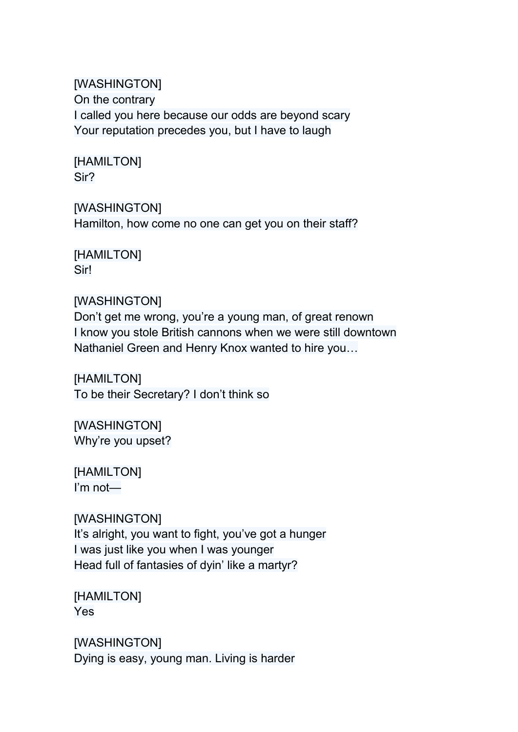[WASHINGTON] On the contrary I called you here because our odds are beyond scary Your reputation precedes you, but I have to laugh

[HAMILTON] Sir?

[WASHINGTON] Hamilton, how come no one can get you on their staff?

[HAMILTON] Sir!

#### [WASHINGTON]

Don't get me wrong, you're a young man, of great renown I know you stole British cannons when we were still downtown Nathaniel Green and Henry Knox wanted to hire you…

[HAMILTON] To be their Secretary? I don't think so

[WASHINGTON] Why're you upset?

**IHAMILTONI** I'm not—

[WASHINGTON] It's alright, you want to fight, you've got a hunger I was just like you when I was younger Head full of fantasies of dyin' like a martyr?

[HAMILTON] Yes

[WASHINGTON] Dying is easy, young man. Living is harder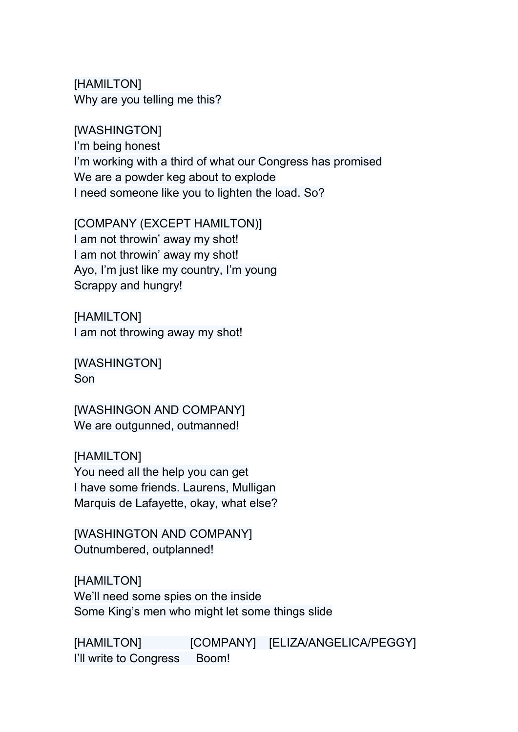[HAMILTON] Why are you telling me this?

[WASHINGTON] I'm being honest I'm working with a third of what our Congress has promised We are a powder keg about to explode I need someone like you to lighten the load. So?

[COMPANY (EXCEPT HAMILTON)] I am not throwin' away my shot! I am not throwin' away my shot! Ayo, I'm just like my country, I'm young Scrappy and hungry!

[HAMILTON] I am not throwing away my shot!

[WASHINGTON] Son

[WASHINGON AND COMPANY] We are outgunned, outmanned!

[HAMILTON] You need all the help you can get I have some friends. Laurens, Mulligan Marquis de Lafayette, okay, what else?

[WASHINGTON AND COMPANY] Outnumbered, outplanned!

[HAMILTON] We'll need some spies on the inside Some King's men who might let some things slide

[HAMILTON] [COMPANY] [ELIZA/ANGELICA/PEGGY] I'll write to Congress Boom!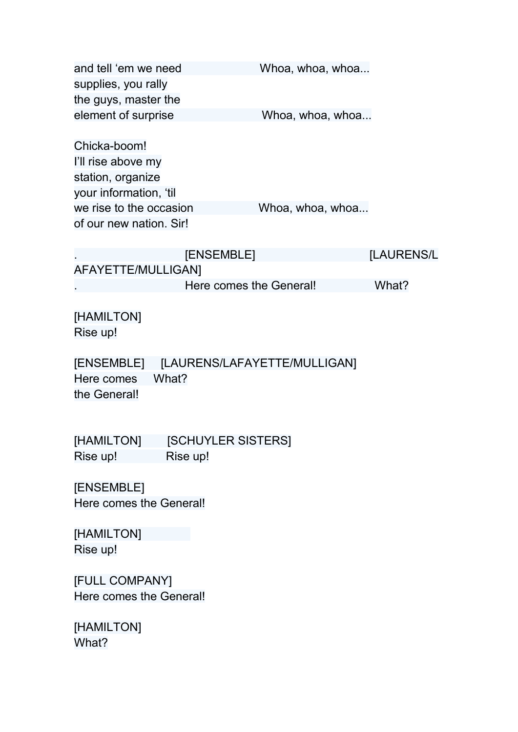and tell 'em we need Whoa, whoa, whoa... supplies, you rally the guys, master the element of surprise Whoa, whoa, whoa...

Chicka-boom! I'll rise above my station, organize your information, 'til we rise to the occasion **Whoa, whoa, whoa...** of our new nation. Sir!

| [ENSEMBLE]              | [LAURENS/L |
|-------------------------|------------|
| AFAYETTE/MULLIGAN]      |            |
| Here comes the General! | What?      |

[HAMILTON] Rise up!

[ENSEMBLE] [LAURENS/LAFAYETTE/MULLIGAN] Here comes What? the General!

[HAMILTON] [SCHUYLER SISTERS] Rise up! Rise up!

[ENSEMBLE] Here comes the General!

[HAMILTON] Rise up!

[FULL COMPANY] Here comes the General!

[HAMILTON] What?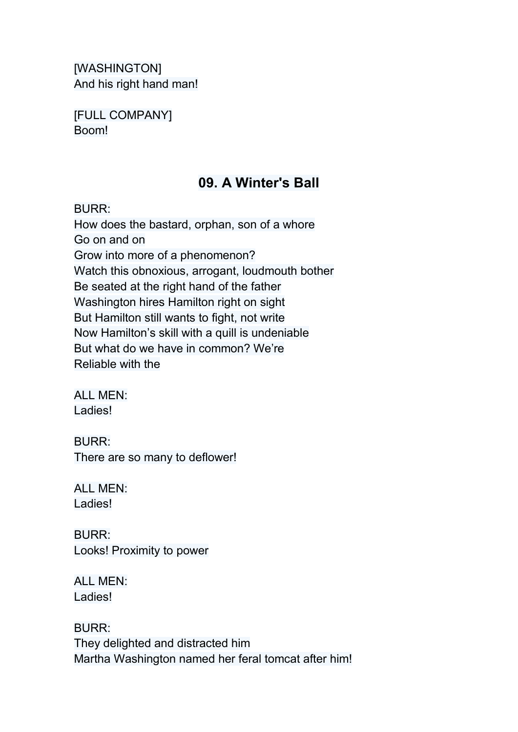[WASHINGTON] And his right hand man!

[FULL COMPANY] Boom!

# **09. A Winter's Ball**

BURR:

How does the bastard, orphan, son of a whore Go on and on Grow into more of a phenomenon? Watch this obnoxious, arrogant, loudmouth bother Be seated at the right hand of the father Washington hires Hamilton right on sight But Hamilton still wants to fight, not write Now Hamilton's skill with a quill is undeniable But what do we have in common? We're Reliable with the

ALL MEN: Ladies!

BURR: There are so many to deflower!

ALL MEN: Ladies!

BURR: Looks! Proximity to power

ALL MEN: Ladies!

BURR: They delighted and distracted him Martha Washington named her feral tomcat after him!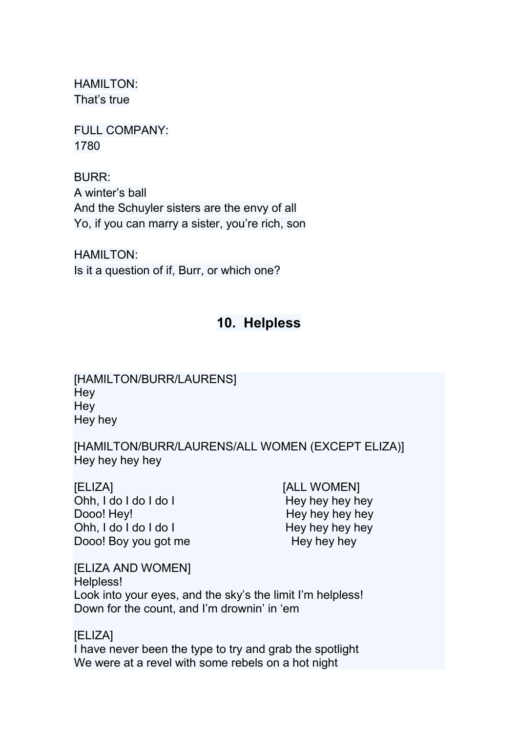HAMILTON: That's true

FULL COMPANY: 1780

BURR: A winter's ball And the Schuyler sisters are the envy of all Yo, if you can marry a sister, you're rich, son

HAMILTON: Is it a question of if, Burr, or which one?

## **10. Helpless**

[HAMILTON/BURR/LAURENS] Hey Hey Hey hey

[HAMILTON/BURR/LAURENS/ALL WOMEN (EXCEPT ELIZA)] Hey hey hey hey

[ELIZA] [ALL WOMEN] Ohh, I do I do I do I Hey hey hey hey Dooo! Hey! Ney hey hey hey hey hey! Ohh, I do I do I do I Hey hey hey hey Dooo! Boy you got me Hey hey hey

[ELIZA AND WOMEN] Helpless! Look into your eyes, and the sky's the limit I'm helpless! Down for the count, and I'm drownin' in 'em

#### **[ELIZA]**

I have never been the type to try and grab the spotlight We were at a revel with some rebels on a hot night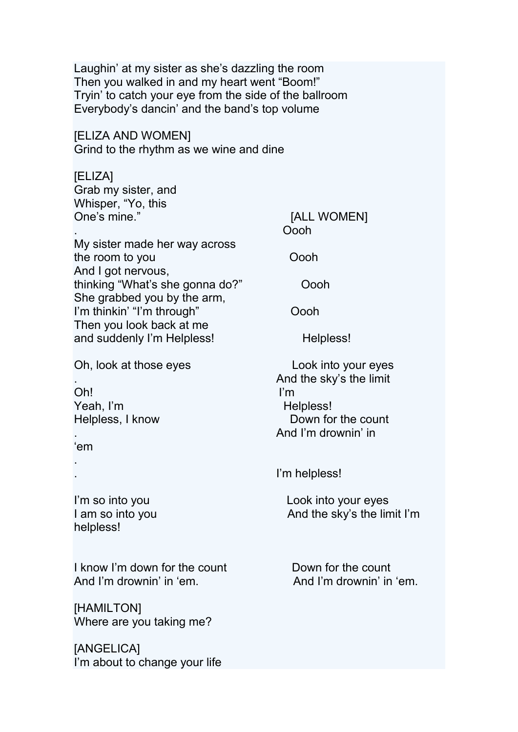Laughin' at my sister as she's dazzling the room Then you walked in and my heart went "Boom!" Tryin' to catch your eye from the side of the ballroom Everybody's dancin' and the band's top volume

[ELIZA AND WOMEN] Grind to the rhythm as we wine and dine

[ELIZA] Grab my sister, and Whisper, "Yo, this One's mine." [ALL WOMEN]

My sister made her way across the room to you can be controlled by the control of the control of the control of the control of the control of the control of the control of the control of the control of the control of the control of the control of the c And I got nervous, thinking "What's she gonna do?" Oooh She grabbed you by the arm, I'm thinkin' "I'm through" Oooh Then you look back at me and suddenly I'm Helpless! Helpless!

Oh, look at those eyes Look into your eyes

Oh! I'm Yeah, I'm **Helpless!** 

'em

.

helpless!

I know I'm down for the count Down for the count And I'm drownin' in 'em. And I'm drownin' in 'em.

[HAMILTON] Where are you taking me?

[ANGELICA] I'm about to change your life . Oooh

. And the sky's the limit Helpless, I know Down for the count . And I'm drownin' in

I'm helpless!

I'm so into you and the same set of the Look into your eyes I am so into you all all the sky's the limit I'm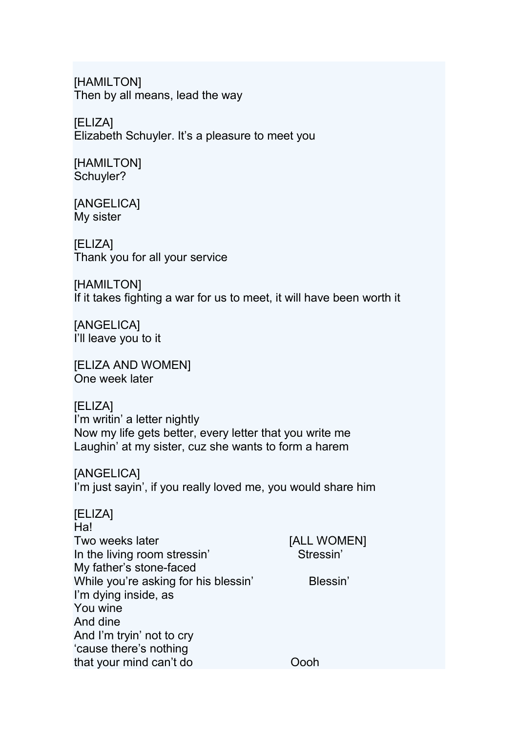[HAMILTON] Then by all means, lead the way

[ELIZA] Elizabeth Schuyler. It's a pleasure to meet you

[HAMILTON] Schuyler?

[ANGELICA] My sister

**IELIZAI** Thank you for all your service

[HAMILTON] If it takes fighting a war for us to meet, it will have been worth it

[ANGELICA] I'll leave you to it

[ELIZA AND WOMEN] One week later

[ELIZA] I'm writin' a letter nightly Now my life gets better, every letter that you write me Laughin' at my sister, cuz she wants to form a harem

**IANGELICAI** I'm just sayin', if you really loved me, you would share him

[ELIZA] Ha! Two weeks later **EXACL TWO WE ALL WOMEN** In the living room stressin' Stressin' My father's stone-faced While you're asking for his blessin' Blessin' I'm dying inside, as You wine And dine And I'm tryin' not to cry 'cause there's nothing that your mind can't do **Coooh**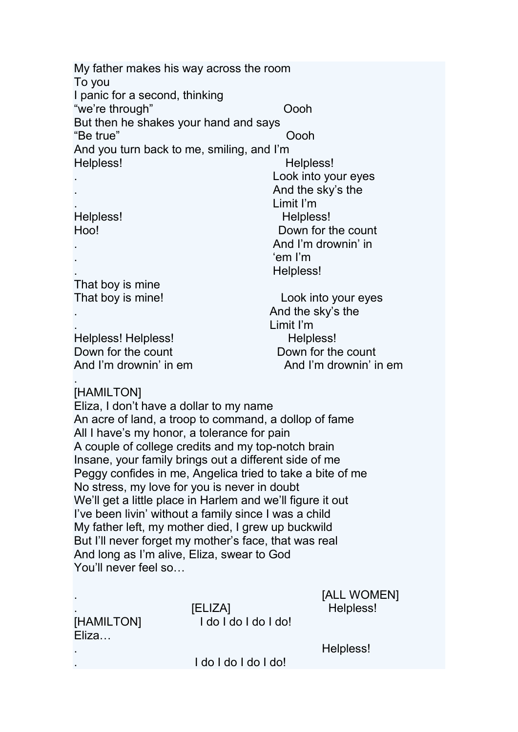My father makes his way across the room To you I panic for a second, thinking "we're through" Oooh But then he shakes your hand and says "Be true" Oooh And you turn back to me, smiling, and I'm Helpless! Helpless!

That boy is mine

Helpless! Helpless! Helpless! Down for the count Down for the count

. Look into your eyes . And the sky's the . Limit I'm Helpless! Helpless! Hoo! Down for the count . And I'm drownin' in . 'em I'm . Helpless!

That boy is mine! Look into your eyes . And the sky's the . Limit I'm And I'm drownin' in em And I'm drownin' in em

#### . [HAMILTON]

Eliza, I don't have a dollar to my name An acre of land, a troop to command, a dollop of fame All I have's my honor, a tolerance for pain A couple of college credits and my top-notch brain Insane, your family brings out a different side of me Peggy confides in me, Angelica tried to take a bite of me No stress, my love for you is never in doubt We'll get a little place in Harlem and we'll figure it out I've been livin' without a family since I was a child My father left, my mother died, I grew up buckwild But I'll never forget my mother's face, that was real And long as I'm alive, Eliza, swear to God You'll never feel so…

| $\blacksquare$<br>[HAMILTON] | [ELIZA]<br>I do I do I do I do! | [ALL WOMEN]<br>Helpless! |
|------------------------------|---------------------------------|--------------------------|
| Eliza                        |                                 | Helpless!                |
|                              | I do I do I do I do!            |                          |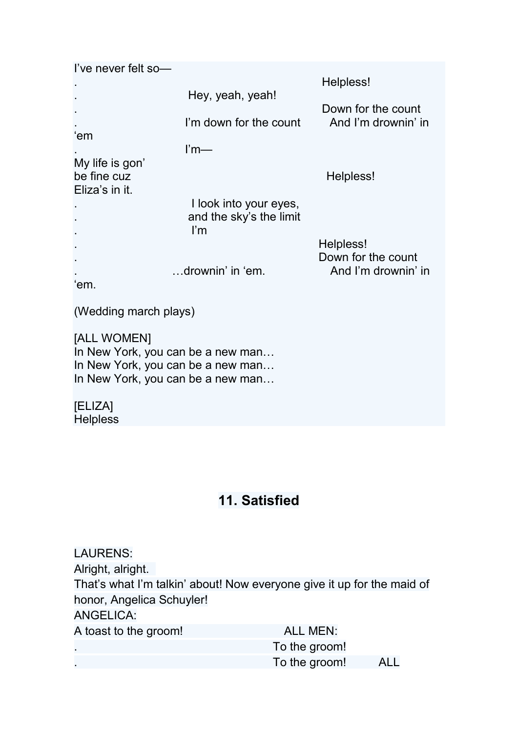I've never felt so— . Helpless! . Hey, yeah, yeah! . Down for the count I'm down for the count And I'm drownin' in 'em  $\mathsf{I}'\mathsf{m}$ — My life is gon' be fine cuz and the current of the current of the Helpless! Eliza's in it. . I look into your eyes, . and the sky's the limit . I'm . Helpless! . Down for the count ...drownin' in 'em. And I'm drownin' in 'em. (Wedding march plays)

[ALL WOMEN] In New York, you can be a new man… In New York, you can be a new man… In New York, you can be a new man…

[ELIZA] **Helpless** 

# **11. Satisfied**

LAURENS: Alright, alright. That's what I'm talkin' about! Now everyone give it up for the maid of honor, Angelica Schuyler! ANGELICA: A toast to the groom! ALL MEN: . To the groom! . To the groom! ALL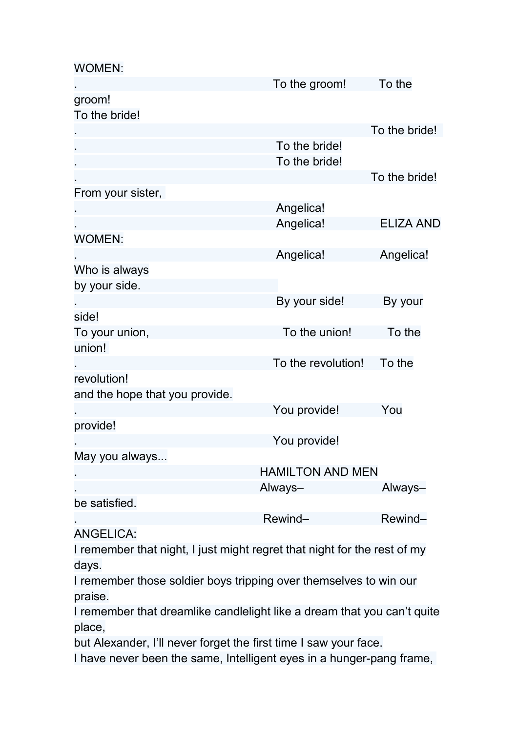WOMEN:

|                                                                                   | To the groom!           | To the           |
|-----------------------------------------------------------------------------------|-------------------------|------------------|
| groom!                                                                            |                         |                  |
| To the bride!                                                                     |                         |                  |
|                                                                                   |                         | To the bride!    |
|                                                                                   | To the bride!           |                  |
|                                                                                   | To the bride!           |                  |
|                                                                                   |                         | To the bride!    |
| From your sister,                                                                 |                         |                  |
|                                                                                   | Angelica!               |                  |
|                                                                                   | Angelica!               | <b>ELIZA AND</b> |
| <b>WOMEN:</b>                                                                     |                         |                  |
|                                                                                   | Angelica!               | Angelica!        |
| Who is always                                                                     |                         |                  |
| by your side.                                                                     |                         |                  |
|                                                                                   | By your side!           | By your          |
| side!                                                                             | To the union!           | To the           |
| To your union,<br>union!                                                          |                         |                  |
|                                                                                   | To the revolution!      | To the           |
| revolution!                                                                       |                         |                  |
| and the hope that you provide.                                                    |                         |                  |
|                                                                                   | You provide!            | You              |
| provide!                                                                          |                         |                  |
|                                                                                   | You provide!            |                  |
| May you always                                                                    |                         |                  |
|                                                                                   | <b>HAMILTON AND MEN</b> |                  |
|                                                                                   | Always-                 | Always-          |
| be satisfied.                                                                     |                         |                  |
|                                                                                   | Rewind-                 | Rewind-          |
| <b>ANGELICA:</b>                                                                  |                         |                  |
| I remember that night, I just might regret that night for the rest of my<br>days. |                         |                  |
| I remember those soldier boys tripping over themselves to win our<br>praise.      |                         |                  |
| I remember that dreamlike candlelight like a dream that you can't quite           |                         |                  |

I remember that dreamlike candlelight like a dream that you can't quite place,

but Alexander, I'll never forget the first time I saw your face.

I have never been the same, Intelligent eyes in a hunger-pang frame,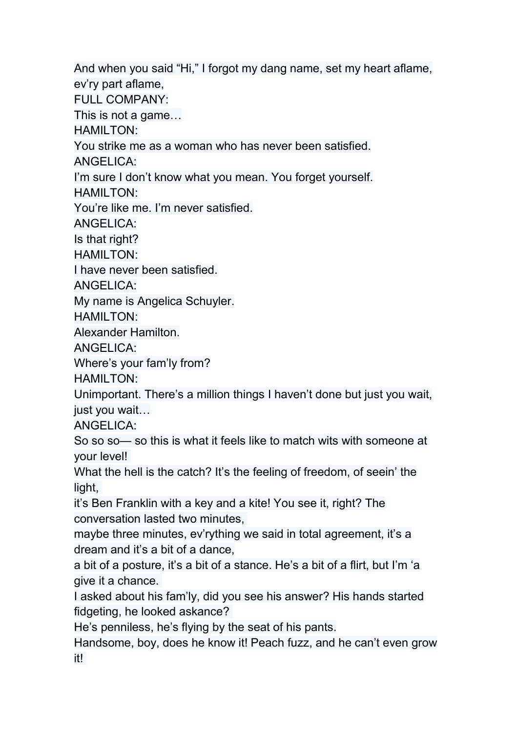And when you said "Hi," I forgot my dang name, set my heart aflame, ev'ry part aflame, FULL COMPANY: This is not a game… HAMILTON<sup>.</sup> You strike me as a woman who has never been satisfied. ANGELICA: I'm sure I don't know what you mean. You forget yourself. HAMILTON: You're like me. I'm never satisfied. ANGELICA: Is that right? HAMILTON: I have never been satisfied. ANGELICA: My name is Angelica Schuyler. HAMILTON<sup>.</sup> Alexander Hamilton. ANGELICA: Where's your fam'ly from? HAMILTON: Unimportant. There's a million things I haven't done but just you wait, just you wait… ANGELICA: So so so— so this is what it feels like to match wits with someone at your level! What the hell is the catch? It's the feeling of freedom, of seein' the light, it's Ben Franklin with a key and a kite! You see it, right? The conversation lasted two minutes, maybe three minutes, ev'rything we said in total agreement, it's a dream and it's a bit of a dance, a bit of a posture, it's a bit of a stance. He's a bit of a flirt, but I'm 'a give it a chance. I asked about his fam'ly, did you see his answer? His hands started fidgeting, he looked askance? He's penniless, he's flying by the seat of his pants. Handsome, boy, does he know it! Peach fuzz, and he can't even grow it!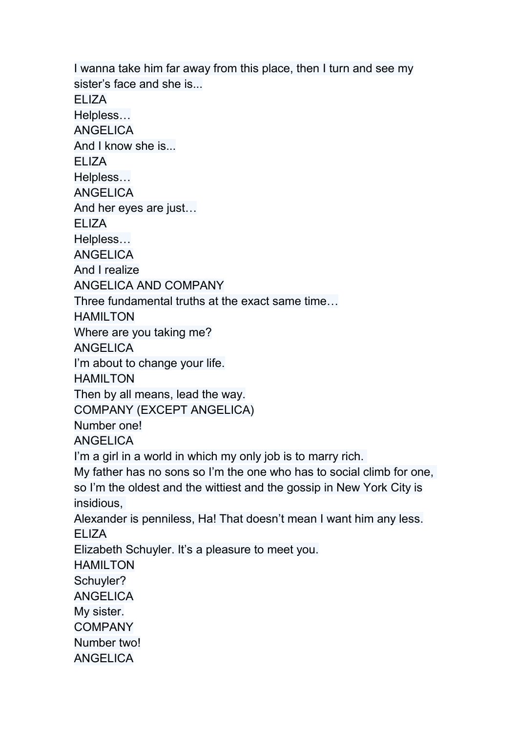I wanna take him far away from this place, then I turn and see my sister's face and she is... ELIZA Helpless… ANGELICA And I know she is... ELIZA Helpless… ANGELICA And her eyes are just… ELIZA Helpless… ANGELICA And I realize ANGELICA AND COMPANY Three fundamental truths at the exact same time… HAMILTON Where are you taking me? ANGELICA I'm about to change your life. HAMILTON Then by all means, lead the way. COMPANY (EXCEPT ANGELICA) Number one! ANGELICA I'm a girl in a world in which my only job is to marry rich. My father has no sons so I'm the one who has to social climb for one, so I'm the oldest and the wittiest and the gossip in New York City is insidious, Alexander is penniless, Ha! That doesn't mean I want him any less. ELIZA Elizabeth Schuyler. It's a pleasure to meet you. HAMILTON Schuyler? ANGELICA My sister. **COMPANY** Number two! ANGELICA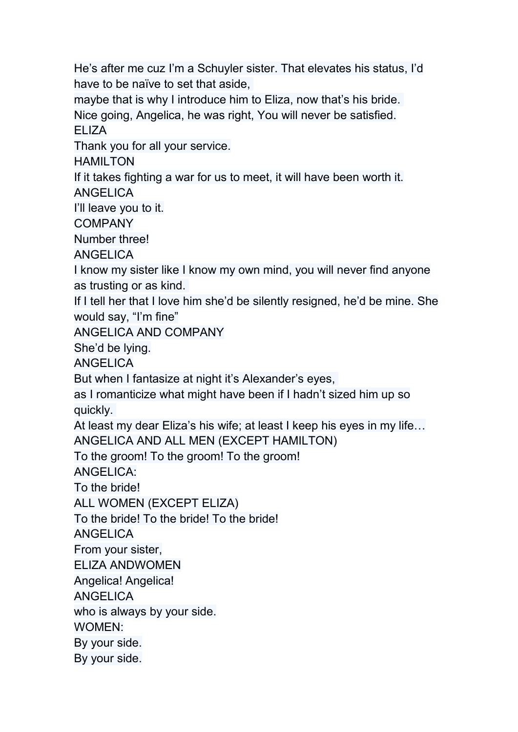He's after me cuz I'm a Schuyler sister. That elevates his status, I'd have to be naïve to set that aside,

maybe that is why I introduce him to Eliza, now that's his bride. Nice going, Angelica, he was right, You will never be satisfied.

ELIZA

Thank you for all your service.

HAMII TON

If it takes fighting a war for us to meet, it will have been worth it.

ANGELICA

I'll leave you to it.

**COMPANY** 

Number three!

ANGELICA

I know my sister like I know my own mind, you will never find anyone as trusting or as kind.

If I tell her that I love him she'd be silently resigned, he'd be mine. She would say, "I'm fine"

ANGELICA AND COMPANY

She'd be lying.

ANGELICA

But when I fantasize at night it's Alexander's eyes,

as I romanticize what might have been if I hadn't sized him up so quickly.

At least my dear Eliza's his wife; at least I keep his eyes in my life… ANGELICA AND ALL MEN (EXCEPT HAMILTON)

To the groom! To the groom! To the groom!

ANGELICA:

To the bride!

ALL WOMEN (EXCEPT ELIZA)

To the bride! To the bride! To the bride!

ANGELICA

From your sister,

ELIZA ANDWOMEN

Angelica! Angelica!

ANGELICA

who is always by your side.

WOMEN:

By your side.

By your side.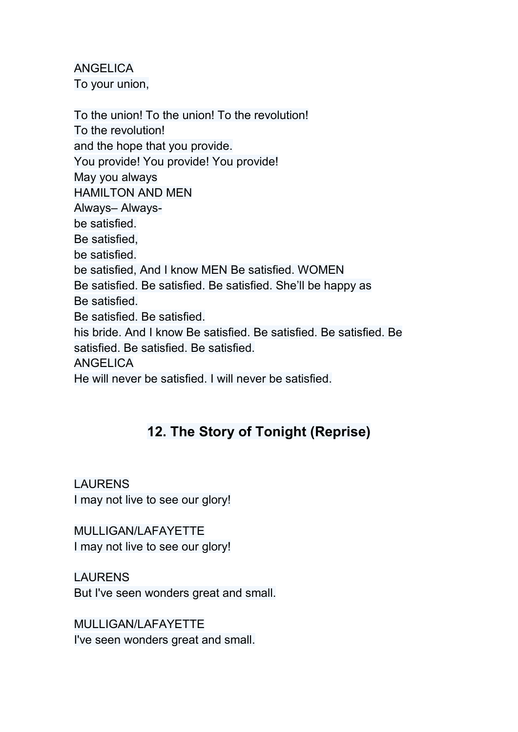ANGELICA To your union,

To the union! To the union! To the revolution! To the revolution! and the hope that you provide. You provide! You provide! You provide! May you always HAMILTON AND MEN Always– Alwaysbe satisfied. Be satisfied, be satisfied. be satisfied, And I know MEN Be satisfied. WOMEN Be satisfied. Be satisfied. Be satisfied. She'll be happy as Be satisfied. Be satisfied. Be satisfied. his bride. And I know Be satisfied. Be satisfied. Be satisfied. Be satisfied. Be satisfied. Be satisfied. ANGELICA He will never be satisfied. I will never be satisfied.

# **12. The Story of Tonight (Reprise)**

LAURENS I may not live to see our glory!

MULLIGAN/LAFAYETTE I may not live to see our glory!

LAURENS But I've seen wonders great and small.

MULLIGAN/LAFAYETTE I've seen wonders great and small.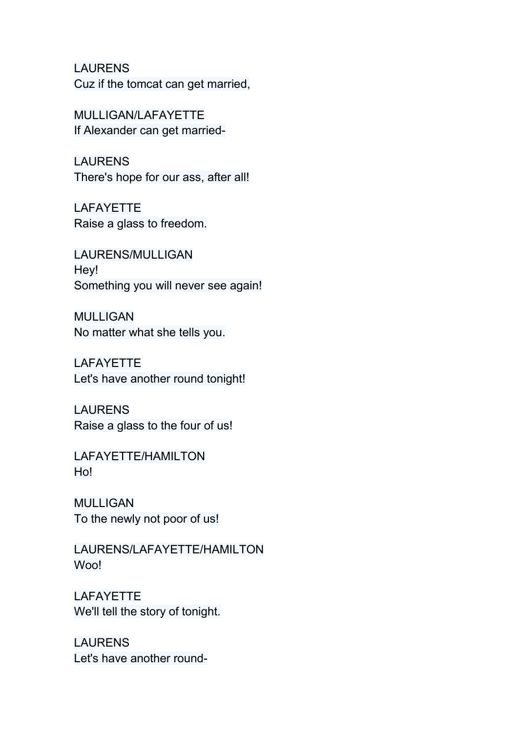LAURENS Cuz if the tomcat can get married,

MULLIGAN/LAFAYETTE If Alexander can get married-

LAURENS There's hope for our ass, after all!

LAFAYETTE Raise a glass to freedom.

LAURENS/MULLIGAN Hey! Something you will never see again!

MULLIGAN No matter what she tells you.

LAFAYETTE Let's have another round tonight!

LAURENS Raise a glass to the four of us!

LAFAYETTE/HAMILTON Hol

MULLIGAN To the newly not poor of us!

LAURENS/LAFAYETTE/HAMILTON Woo!

LAFAYETTE We'll tell the story of tonight.

LAURENS Let's have another round-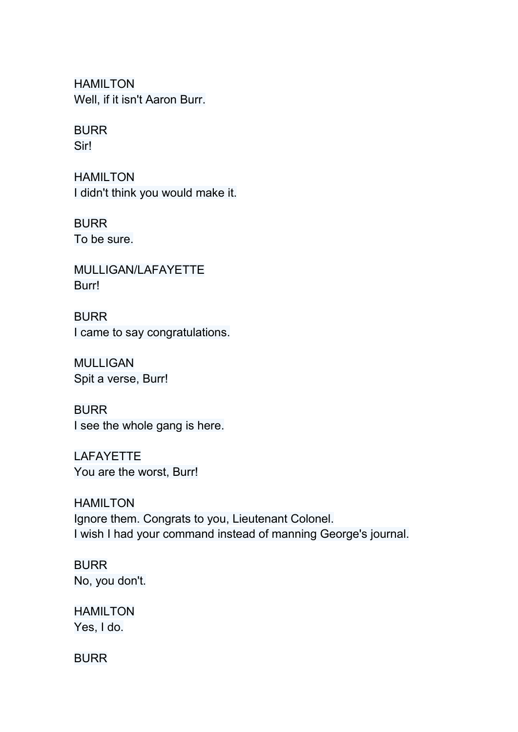HAMILTON Well, if it isn't Aaron Burr.

# BURR

Sir!

HAMILTON I didn't think you would make it.

BURR To be sure.

MULLIGAN/LAFAYETTE Burr!

BURR I came to say congratulations.

MULLIGAN Spit a verse, Burr!

BURR I see the whole gang is here.

LAFAYETTE You are the worst, Burr!

HAMILTON Ignore them. Congrats to you, Lieutenant Colonel. I wish I had your command instead of manning George's journal.

BURR No, you don't.

HAMILTON Yes, I do.

BURR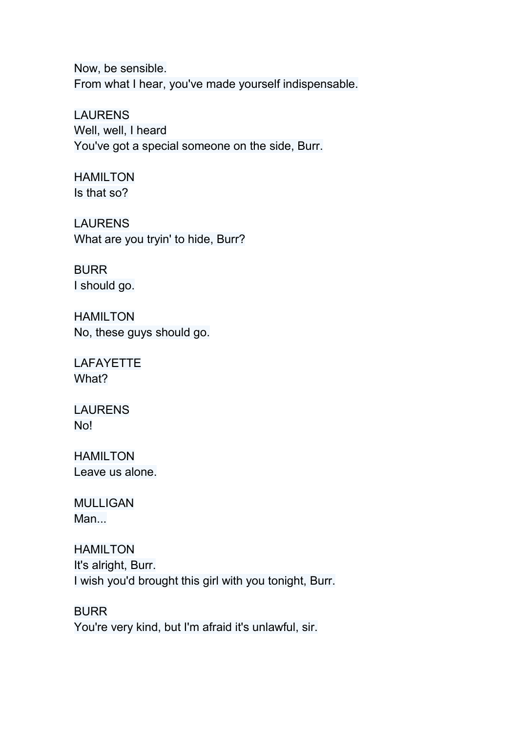Now, be sensible. From what I hear, you've made yourself indispensable.

LAURENS Well, well, I heard You've got a special someone on the side, Burr.

HAMILTON Is that so?

LAURENS What are you tryin' to hide, Burr?

BURR I should go.

HAMILTON No, these guys should go.

LAFAYETTE What?

LAURENS No!

HAMILTON Leave us alone.

MULLIGAN Man...

HAMILTON It's alright, Burr. I wish you'd brought this girl with you tonight, Burr.

BURR You're very kind, but I'm afraid it's unlawful, sir.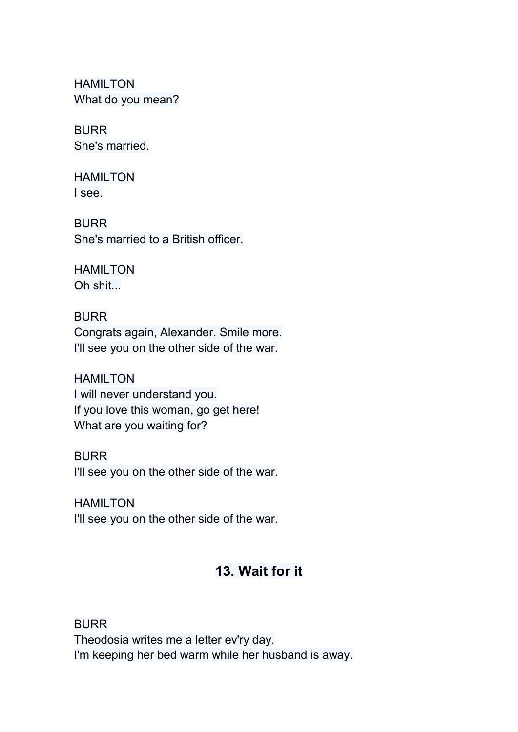HAMILTON What do you mean?

**BURR** She's married.

HAMILTON I see.

BURR She's married to a British officer.

HAMILTON Oh shit...

BURR Congrats again, Alexander. Smile more. I'll see you on the other side of the war.

HAMILTON I will never understand you. If you love this woman, go get here! What are you waiting for?

BURR I'll see you on the other side of the war.

HAMILTON I'll see you on the other side of the war.

## **13. Wait for it**

BURR

Theodosia writes me a letter ev'ry day. I'm keeping her bed warm while her husband is away.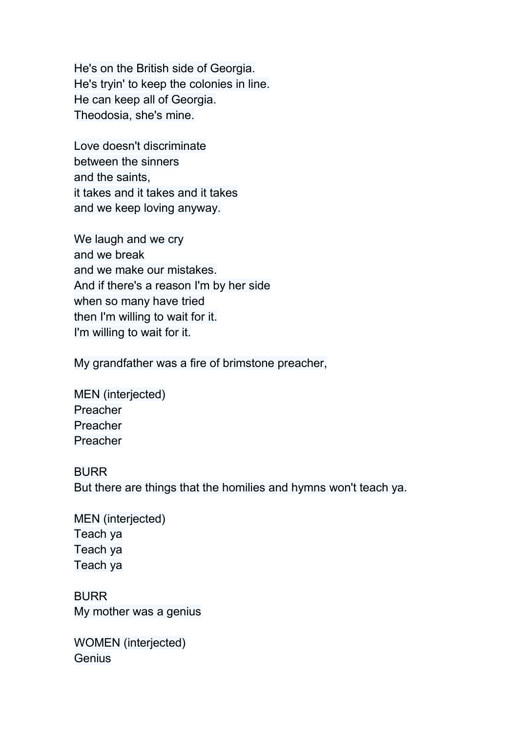He's on the British side of Georgia. He's tryin' to keep the colonies in line. He can keep all of Georgia. Theodosia, she's mine.

Love doesn't discriminate between the sinners and the saints, it takes and it takes and it takes and we keep loving anyway.

We laugh and we cry and we break and we make our mistakes. And if there's a reason I'm by her side when so many have tried then I'm willing to wait for it. I'm willing to wait for it.

My grandfather was a fire of brimstone preacher,

MEN (interjected) Preacher Preacher Preacher

#### BURR

But there are things that the homilies and hymns won't teach ya.

MEN (interjected) Teach ya Teach ya Teach ya

BURR My mother was a genius

WOMEN (interjected) Genius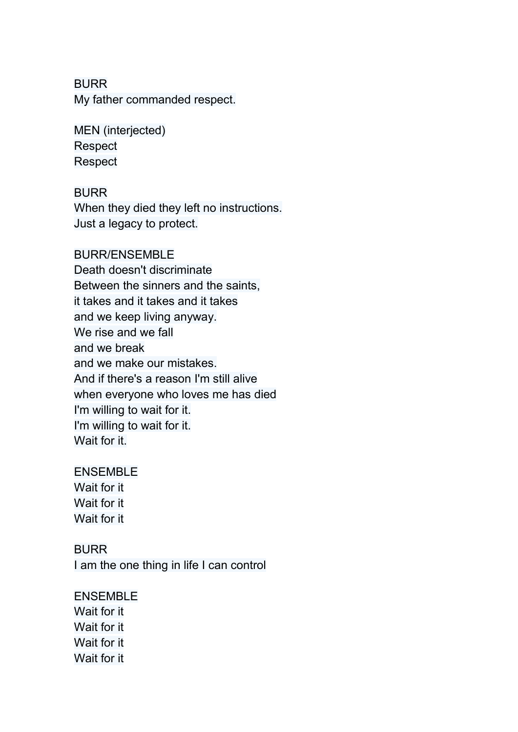#### BURR

My father commanded respect.

MEN (interjected) Respect Respect

#### BURR

When they died they left no instructions. Just a legacy to protect.

BURR/ENSEMBLE Death doesn't discriminate Between the sinners and the saints, it takes and it takes and it takes and we keep living anyway. We rise and we fall and we break and we make our mistakes. And if there's a reason I'm still alive when everyone who loves me has died I'm willing to wait for it. I'm willing to wait for it. Wait for it.

#### ENSEMBLE

Wait for it Wait for it Wait for it

#### **BURR**

I am the one thing in life I can control

### ENSEMBLE

Wait for it Wait for it Wait for it Wait for it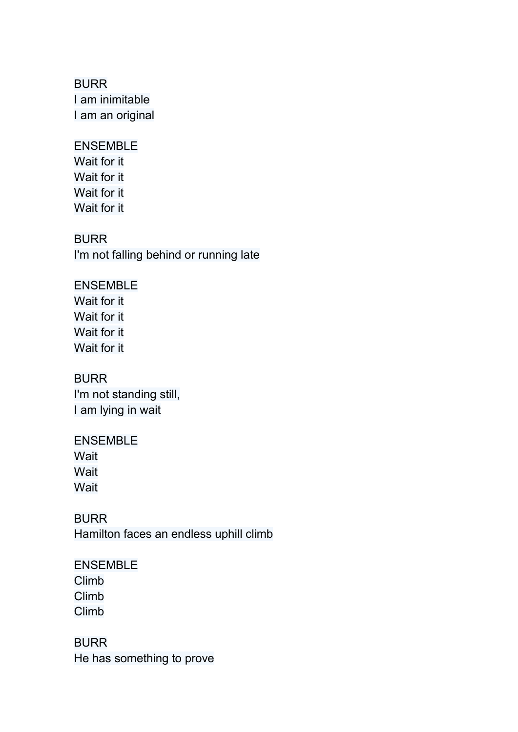#### BURR

I am inimitable I am an original

#### ENSEMBLE

Wait for it Wait for it Wait for it Wait for it

#### BURR

I'm not falling behind or running late

### ENSEMBLE

Wait for it Wait for it Wait for it Wait for it

### BURR I'm not standing still, I am lying in wait

#### ENSEMBLE

**Wait** 

**Wait Wait** 

BURR Hamilton faces an endless uphill climb

### ENSEMBLE Climb Climb Climb

BURR He has something to prove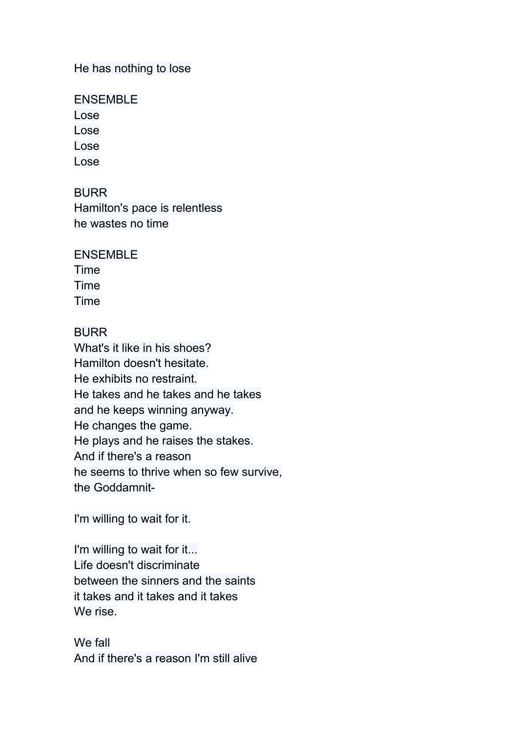#### He has nothing to lose

#### ENSEMBLE

Lose

Lose

Lose Lose

#### BURR

Hamilton's pace is relentless he wastes no time

### ENSEMBLE

Time Time Time

#### BURR

What's it like in his shoes? Hamilton doesn't hesitate. He exhibits no restraint. He takes and he takes and he takes and he keeps winning anyway. He changes the game. He plays and he raises the stakes. And if there's a reason he seems to thrive when so few survive, the Goddamnit-

I'm willing to wait for it.

I'm willing to wait for it... Life doesn't discriminate between the sinners and the saints it takes and it takes and it takes We rise.

We fall And if there's a reason I'm still alive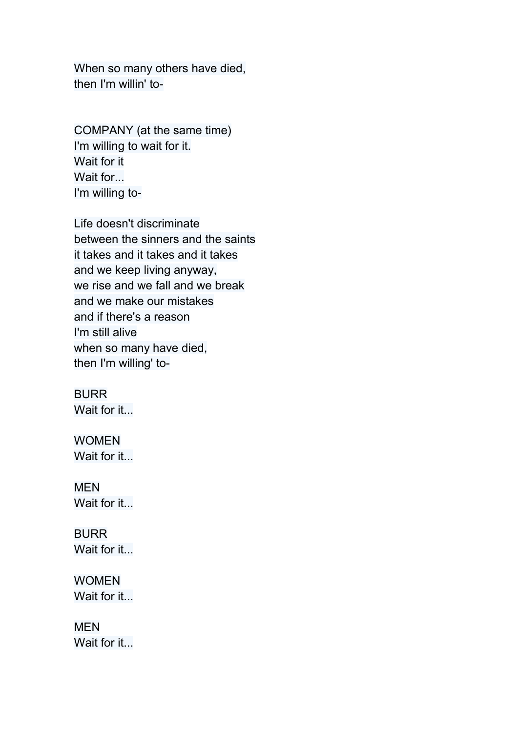When so many others have died, then I'm willin' to-

COMPANY (at the same time) I'm willing to wait for it. Wait for it Wait for... I'm willing to-

Life doesn't discriminate between the sinners and the saints it takes and it takes and it takes and we keep living anyway, we rise and we fall and we break and we make our mistakes and if there's a reason I'm still alive when so many have died, then I'm willing' to-

BURR Wait for it...

WOMEN Wait for it...

MEN Wait for it...

BURR Wait for it...

**WOMEN** Wait for it...

**MFN** Wait for it...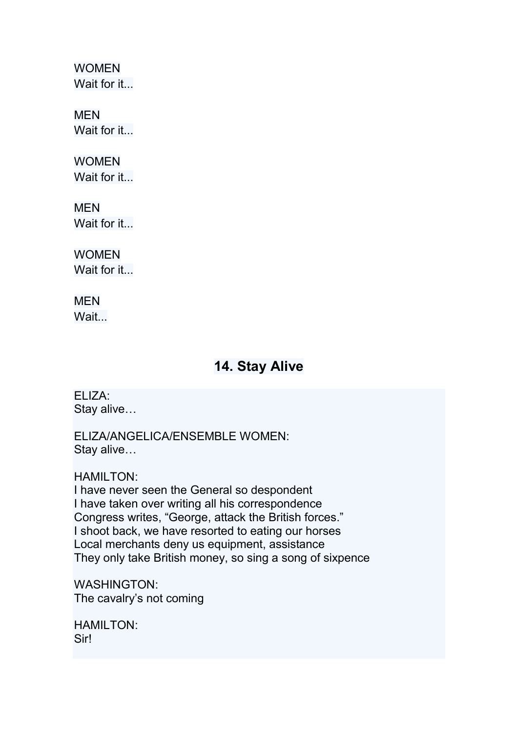WOMEN Wait for it...

MEN Wait for it...

WOMEN Wait for it...

**MFN** Wait for it...

**WOMEN** Wait for it...

**MFN** Wait

## **14. Stay Alive**

ELIZA: Stay alive…

ELIZA/ANGELICA/ENSEMBLE WOMEN: Stay alive…

HAMILTON:

I have never seen the General so despondent I have taken over writing all his correspondence Congress writes, "George, attack the British forces." I shoot back, we have resorted to eating our horses Local merchants deny us equipment, assistance They only take British money, so sing a song of sixpence

WASHINGTON: The cavalry's not coming

HAMII TON<sup>.</sup> Sir!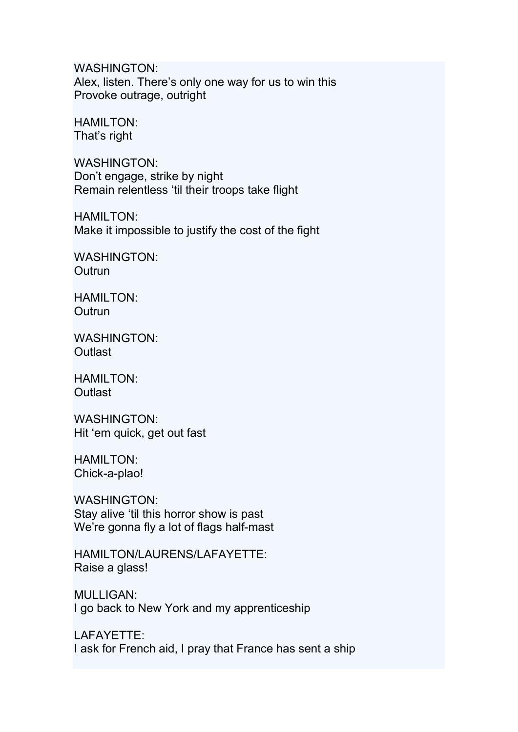WASHINGTON: Alex, listen. There's only one way for us to win this Provoke outrage, outright

HAMILTON: That's right

WASHINGTON: Don't engage, strike by night Remain relentless 'til their troops take flight

HAMILTON: Make it impossible to justify the cost of the fight

WASHINGTON: **Outrun** 

HAMILTON: **Outrun** 

WASHINGTON: **Outlast** 

HAMILTON: **Outlast** 

WASHINGTON: Hit 'em quick, get out fast

HAMILTON: Chick-a-plao!

WASHINGTON: Stay alive 'til this horror show is past We're gonna fly a lot of flags half-mast

HAMILTON/LAURENS/LAFAYETTE: Raise a glass!

MULLIGAN: I go back to New York and my apprenticeship

LAFAYETTE: I ask for French aid, I pray that France has sent a ship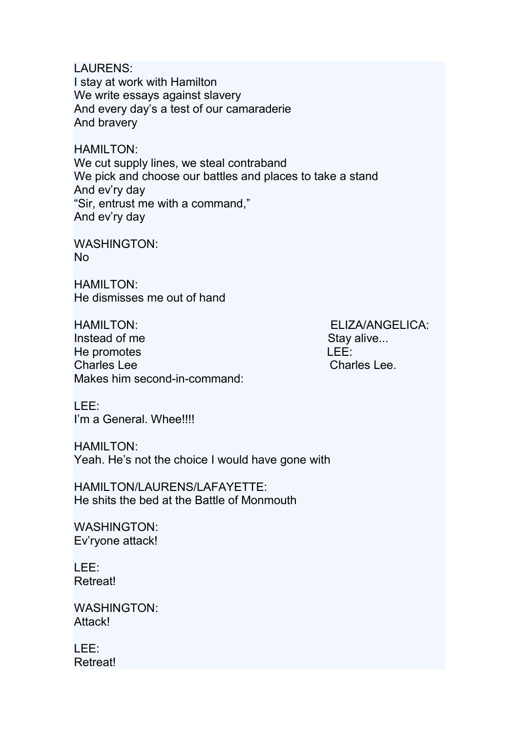LAURENS: I stay at work with Hamilton We write essays against slavery And every day's a test of our camaraderie And bravery

HAMILTON: We cut supply lines, we steal contraband We pick and choose our battles and places to take a stand And ev'ry day "Sir, entrust me with a command," And ev'ry day

WASHINGTON: No

HAMILTON<sup>.</sup> He dismisses me out of hand

HAMILTON: ELIZA/ANGELICA: Instead of me Stay alive... He promotes and the promotes of the set of the set of the set of the set of the set of the set of the set of the set of the set of the set of the set of the set of the set of the set of the set of the set of the set of the **Charles Lee Charles Lee.** Makes him second-in-command:

LEE: I'm a General. Whee!!!!

HAMILTON: Yeah. He's not the choice I would have gone with

HAMILTON/LAURENS/LAFAYETTE: He shits the bed at the Battle of Monmouth

WASHINGTON: Ev'ryone attack!

LEE: Retreat!

WASHINGTON: Attack!

LEE: **Retreat!**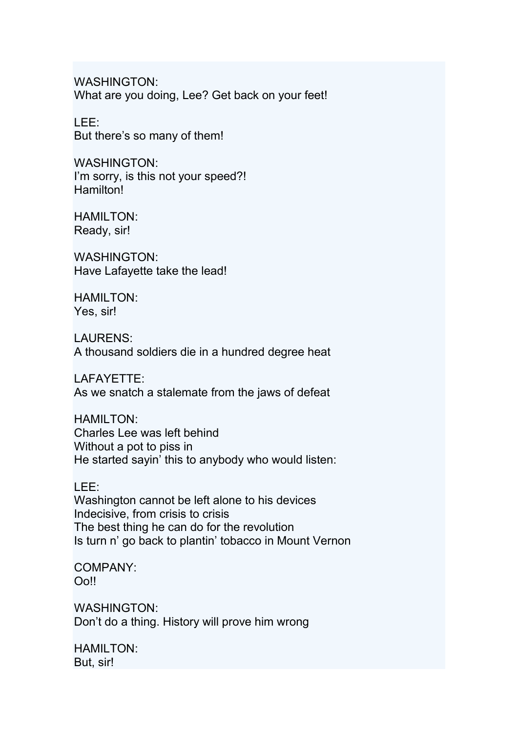WASHINGTON: What are you doing, Lee? Get back on your feet!

LEE: But there's so many of them!

WASHINGTON: I'm sorry, is this not your speed?! Hamilton!

HAMILTON: Ready, sir!

WASHINGTON: Have Lafayette take the lead!

HAMILTON: Yes, sir!

LAURENS: A thousand soldiers die in a hundred degree heat

LAFAYETTE: As we snatch a stalemate from the jaws of defeat

HAMILTON: Charles Lee was left behind Without a pot to piss in He started sayin' this to anybody who would listen:

LEE:

Washington cannot be left alone to his devices Indecisive, from crisis to crisis The best thing he can do for the revolution Is turn n' go back to plantin' tobacco in Mount Vernon

COMPANY: Oo!!

WASHINGTON: Don't do a thing. History will prove him wrong

HAMILTON: But, sir!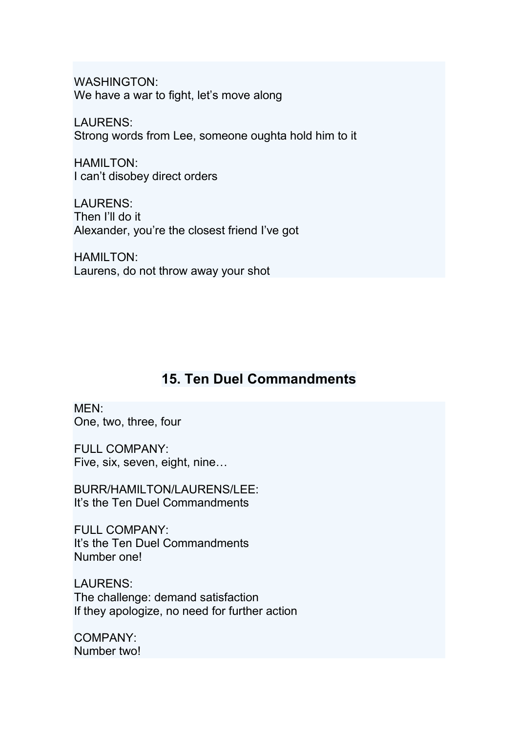WASHINGTON: We have a war to fight, let's move along

LAURENS: Strong words from Lee, someone oughta hold him to it

HAMILTON: I can't disobey direct orders

LAURENS: Then I'll do it Alexander, you're the closest friend I've got

HAMILTON: Laurens, do not throw away your shot

## **15. Ten Duel Commandments**

MEN: One, two, three, four

FULL COMPANY: Five, six, seven, eight, nine…

BURR/HAMILTON/LAURENS/LEE: It's the Ten Duel Commandments

FULL COMPANY: It's the Ten Duel Commandments Number one!

LAURENS: The challenge: demand satisfaction If they apologize, no need for further action

COMPANY: Number two!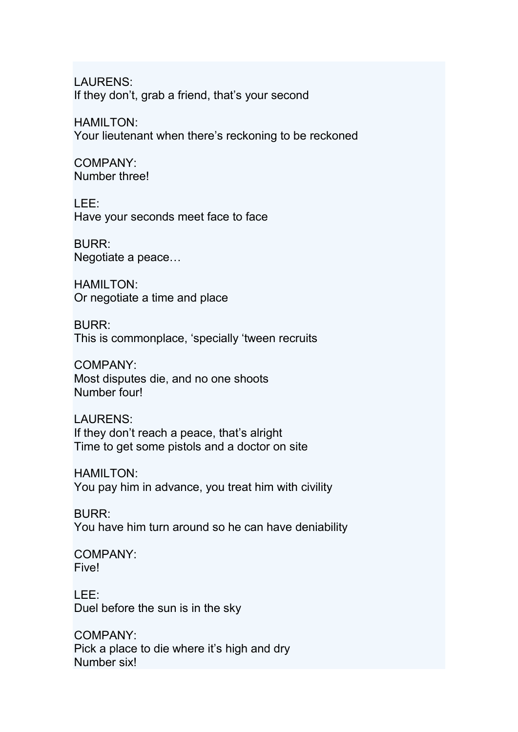LAURENS: If they don't, grab a friend, that's your second

HAMILTON: Your lieutenant when there's reckoning to be reckoned

COMPANY: Number three!

LEE: Have your seconds meet face to face

BURR: Negotiate a peace…

HAMILTON: Or negotiate a time and place

BURR: This is commonplace, 'specially 'tween recruits

COMPANY: Most disputes die, and no one shoots Number four!

LAURENS: If they don't reach a peace, that's alright Time to get some pistols and a doctor on site

HAMILTON<sup>.</sup> You pay him in advance, you treat him with civility

BURR: You have him turn around so he can have deniability

COMPANY: Five!

LEE: Duel before the sun is in the sky

COMPANY: Pick a place to die where it's high and dry Number six!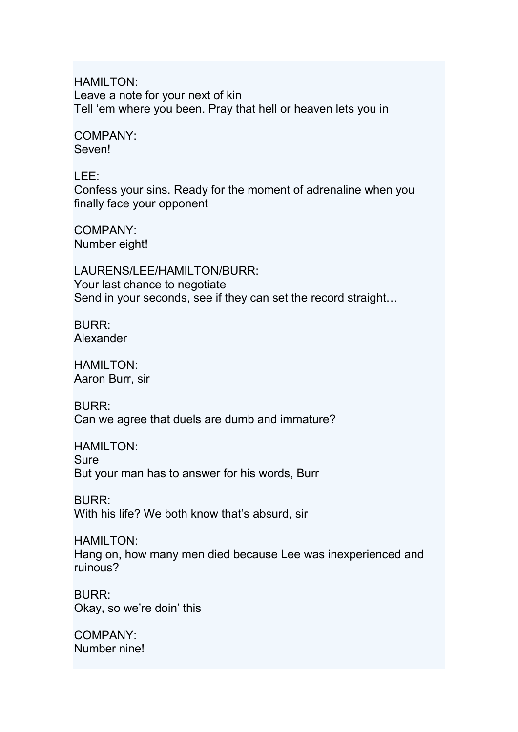HAMILTON: Leave a note for your next of kin Tell 'em where you been. Pray that hell or heaven lets you in

COMPANY: Seven!

LEE:

Confess your sins. Ready for the moment of adrenaline when you finally face your opponent

COMPANY: Number eight!

LAURENS/LEE/HAMILTON/BURR: Your last chance to negotiate Send in your seconds, see if they can set the record straight…

BURR: Alexander

HAMILTON: Aaron Burr, sir

BURR: Can we agree that duels are dumb and immature?

HAMILTON: Sure But your man has to answer for his words, Burr

BURR: With his life? We both know that's absurd, sir

HAMILTON: Hang on, how many men died because Lee was inexperienced and ruinous?

BURR: Okay, so we're doin' this

COMPANY: Number nine!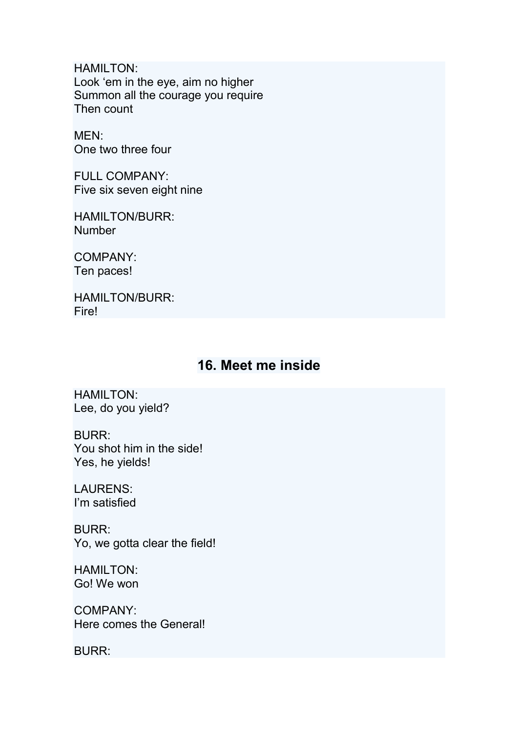HAMILTON: Look 'em in the eye, aim no higher Summon all the courage you require Then count

MEN: One two three four

FULL COMPANY: Five six seven eight nine

HAMILTON/BURR: **Number** 

COMPANY: Ten paces!

HAMILTON/BURR: Fire!

## **16. Meet me inside**

HAMILTON: Lee, do you yield?

BURR: You shot him in the side! Yes, he yields!

LAURENS: I'm satisfied

BURR: Yo, we gotta clear the field!

HAMILTON: Go! We won

COMPANY: Here comes the General!

BURR: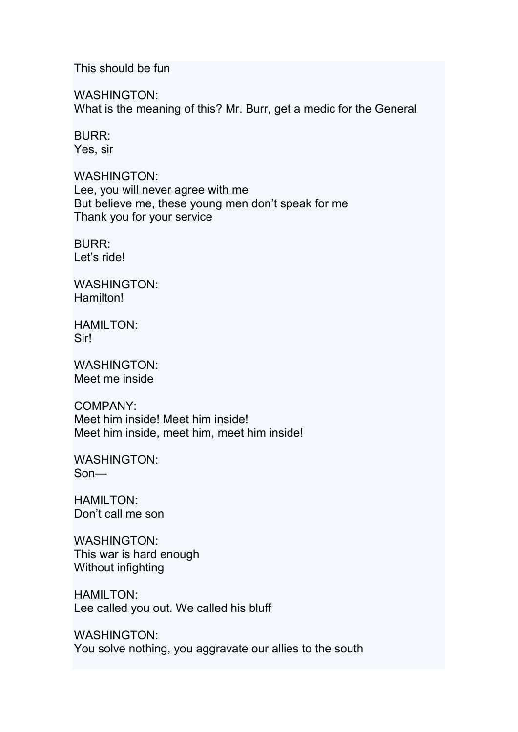This should be fun

WASHINGTON:

What is the meaning of this? Mr. Burr, get a medic for the General

BURR:

Yes, sir

WASHINGTON:

Lee, you will never agree with me But believe me, these young men don't speak for me Thank you for your service

BURR: Let's ride!

WASHINGTON: Hamilton!

HAMILTON: Sir!

WASHINGTON: Meet me inside

COMPANY:

Meet him inside! Meet him inside! Meet him inside, meet him, meet him inside!

WASHINGTON: Son—

HAMII TON<sup>.</sup> Don't call me son

WASHINGTON: This war is hard enough Without infighting

HAMILTON: Lee called you out. We called his bluff

WASHINGTON: You solve nothing, you aggravate our allies to the south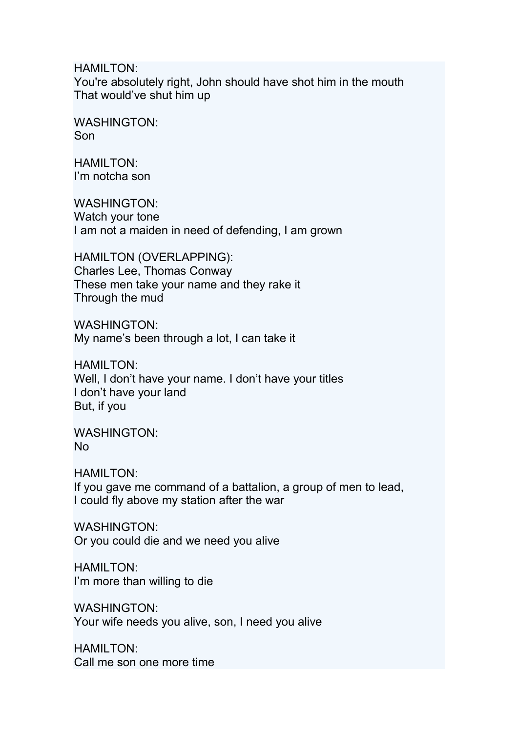HAMILTON:

You're absolutely right, John should have shot him in the mouth That would've shut him up

WASHINGTON: Son

HAMILTON: I'm notcha son

WASHINGTON: Watch your tone I am not a maiden in need of defending, I am grown

HAMILTON (OVERLAPPING): Charles Lee, Thomas Conway These men take your name and they rake it Through the mud

WASHINGTON: My name's been through a lot, I can take it

HAMILTON: Well, I don't have your name. I don't have your titles I don't have your land But, if you

WASHINGTON: No

HAMILTON<sup>.</sup> If you gave me command of a battalion, a group of men to lead, I could fly above my station after the war

WASHINGTON: Or you could die and we need you alive

HAMILTON: I'm more than willing to die

WASHINGTON: Your wife needs you alive, son, I need you alive

HAMILTON: Call me son one more time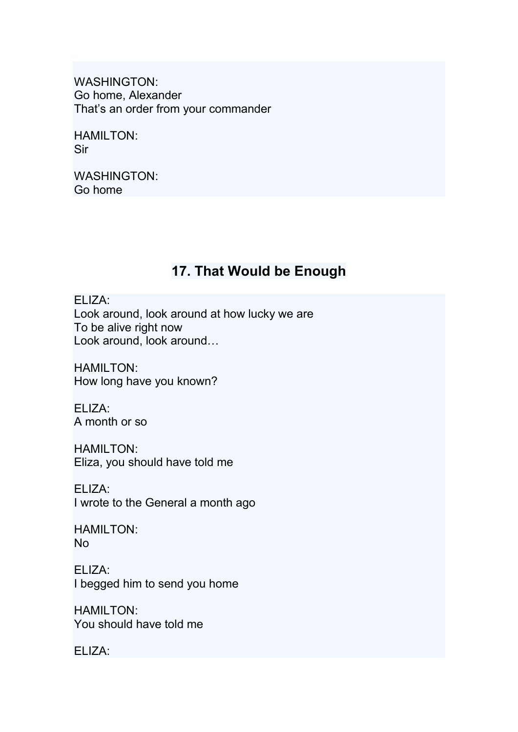WASHINGTON: Go home, Alexander That's an order from your commander

HAMILTON: Sir

WASHINGTON: Go home

# **17. That Would be Enough**

 $FI$  IZA: Look around, look around at how lucky we are To be alive right now Look around, look around…

HAMILTON: How long have you known?

ELIZA: A month or so

HAMILTON: Eliza, you should have told me

ELIZA: I wrote to the General a month ago

HAMILTON: No

ELIZA: I begged him to send you home

HAMILTON: You should have told me

ELIZA: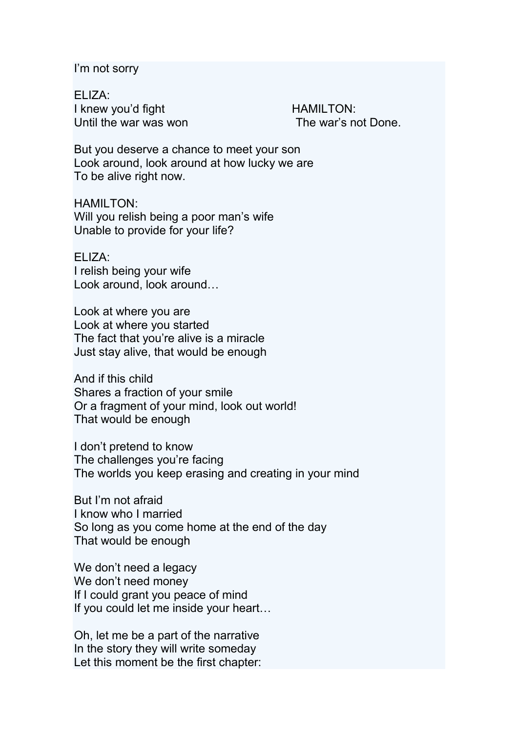I'm not sorry

ELIZA: I knew you'd fight **HAMILTON:** Until the war was won The war's not Done.

But you deserve a chance to meet your son Look around, look around at how lucky we are To be alive right now.

HAMII TON<sup>.</sup> Will you relish being a poor man's wife Unable to provide for your life?

ELIZA: I relish being your wife Look around, look around…

Look at where you are Look at where you started The fact that you're alive is a miracle Just stay alive, that would be enough

And if this child Shares a fraction of your smile Or a fragment of your mind, look out world! That would be enough

I don't pretend to know The challenges you're facing The worlds you keep erasing and creating in your mind

But I'm not afraid I know who I married So long as you come home at the end of the day That would be enough

We don't need a legacy We don't need money If I could grant you peace of mind If you could let me inside your heart…

Oh, let me be a part of the narrative In the story they will write someday Let this moment be the first chapter: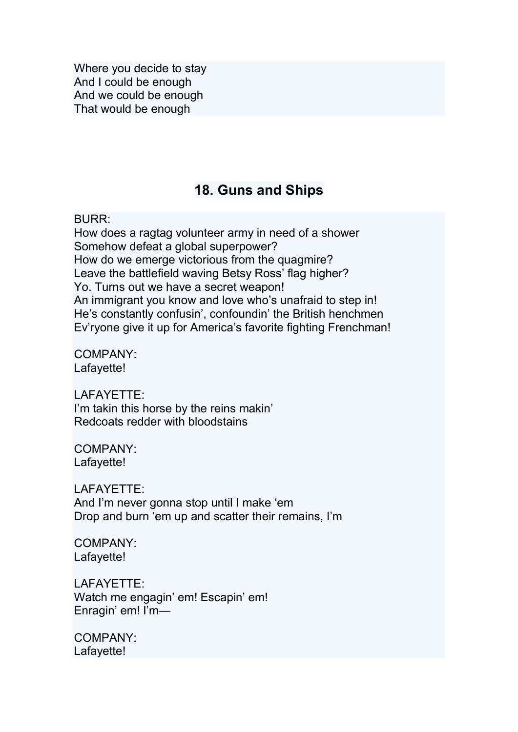Where you decide to stay And I could be enough And we could be enough That would be enough

## **18. Guns and Ships**

BURR:

How does a ragtag volunteer army in need of a shower Somehow defeat a global superpower? How do we emerge victorious from the quagmire? Leave the battlefield waving Betsy Ross' flag higher? Yo. Turns out we have a secret weapon! An immigrant you know and love who's unafraid to step in! He's constantly confusin', confoundin' the British henchmen Ev'ryone give it up for America's favorite fighting Frenchman!

COMPANY: Lafayette!

LAFAYETTE: I'm takin this horse by the reins makin' Redcoats redder with bloodstains

COMPANY: Lafayette!

LAFAYETTE:

And I'm never gonna stop until I make 'em Drop and burn 'em up and scatter their remains, I'm

COMPANY: Lafayette!

LAFAYETTE: Watch me engagin' em! Escapin' em! Enragin' em! I'm—

COMPANY: Lafayette!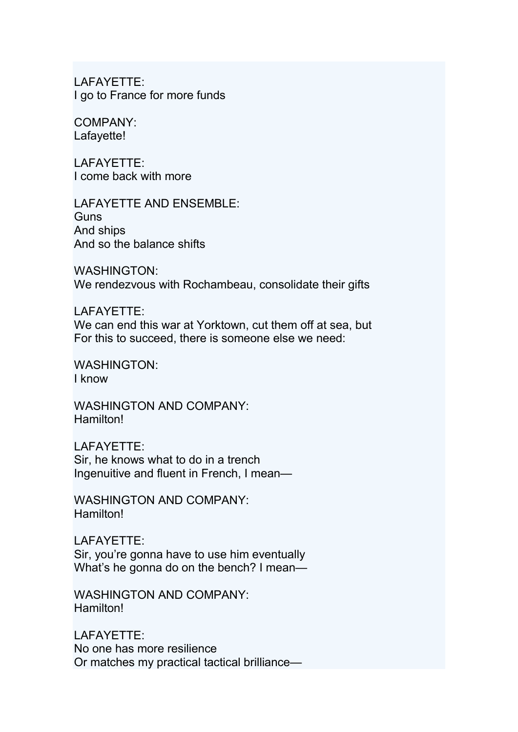LAFAYETTE: I go to France for more funds

COMPANY: Lafayette!

LAFAYETTE: I come back with more

LAFAYETTE AND ENSEMBLE: **Guns** And ships And so the balance shifts

WASHINGTON: We rendezvous with Rochambeau, consolidate their gifts

LAFAYETTE: We can end this war at Yorktown, cut them off at sea, but For this to succeed, there is someone else we need:

WASHINGTON: I know

WASHINGTON AND COMPANY: Hamilton!

LAFAYETTE: Sir, he knows what to do in a trench Ingenuitive and fluent in French, I mean—

WASHINGTON AND COMPANY: Hamilton!

LAFAYETTE: Sir, you're gonna have to use him eventually What's he gonna do on the bench? I mean—

WASHINGTON AND COMPANY: Hamilton!

LAFAYETTE: No one has more resilience Or matches my practical tactical brilliance—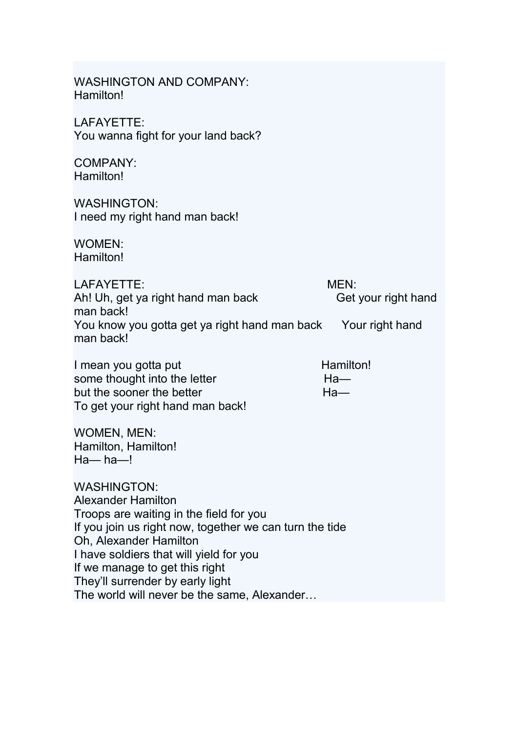| <b>WASHINGTON AND COMPANY:</b><br>Hamilton!                                                                                  |                                                |
|------------------------------------------------------------------------------------------------------------------------------|------------------------------------------------|
| LAFAYETTE:<br>You wanna fight for your land back?                                                                            |                                                |
| <b>COMPANY:</b><br>Hamilton!                                                                                                 |                                                |
| <b>WASHINGTON:</b><br>I need my right hand man back!                                                                         |                                                |
| <b>WOMEN:</b><br>Hamilton!                                                                                                   |                                                |
| LAFAYETTE:<br>Ah! Uh, get ya right hand man back<br>man back!<br>You know you gotta get ya right hand man back               | MEN:<br>Get your right hand<br>Your right hand |
| man back!<br>I mean you gotta put<br>some thought into the letter                                                            | Hamilton!<br>$Ha-$                             |
| but the sooner the better<br>To get your right hand man back!                                                                | $Ha-$                                          |
| WOMEN, MEN:<br>Hamilton, Hamilton!<br>$Ha$ — ha—!                                                                            |                                                |
| <b>WASHINGTON:</b><br><b>Alexander Hamilton</b><br>Troops are waiting in the field for you                                   |                                                |
| If you join us right now, together we can turn the tide<br>Oh, Alexander Hamilton<br>I have soldiers that will yield for you |                                                |
| If we manage to get this right<br>They'll surrender by early light<br>The world will never be the same, Alexander            |                                                |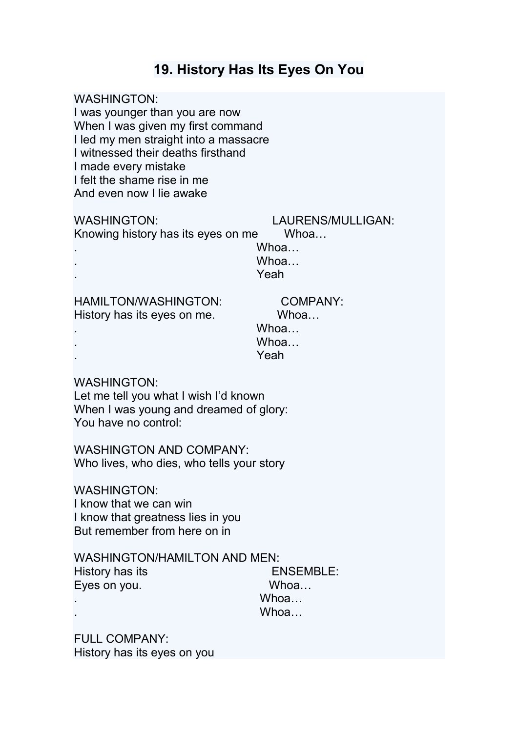### **19. History Has Its Eyes On You**

WASHINGTON: I was younger than you are now When I was given my first command I led my men straight into a massacre I witnessed their deaths firsthand I made every mistake I felt the shame rise in me And even now I lie awake

| <b>WASHINGTON:</b>                 | LAURENS/MULLIGAN: |  |
|------------------------------------|-------------------|--|
| Knowing history has its eyes on me | Whoa              |  |
|                                    | Whoa              |  |
|                                    | Whoa…             |  |
|                                    | Yeah              |  |
| HAMILTON/WASHINGTON:               | COMPANY:          |  |

History has its eyes on me. Whoa...

. Whoa… . Whoa… . Yeah

#### WASHINGTON:

Let me tell you what I wish I'd known When I was young and dreamed of glory: You have no control:

WASHINGTON AND COMPANY: Who lives, who dies, who tells your story

WASHINGTON: I know that we can win I know that greatness lies in you But remember from here on in

| <b>WASHINGTON/HAMILTON AND MEN:</b> |           |
|-------------------------------------|-----------|
| History has its                     | ENSEMBLE: |
|                                     |           |

Eyes on you. Whoa...

. Whoa… Whoa...

FULL COMPANY: History has its eyes on you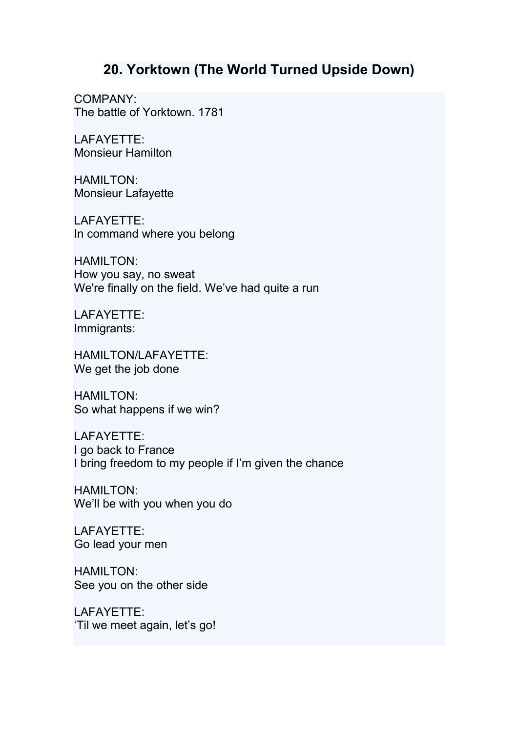## **20. Yorktown (The World Turned Upside Down)**

COMPANY: The battle of Yorktown. 1781

LAFAYETTE: Monsieur Hamilton

HAMILTON: Monsieur Lafayette

LAFAYETTE: In command where you belong

HAMILTON: How you say, no sweat We're finally on the field. We've had quite a run

LAFAYETTE: Immigrants:

HAMILTON/LAFAYETTE: We get the job done

HAMILTON: So what happens if we win?

LAFAYETTE: I go back to France I bring freedom to my people if I'm given the chance

HAMILTON: We'll be with you when you do

LAFAYETTE: Go lead your men

HAMILTON: See you on the other side

LAFAYETTE: 'Til we meet again, let's go!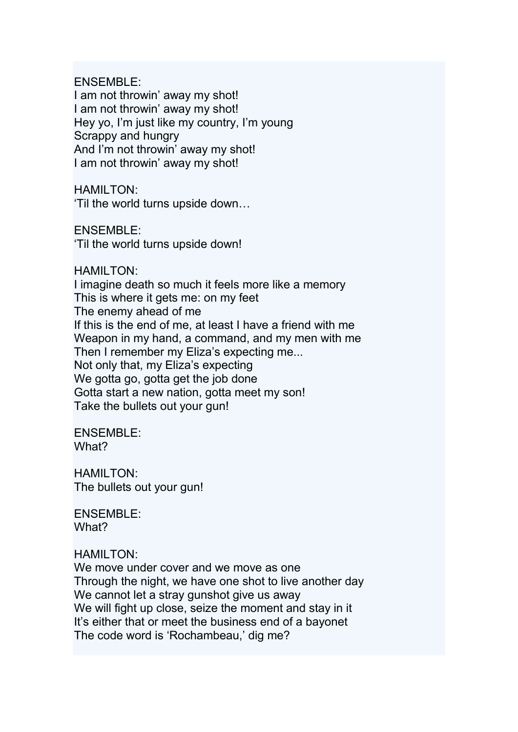#### ENSEMBLE:

I am not throwin' away my shot! I am not throwin' away my shot! Hey yo, I'm just like my country, I'm young Scrappy and hungry And I'm not throwin' away my shot! I am not throwin' away my shot!

HAMILTON: 'Til the world turns upside down…

ENSEMBLE: 'Til the world turns upside down!

#### HAMILTON:

I imagine death so much it feels more like a memory This is where it gets me: on my feet The enemy ahead of me If this is the end of me, at least I have a friend with me Weapon in my hand, a command, and my men with me Then I remember my Eliza's expecting me... Not only that, my Eliza's expecting We gotta go, gotta get the job done Gotta start a new nation, gotta meet my son! Take the bullets out your gun!

ENSEMBLE: What?

HAMILTON<sup>.</sup> The bullets out your gun!

ENSEMBLE: What?

### HAMILTON:

We move under cover and we move as one Through the night, we have one shot to live another day We cannot let a stray gunshot give us away We will fight up close, seize the moment and stay in it It's either that or meet the business end of a bayonet The code word is 'Rochambeau,' dig me?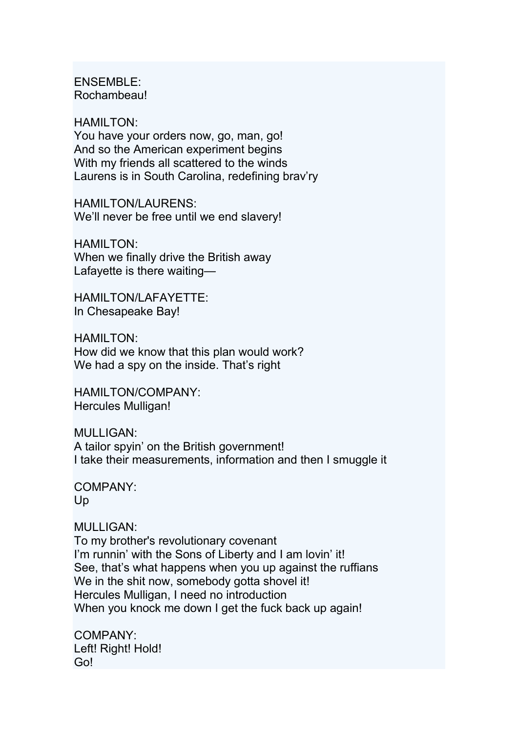ENSEMBLE: Rochambeau!

HAMILTON:

You have your orders now, go, man, go! And so the American experiment begins With my friends all scattered to the winds Laurens is in South Carolina, redefining brav'ry

HAMILTON/LAURENS: We'll never be free until we end slavery!

HAMILTON<sup>.</sup> When we finally drive the British away Lafayette is there waiting—

HAMILTON/LAFAYETTE: In Chesapeake Bay!

HAMILTON: How did we know that this plan would work? We had a spy on the inside. That's right

HAMILTON/COMPANY: Hercules Mulligan!

MULLIGAN: A tailor spyin' on the British government! I take their measurements, information and then I smuggle it

COMPANY: Up

MULLIGAN:

To my brother's revolutionary covenant I'm runnin' with the Sons of Liberty and I am lovin' it! See, that's what happens when you up against the ruffians We in the shit now, somebody gotta shovel it! Hercules Mulligan, I need no introduction When you knock me down I get the fuck back up again!

COMPANY: Left! Right! Hold! Go!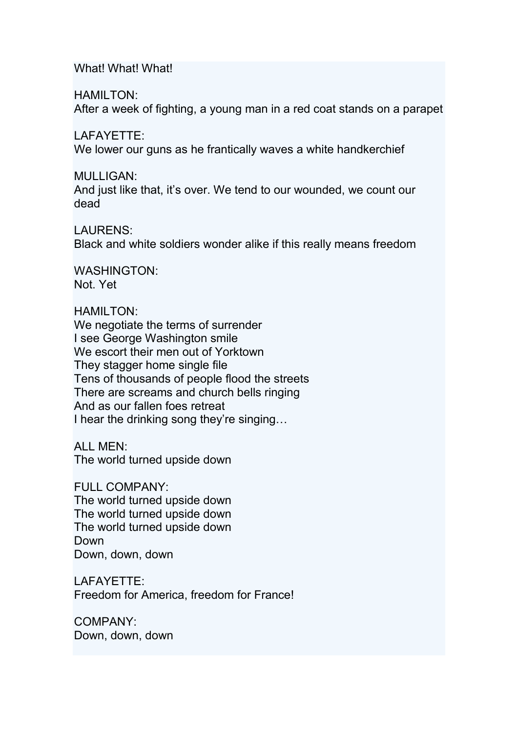What! What! What!

HAMILTON:

After a week of fighting, a young man in a red coat stands on a parapet

LAFAYETTE: We lower our guns as he frantically waves a white handkerchief

MULLIGAN: And just like that, it's over. We tend to our wounded, we count our dead

LAURENS: Black and white soldiers wonder alike if this really means freedom

WASHINGTON: Not. Yet

## HAMILTON:

We negotiate the terms of surrender I see George Washington smile We escort their men out of Yorktown They stagger home single file Tens of thousands of people flood the streets There are screams and church bells ringing And as our fallen foes retreat I hear the drinking song they're singing…

ALL MEN: The world turned upside down

FULL COMPANY: The world turned upside down The world turned upside down The world turned upside down Down Down, down, down

LAFAYETTE: Freedom for America, freedom for France!

COMPANY: Down, down, down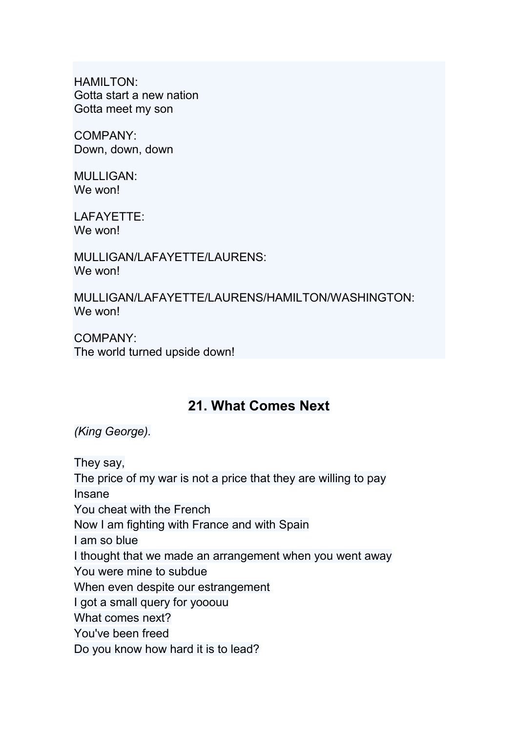HAMILTON: Gotta start a new nation Gotta meet my son

COMPANY: Down, down, down

MULLIGAN: We won!

LAFAYETTE: We won!

MULLIGAN/LAFAYETTE/LAURENS: We won!

MULLIGAN/LAFAYETTE/LAURENS/HAMILTON/WASHINGTON: We won!

COMPANY: The world turned upside down!

# **21. What Comes Next**

*(King George).*

They say,

The price of my war is not a price that they are willing to pay

Insane You cheat with the French

Now I am fighting with France and with Spain

I am so blue

I thought that we made an arrangement when you went away

You were mine to subdue

When even despite our estrangement

I got a small query for yooouu

What comes next?

You've been freed

Do you know how hard it is to lead?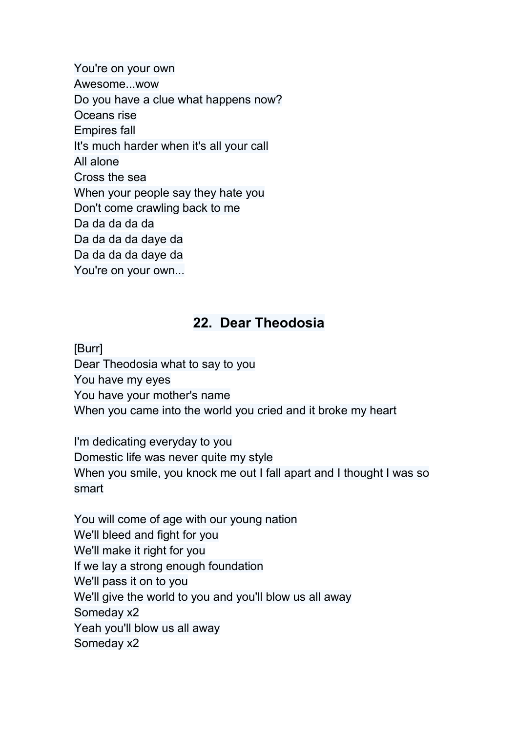You're on your own Awesome...wow Do you have a clue what happens now? Oceans rise Empires fall It's much harder when it's all your call All alone Cross the sea When your people say they hate you Don't come crawling back to me Da da da da da Da da da da daye da Da da da da daye da You're on your own...

# **22. Dear Theodosia**

[Burr] Dear Theodosia what to say to you You have my eyes You have your mother's name When you came into the world you cried and it broke my heart

I'm dedicating everyday to you Domestic life was never quite my style When you smile, you knock me out I fall apart and I thought I was so smart

You will come of age with our young nation We'll bleed and fight for you We'll make it right for you If we lay a strong enough foundation We'll pass it on to you We'll give the world to you and you'll blow us all away Someday x2 Yeah you'll blow us all away Someday x2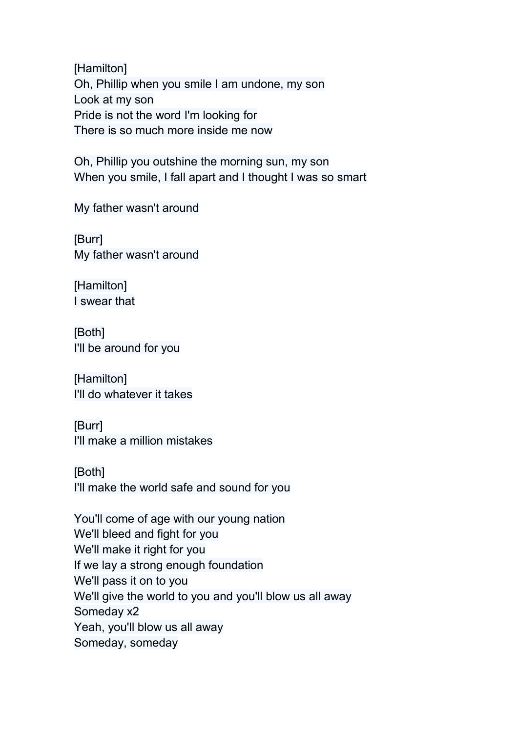[Hamilton] Oh, Phillip when you smile I am undone, my son Look at my son Pride is not the word I'm looking for There is so much more inside me now

Oh, Phillip you outshine the morning sun, my son When you smile, I fall apart and I thought I was so smart

My father wasn't around

[Burr] My father wasn't around

[Hamilton] I swear that

[Both] I'll be around for you

[Hamilton] I'll do whatever it takes

[Burr] I'll make a million mistakes

[Both] I'll make the world safe and sound for you

You'll come of age with our young nation We'll bleed and fight for you We'll make it right for you If we lay a strong enough foundation We'll pass it on to you We'll give the world to you and you'll blow us all away Someday x2 Yeah, you'll blow us all away Someday, someday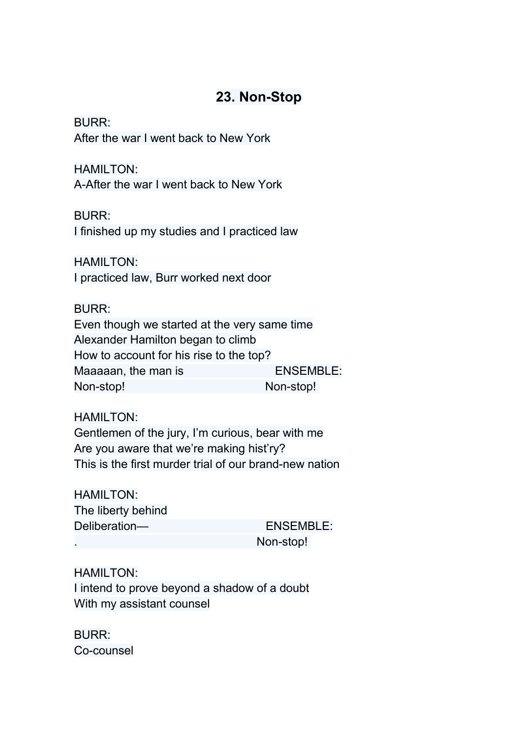# **23. Non-Stop**

BURR: After the war I went back to New York

HAMILTON: A-After the war I went back to New York

BURR:

I finished up my studies and I practiced law

HAMILTON: I practiced law, Burr worked next door

BURR:

Even though we started at the very same time Alexander Hamilton began to climb How to account for his rise to the top? Maaaaan, the man is **ENSEMBLE:** Non-stop! Non-stop!

HAMILTON:

Gentlemen of the jury, I'm curious, bear with me Are you aware that we're making hist'ry? This is the first murder trial of our brand-new nation

HAMILTON: The liberty behind Deliberation— ENSEMBLE:

Non-stop!

HAMILTON: I intend to prove beyond a shadow of a doubt

With my assistant counsel BURR:

Co-counsel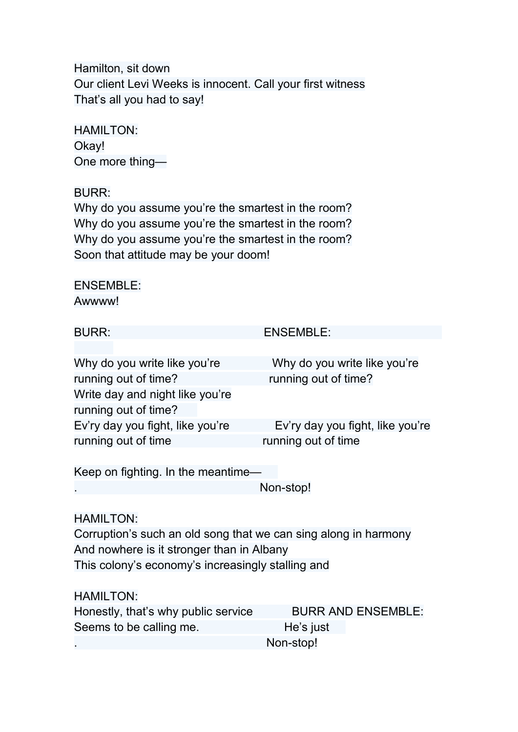Hamilton, sit down Our client Levi Weeks is innocent. Call your first witness That's all you had to say!

HAMILTON: Okay! One more thing—

## BURR:

Why do you assume you're the smartest in the room? Why do you assume you're the smartest in the room? Why do you assume you're the smartest in the room? Soon that attitude may be your doom!

ENSEMBLE: AWWWW

| <b>BURR:</b>                                                    | <b>ENSEMBLE:</b>                 |
|-----------------------------------------------------------------|----------------------------------|
|                                                                 |                                  |
| Why do you write like you're                                    | Why do you write like you're     |
| running out of time?                                            | running out of time?             |
| Write day and night like you're                                 |                                  |
| running out of time?                                            |                                  |
| Ev'ry day you fight, like you're                                | Ev'ry day you fight, like you're |
| running out of time                                             | running out of time              |
|                                                                 |                                  |
| Keep on fighting. In the meantime—                              |                                  |
|                                                                 | Non-stop!                        |
|                                                                 |                                  |
| <b>HAMILTON:</b>                                                |                                  |
| Corruption's such an old song that we can sing along in harmony |                                  |
| And pouchase is it stronger than in Albert                      |                                  |

And nowhere is it stronger than in Albany This colony's economy's increasingly stalling and

| <b>HAMILTON:</b>                    |           |                           |
|-------------------------------------|-----------|---------------------------|
| Honestly, that's why public service |           | <b>BURR AND ENSEMBLE:</b> |
| Seems to be calling me.             | He's just |                           |
|                                     | Non-stop! |                           |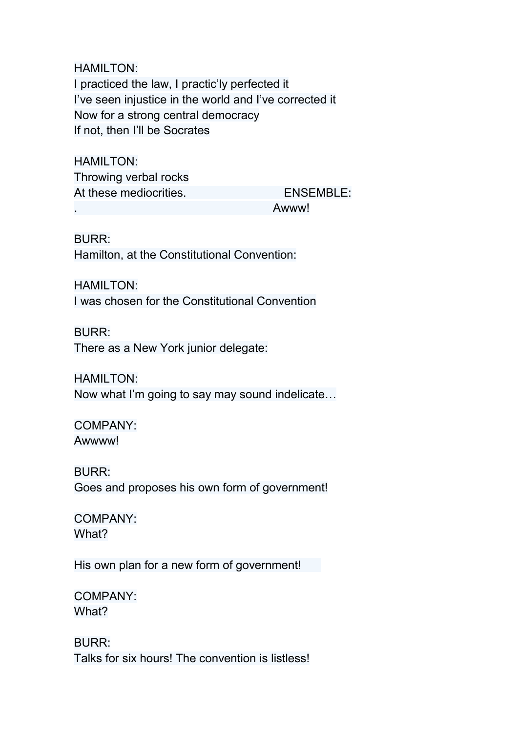HAMILTON: I practiced the law, I practic'ly perfected it I've seen injustice in the world and I've corrected it Now for a strong central democracy If not, then I'll be Socrates

HAMILTON: Throwing verbal rocks At these mediocrities. **ENSEMBLE:** 

. Awww!

BURR: Hamilton, at the Constitutional Convention:

HAMILTON: I was chosen for the Constitutional Convention

BURR: There as a New York junior delegate:

HAMILTON: Now what I'm going to say may sound indelicate…

COMPANY: Awwww!

BURR: Goes and proposes his own form of government!

COMPANY: What?

His own plan for a new form of government!

COMPANY: What?

BURR: Talks for six hours! The convention is listless!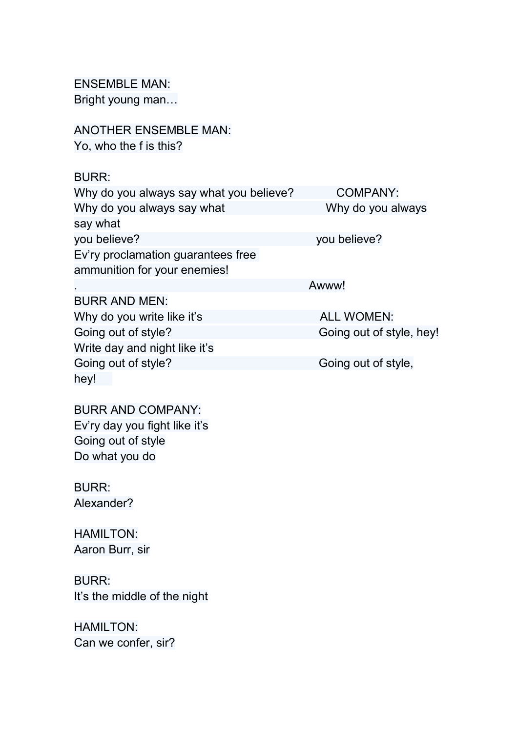ENSEMBLE MAN: Bright young man…

## ANOTHER ENSEMBLE MAN: Yo, who the f is this?

### BURR:

| Why do you always say what you believe? | <b>COMPANY:</b>   |
|-----------------------------------------|-------------------|
| Why do you always say what              | Why do you always |
| say what                                |                   |
| you believe?                            | you believe?      |
| Ev'ry proclamation guarantees free      |                   |
| ammunition for your enemies!            |                   |
|                                         | Awww!             |

BURR AND MEN: Why do you write like it's ALL WOMEN: Going out of style? Going out of style, hey! Write day and night like it's Going out of style? Going out of style, hey!

## BURR AND COMPANY:

Ev'ry day you fight like it's Going out of style Do what you do

## BURR:

Alexander?

## HAMILTON: Aaron Burr, sir

BURR: It's the middle of the night

HAMILTON: Can we confer, sir?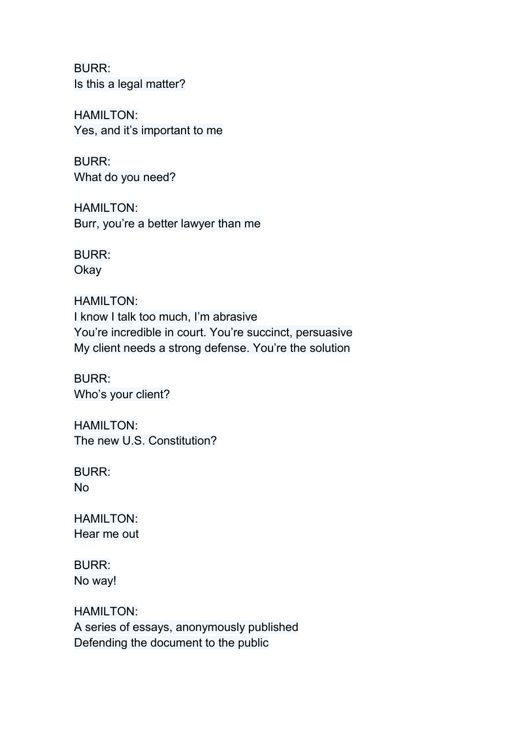BURR: Is this a legal matter?

HAMILTON: Yes, and it's important to me

BURR: What do you need?

HAMILTON<sup>.</sup> Burr, you're a better lawyer than me

BURR: **Okay** 

HAMILTON: I know I talk too much, I'm abrasive You're incredible in court. You're succinct, persuasive My client needs a strong defense. You're the solution

BURR: Who's your client?

HAMILTON: The new U.S. Constitution?

BURR: No

HAMILTON: Hear me out

BURR: No way!

HAMILTON: A series of essays, anonymously published Defending the document to the public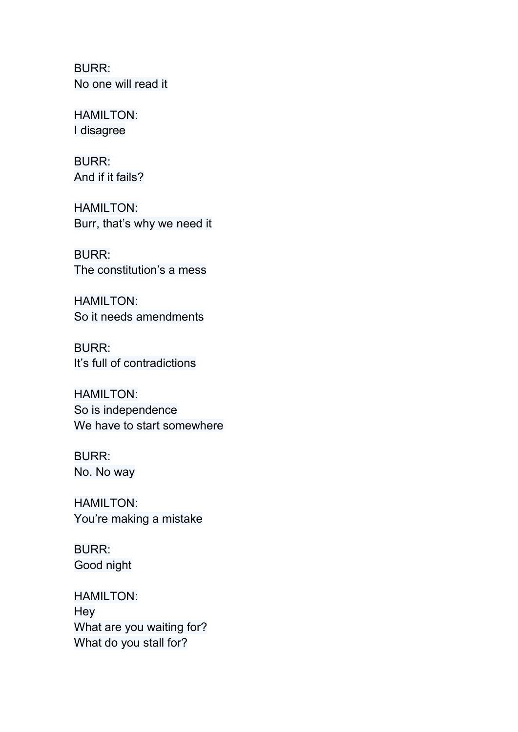BURR: No one will read it

HAMILTON: I disagree

BURR: And if it fails?

HAMILTON: Burr, that's why we need it

BURR: The constitution's a mess

HAMILTON: So it needs amendments

BURR: It's full of contradictions

HAMILTON: So is independence We have to start somewhere

BURR: No. No way

HAMILTON: You're making a mistake

BURR: Good night

HAMILTON: Hey What are you waiting for? What do you stall for?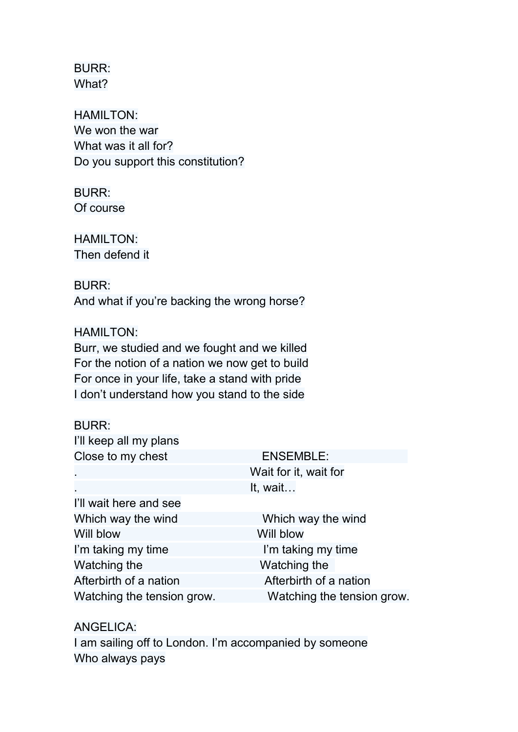BURR: What?

HAMILTON: We won the war What was it all for? Do you support this constitution?

BURR: Of course

HAMILTON: Then defend it

BURR: And what if you're backing the wrong horse?

### HAMILTON:

Burr, we studied and we fought and we killed For the notion of a nation we now get to build For once in your life, take a stand with pride I don't understand how you stand to the side

#### BURR:

I'll keep all my plans Close to my chest ENSEMBLE:

. Wait for it, wait for . It, wait…

I'll wait here and see Which way the wind Which way the wind Will blow Will blow I'm taking my time I'm taking my time Watching the Watching the Afterbirth of a nation **Afterbirth of a nation** 

Watching the tension grow. Watching the tension grow.

ANGELICA: I am sailing off to London. I'm accompanied by someone Who always pays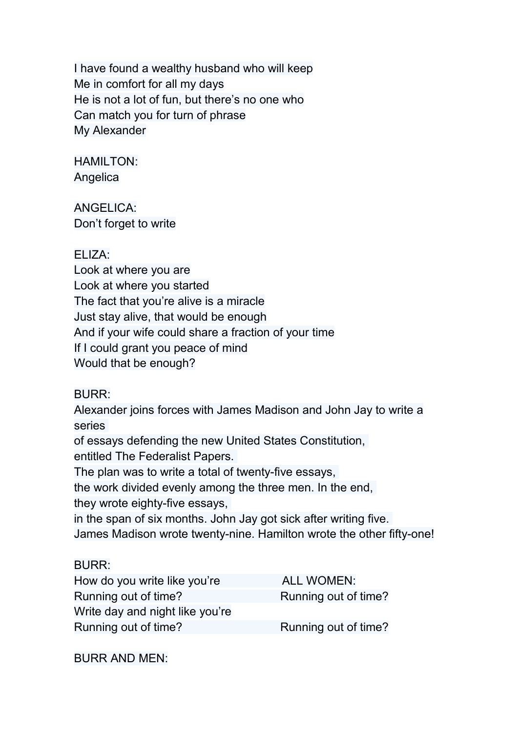I have found a wealthy husband who will keep Me in comfort for all my days He is not a lot of fun, but there's no one who Can match you for turn of phrase My Alexander

## HAMILTON: Angelica

## ANGELICA: Don't forget to write

## ELIZA:

Look at where you are Look at where you started The fact that you're alive is a miracle Just stay alive, that would be enough And if your wife could share a fraction of your time If I could grant you peace of mind Would that be enough?

## BURR:

Alexander joins forces with James Madison and John Jay to write a series

of essays defending the new United States Constitution,

entitled The Federalist Papers.

The plan was to write a total of twenty-five essays,

the work divided evenly among the three men. In the end,

they wrote eighty-five essays,

in the span of six months. John Jay got sick after writing five.

James Madison wrote twenty-nine. Hamilton wrote the other fifty-one!

## BURR:

| How do you write like you're    | <b>ALL WOMEN:</b>    |
|---------------------------------|----------------------|
|                                 |                      |
| Running out of time?            | Running out of time? |
| Write day and night like you're |                      |
| Running out of time?            | Running out of time? |

BURR AND MEN: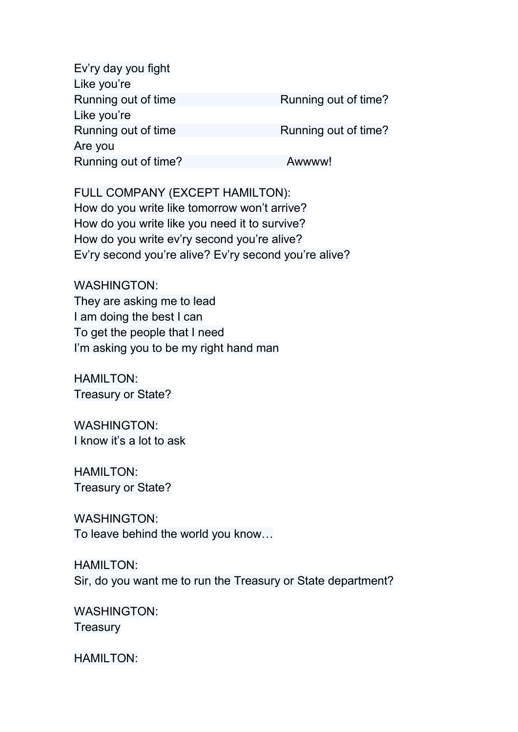| Ev'ry day you fight  |                      |
|----------------------|----------------------|
| Like you're          |                      |
| Running out of time  | Running out of time? |
| Like you're          |                      |
| Running out of time  | Running out of time? |
| Are you              |                      |
| Running out of time? | Awwww!               |

FULL COMPANY (EXCEPT HAMILTON): How do you write like tomorrow won't arrive? How do you write like you need it to survive? How do you write ev'ry second you're alive? Ev'ry second you're alive? Ev'ry second you're alive?

WASHINGTON: They are asking me to lead I am doing the best I can To get the people that I need I'm asking you to be my right hand man

HAMILTON: Treasury or State?

WASHINGTON: I know it's a lot to ask

HAMILTON<sup>.</sup> Treasury or State?

WASHINGTON: To leave behind the world you know…

HAMILTON: Sir, do you want me to run the Treasury or State department?

WASHINGTON: **Treasury** 

HAMILTON: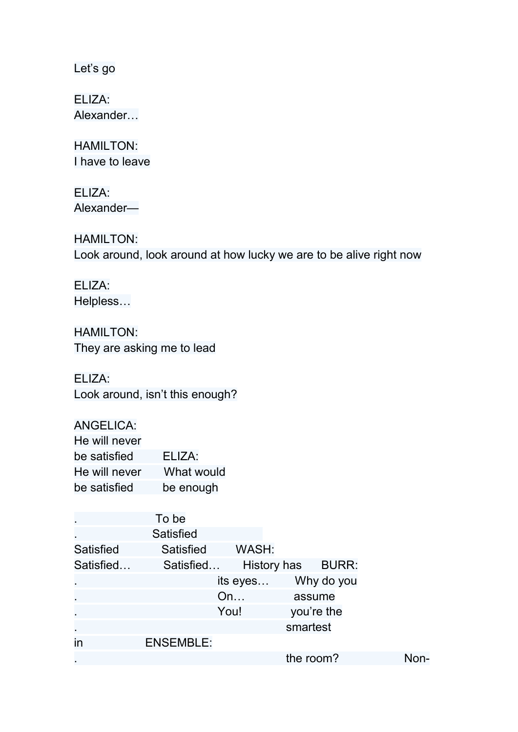Let's go

ELIZA: Alexander…

HAMILTON: I have to leave

ELIZA: Alexander—

HAMILTON: Look around, look around at how lucky we are to be alive right now

ELIZA: Helpless…

HAMILTON: They are asking me to lead

ELIZA: Look around, isn't this enough?

ANGELICA: He will never be satisfied ELIZA: He will never What would be satisfied be enough

| $\blacksquare$ | To be            |                     |          |                   |
|----------------|------------------|---------------------|----------|-------------------|
| ٠              | <b>Satisfied</b> |                     |          |                   |
| Satisfied      | Satisfied        | WASH:               |          |                   |
| Satisfied      | Satisfied        |                     |          | History has BURR: |
| $\blacksquare$ |                  | its eyes Why do you |          |                   |
| ٠              |                  | On                  |          | assume            |
| ٠              |                  | You!                |          | you're the        |
| ٠              |                  |                     | smartest |                   |
| in             | <b>ENSEMBLE:</b> |                     |          |                   |
| ٠              |                  |                     |          | the room?         |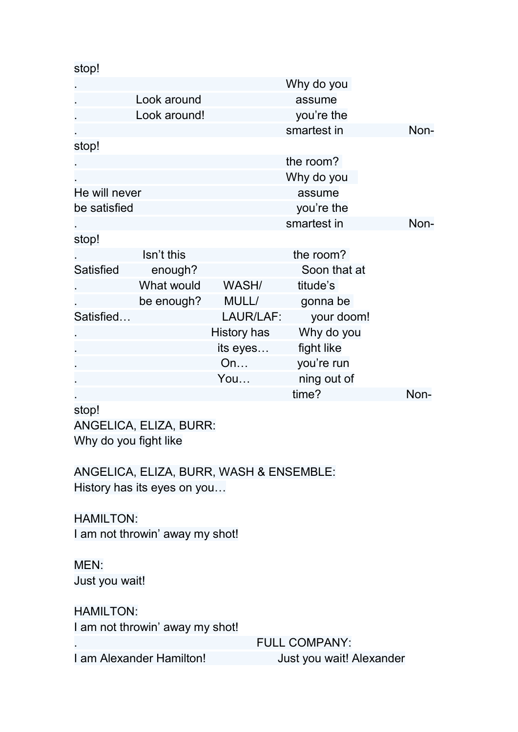stop!

|                  |              | Why do you  |              |      |
|------------------|--------------|-------------|--------------|------|
|                  | Look around  | assume      |              |      |
|                  | Look around! |             | you're the   |      |
|                  |              |             | smartest in  | Non- |
| stop!            |              |             |              |      |
|                  |              |             | the room?    |      |
|                  |              |             | Why do you   |      |
| He will never    |              | assume      |              |      |
| be satisfied     |              | you're the  |              |      |
|                  |              |             | smartest in  | Non- |
| stop!            |              |             |              |      |
|                  | Isn't this   |             | the room?    |      |
| <b>Satisfied</b> | enough?      |             | Soon that at |      |
|                  | What would   | WASH/       | titude's     |      |
|                  | be enough?   | MULL/       | gonna be     |      |
| Satisfied        |              | LAUR/LAF:   | your doom!   |      |
|                  |              | History has | Why do you   |      |
|                  |              | its eyes    | fight like   |      |
|                  |              | On          | you're run   |      |
|                  |              | You         | ning out of  |      |
|                  |              |             | time?        | Non- |

stop!

ANGELICA, ELIZA, BURR: Why do you fight like

ANGELICA, ELIZA, BURR, WASH & ENSEMBLE: History has its eyes on you…

HAMILTON: I am not throwin' away my shot!

MEN: Just you wait!

HAMILTON: I am not throwin' away my shot!

. FULL COMPANY:

I am Alexander Hamilton! Just you wait! Alexander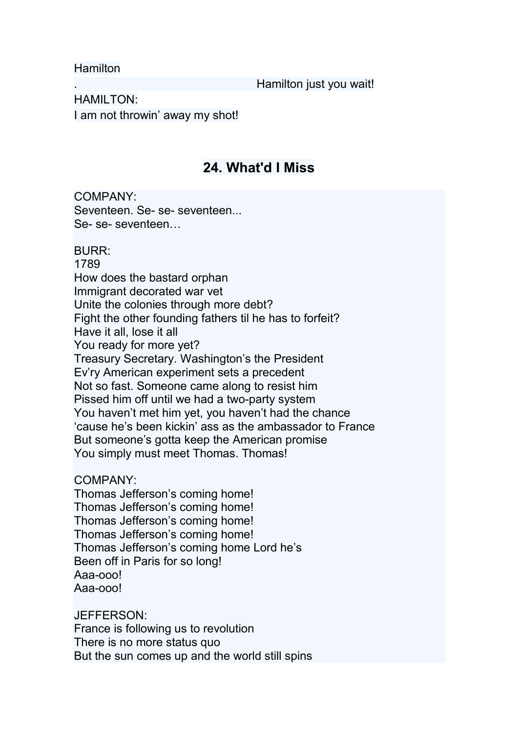**Hamilton** 

. Hamilton just you wait!

HAMILTON: I am not throwin' away my shot!

# **24. What'd I Miss**

COMPANY: Seventeen. Se- se- seventeen... Se- se- seventeen…

### BURR:

1789 How does the bastard orphan Immigrant decorated war vet Unite the colonies through more debt? Fight the other founding fathers til he has to forfeit? Have it all, lose it all You ready for more yet? Treasury Secretary. Washington's the President Ev'ry American experiment sets a precedent Not so fast. Someone came along to resist him Pissed him off until we had a two-party system You haven't met him yet, you haven't had the chance 'cause he's been kickin' ass as the ambassador to France But someone's gotta keep the American promise You simply must meet Thomas. Thomas!

## COMPANY:

Thomas Jefferson's coming home! Thomas Jefferson's coming home! Thomas Jefferson's coming home! Thomas Jefferson's coming home! Thomas Jefferson's coming home Lord he's Been off in Paris for so long! Aaa-ooo! Aaa-ooo!

JEFFERSON:

France is following us to revolution There is no more status quo But the sun comes up and the world still spins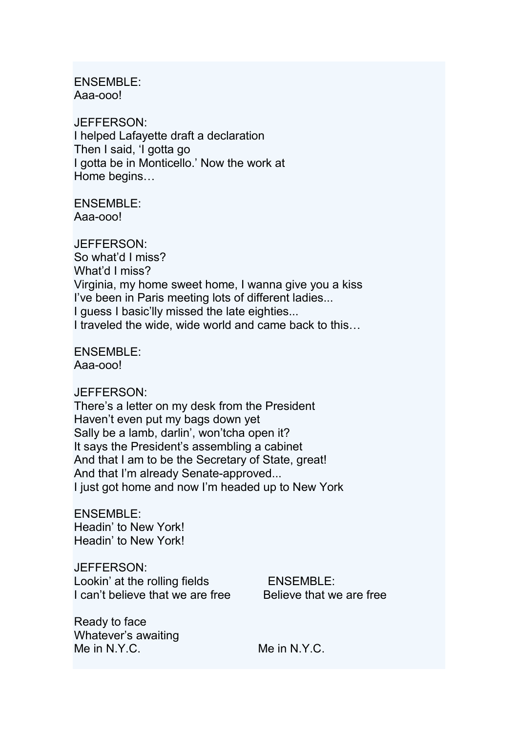ENSEMBLE: Aaa-ooo!

JEFFERSON: I helped Lafayette draft a declaration Then I said, 'I gotta go I gotta be in Monticello.' Now the work at Home begins…

ENSEMBLE: Aaa-ooo!

JEFFERSON: So what'd I miss? What'd I miss? Virginia, my home sweet home, I wanna give you a kiss I've been in Paris meeting lots of different ladies... I guess I basic'lly missed the late eighties... I traveled the wide, wide world and came back to this…

ENSEMBLE: Aaa-ooo!

#### JEFFERSON:

There's a letter on my desk from the President Haven't even put my bags down yet Sally be a lamb, darlin', won'tcha open it? It says the President's assembling a cabinet And that I am to be the Secretary of State, great! And that I'm already Senate-approved... I just got home and now I'm headed up to New York

ENSEMBLE: Headin' to New York! Headin' to New York!

JEFFERSON: Lookin' at the rolling fields ENSEMBLE: I can't believe that we are free Believe that we are free

Ready to face Whatever's awaiting Me in N.Y.C. Me in N.Y.C.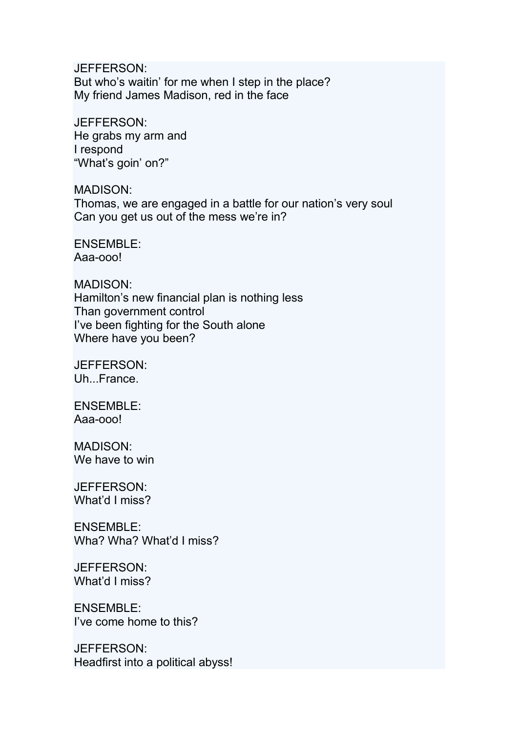#### JEFFERSON:

But who's waitin' for me when I step in the place? My friend James Madison, red in the face

### JEFFERSON:

He grabs my arm and I respond "What's goin' on?"

#### MADISON:

Thomas, we are engaged in a battle for our nation's very soul Can you get us out of the mess we're in?

# ENSEMBLE:

Aaa-ooo!

#### MADISON:

Hamilton's new financial plan is nothing less Than government control I've been fighting for the South alone Where have you been?

JEFFERSON: Uh...France.

ENSEMBLE: Aaa-ooo!

MADISON: We have to win

#### JEFFERSON: What'd I miss?

ENSEMBLE: Wha? Wha? What'd I miss?

### JEFFERSON: What'd I miss?

ENSEMBLE: I've come home to this?

JEFFERSON: Headfirst into a political abyss!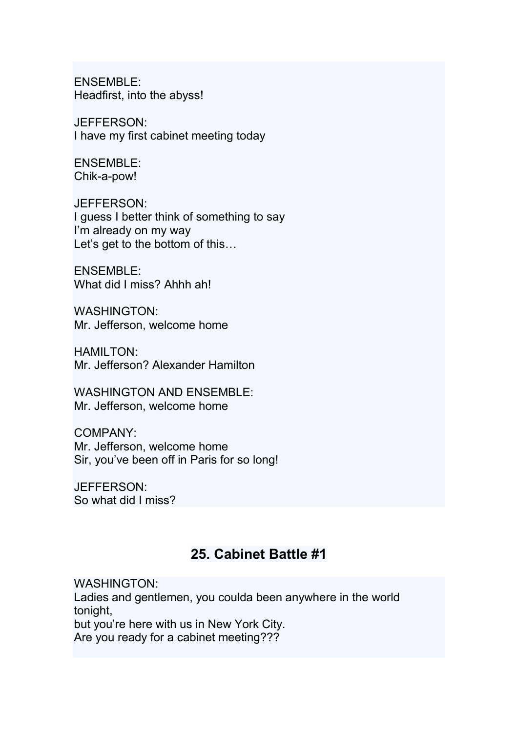ENSEMBLE: Headfirst, into the abyss!

JEFFERSON: I have my first cabinet meeting today

ENSEMBLE: Chik-a-pow!

JEFFERSON: I guess I better think of something to say I'm already on my way Let's get to the bottom of this...

ENSEMBLE: What did I miss? Ahhh ah!

WASHINGTON: Mr. Jefferson, welcome home

HAMILTON: Mr. Jefferson? Alexander Hamilton

WASHINGTON AND ENSEMBLE: Mr. Jefferson, welcome home

COMPANY: Mr. Jefferson, welcome home Sir, you've been off in Paris for so long!

JEFFERSON: So what did I miss?

# **25. Cabinet Battle #1**

WASHINGTON:

Ladies and gentlemen, you coulda been anywhere in the world tonight,

but you're here with us in New York City.

Are you ready for a cabinet meeting???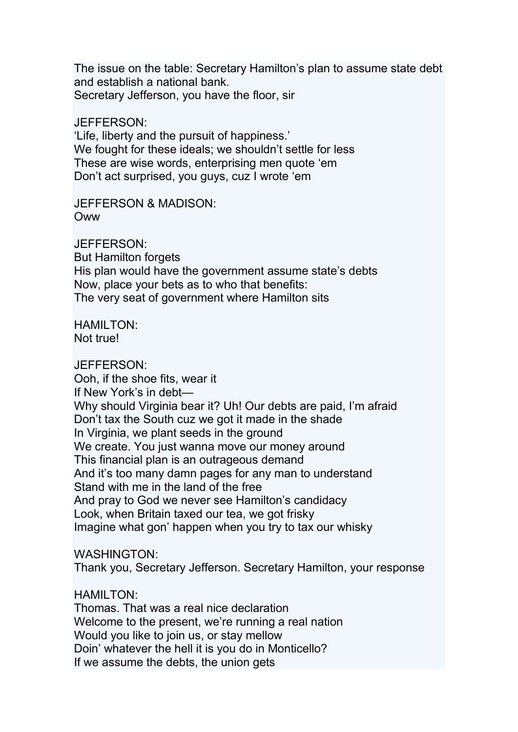The issue on the table: Secretary Hamilton's plan to assume state debt and establish a national bank. Secretary Jefferson, you have the floor, sir

JEFFERSON:

'Life, liberty and the pursuit of happiness.' We fought for these ideals; we shouldn't settle for less These are wise words, enterprising men quote 'em Don't act surprised, you guys, cuz I wrote 'em

JEFFERSON & MADISON: **Oww** 

JEFFERSON: But Hamilton forgets His plan would have the government assume state's debts Now, place your bets as to who that benefits: The very seat of government where Hamilton sits

HAMILTON: Not true!

JEFFERSON: Ooh, if the shoe fits, wear it If New York's in debt— Why should Virginia bear it? Uh! Our debts are paid, I'm afraid Don't tax the South cuz we got it made in the shade In Virginia, we plant seeds in the ground We create. You just wanna move our money around This financial plan is an outrageous demand And it's too many damn pages for any man to understand Stand with me in the land of the free And pray to God we never see Hamilton's candidacy Look, when Britain taxed our tea, we got frisky Imagine what gon' happen when you try to tax our whisky

WASHINGTON:

Thank you, Secretary Jefferson. Secretary Hamilton, your response

HAMILTON:

Thomas. That was a real nice declaration Welcome to the present, we're running a real nation Would you like to join us, or stay mellow Doin' whatever the hell it is you do in Monticello? If we assume the debts, the union gets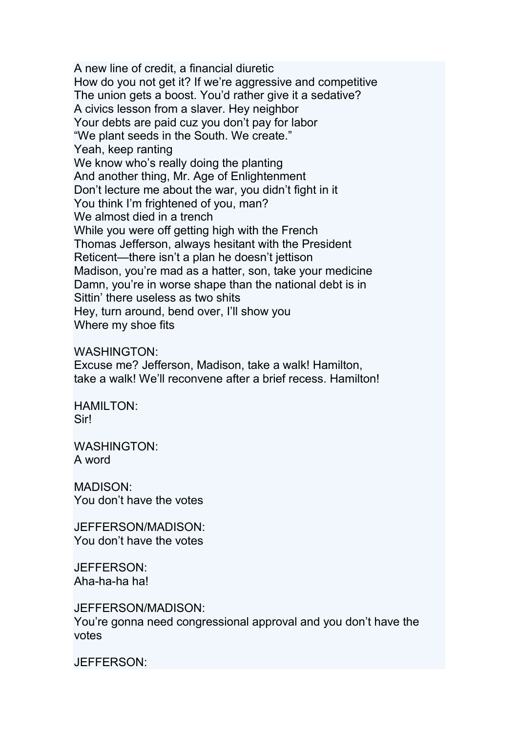A new line of credit, a financial diuretic How do you not get it? If we're aggressive and competitive The union gets a boost. You'd rather give it a sedative? A civics lesson from a slaver. Hey neighbor Your debts are paid cuz you don't pay for labor "We plant seeds in the South. We create." Yeah, keep ranting We know who's really doing the planting And another thing, Mr. Age of Enlightenment Don't lecture me about the war, you didn't fight in it You think I'm frightened of you, man? We almost died in a trench While you were off getting high with the French Thomas Jefferson, always hesitant with the President Reticent—there isn't a plan he doesn't jettison Madison, you're mad as a hatter, son, take your medicine Damn, you're in worse shape than the national debt is in Sittin' there useless as two shits Hey, turn around, bend over, I'll show you Where my shoe fits

#### WASHINGTON:

Excuse me? Jefferson, Madison, take a walk! Hamilton, take a walk! We'll reconvene after a brief recess. Hamilton!

HAMILTON: Sir!

WASHINGTON: A word

MADISON: You don't have the votes

JEFFERSON/MADISON: You don't have the votes

JEFFERSON: Aha-ha-ha ha!

#### JEFFERSON/MADISON:

You're gonna need congressional approval and you don't have the votes

JEFFERSON: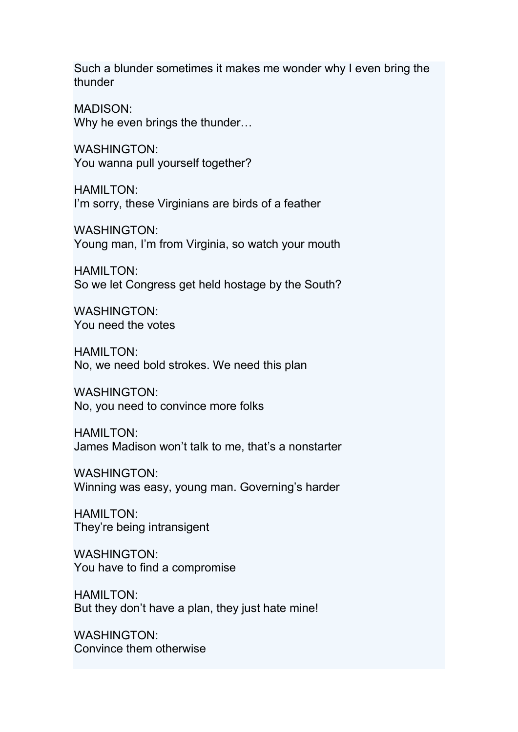Such a blunder sometimes it makes me wonder why I even bring the thunder

MADISON: Why he even brings the thunder…

WASHINGTON: You wanna pull yourself together?

HAMILTON: I'm sorry, these Virginians are birds of a feather

WASHINGTON: Young man, I'm from Virginia, so watch your mouth

HAMILTON: So we let Congress get held hostage by the South?

WASHINGTON: You need the votes

HAMILTON: No, we need bold strokes. We need this plan

WASHINGTON: No, you need to convince more folks

HAMILTON: James Madison won't talk to me, that's a nonstarter

WASHINGTON: Winning was easy, young man. Governing's harder

HAMILTON: They're being intransigent

WASHINGTON: You have to find a compromise

HAMILTON: But they don't have a plan, they just hate mine!

WASHINGTON: Convince them otherwise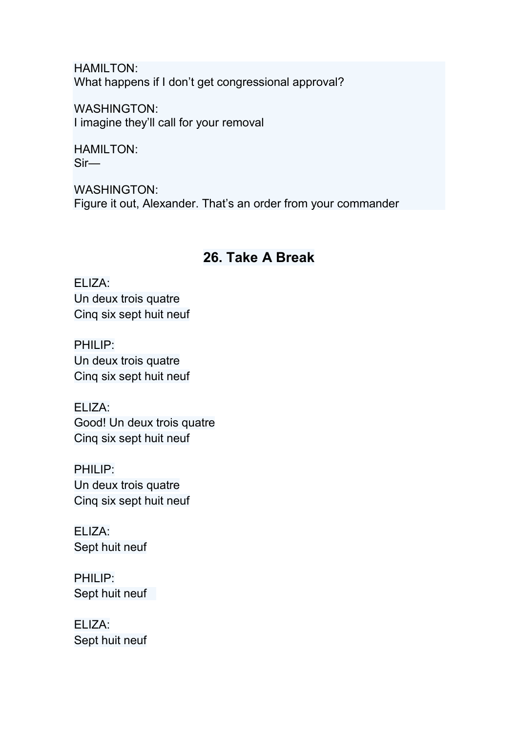HAMILTON: What happens if I don't get congressional approval?

WASHINGTON: I imagine they'll call for your removal

HAMILTON: Sir—

WASHINGTON: Figure it out, Alexander. That's an order from your commander

# **26. Take A Break**

ELIZA: Un deux trois quatre Cinq six sept huit neuf

PHILIP: Un deux trois quatre Cinq six sept huit neuf

ELIZA: Good! Un deux trois quatre Cinq six sept huit neuf

PHILIP: Un deux trois quatre Cinq six sept huit neuf

ELIZA: Sept huit neuf

PHILIP: Sept huit neuf

ELIZA: Sept huit neuf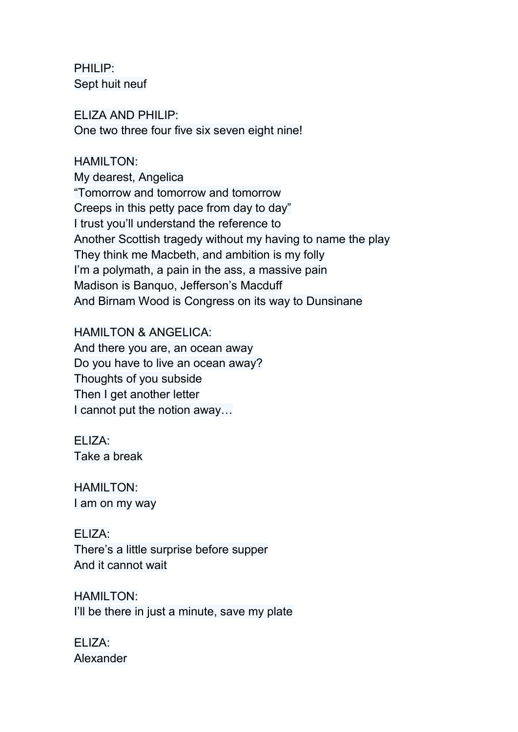PHILIP: Sept huit neuf

ELIZA AND PHILIP: One two three four five six seven eight nine!

### HAMILTON:

My dearest, Angelica "Tomorrow and tomorrow and tomorrow Creeps in this petty pace from day to day" I trust you'll understand the reference to Another Scottish tragedy without my having to name the play They think me Macbeth, and ambition is my folly I'm a polymath, a pain in the ass, a massive pain Madison is Banquo, Jefferson's Macduff And Birnam Wood is Congress on its way to Dunsinane

HAMILTON & ANGELICA: And there you are, an ocean away Do you have to live an ocean away? Thoughts of you subside Then I get another letter I cannot put the notion away…

ELIZA: Take a break

HAMILTON: I am on my way

ELIZA: There's a little surprise before supper And it cannot wait

HAMILTON: I'll be there in just a minute, save my plate

 $FI$  IZA: Alexander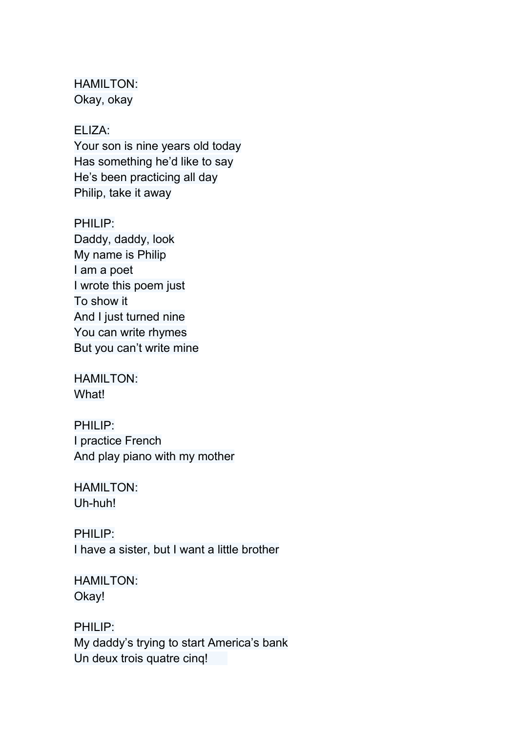HAMILTON: Okay, okay

### $FI$  IZA:

Your son is nine years old today Has something he'd like to say He's been practicing all day Philip, take it away

PHILIP: Daddy, daddy, look My name is Philip I am a poet I wrote this poem just To show it And I just turned nine You can write rhymes But you can't write mine

HAMILTON: What!

PHILIP: I practice French And play piano with my mother

HAMILTON: Uh-huh!

PHILIP: I have a sister, but I want a little brother

HAMILTON: Okay!

PHILIP: My daddy's trying to start America's bank Un deux trois quatre cinq!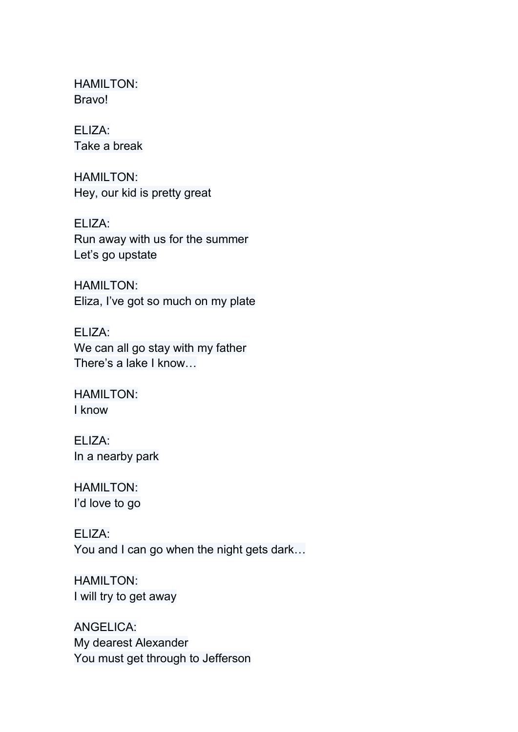HAMILTON: Bravo!

ELIZA: Take a break

HAMILTON: Hey, our kid is pretty great

ELIZA: Run away with us for the summer Let's go upstate

HAMILTON: Eliza, I've got so much on my plate

ELIZA: We can all go stay with my father There's a lake I know…

HAMILTON: I know

ELIZA: In a nearby park

HAMILTON: I'd love to go

ELIZA: You and I can go when the night gets dark...

HAMILTON: I will try to get away

ANGELICA: My dearest Alexander You must get through to Jefferson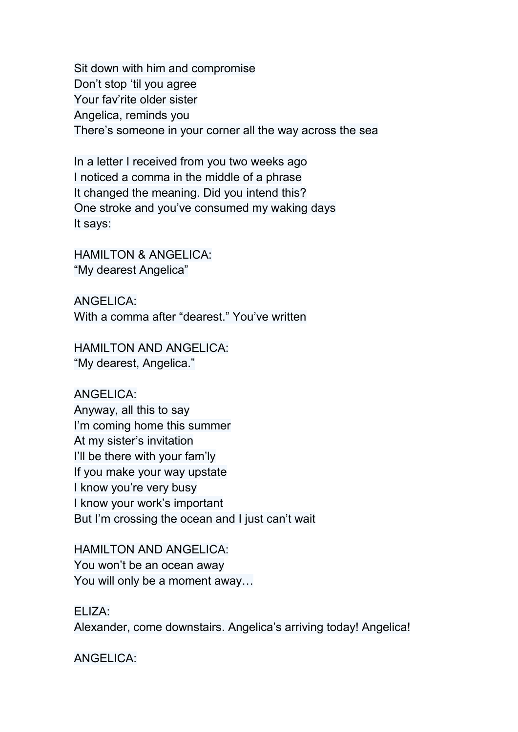Sit down with him and compromise Don't stop 'til you agree Your fav'rite older sister Angelica, reminds you There's someone in your corner all the way across the sea

In a letter I received from you two weeks ago I noticed a comma in the middle of a phrase It changed the meaning. Did you intend this? One stroke and you've consumed my waking days It says:

HAMILTON & ANGELICA: "My dearest Angelica"

ANGELICA: With a comma after "dearest." You've written

HAMILTON AND ANGELICA: "My dearest, Angelica."

ANGELICA: Anyway, all this to say I'm coming home this summer At my sister's invitation I'll be there with your fam'ly If you make your way upstate I know you're very busy I know your work's important But I'm crossing the ocean and I just can't wait

HAMILTON AND ANGELICA<sup>.</sup> You won't be an ocean away You will only be a moment away…

ELIZA: Alexander, come downstairs. Angelica's arriving today! Angelica!

ANGELICA: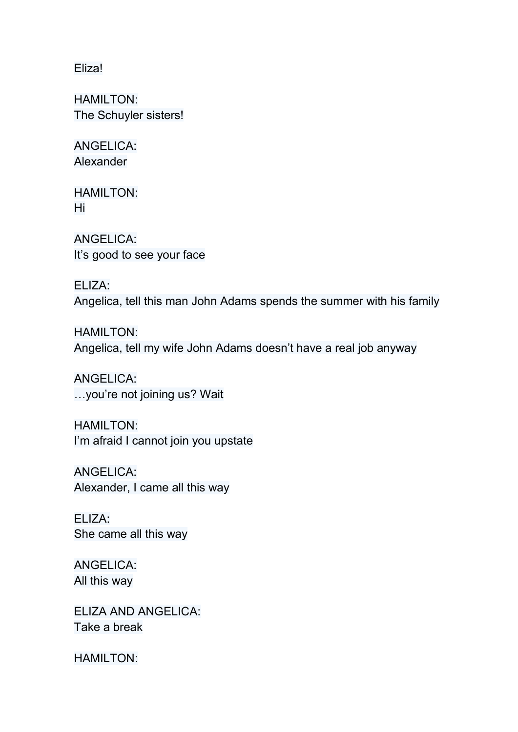Eliza!

HAMILTON: The Schuyler sisters!

ANGELICA: Alexander

HAMILTON: Hi

ANGELICA: It's good to see your face

ELIZA: Angelica, tell this man John Adams spends the summer with his family

HAMILTON: Angelica, tell my wife John Adams doesn't have a real job anyway

ANGELICA: …you're not joining us? Wait

HAMILTON: I'm afraid I cannot join you upstate

ANGELICA: Alexander, I came all this way

ELIZA: She came all this way

ANGELICA: All this way

ELIZA AND ANGELICA: Take a break

HAMILTON: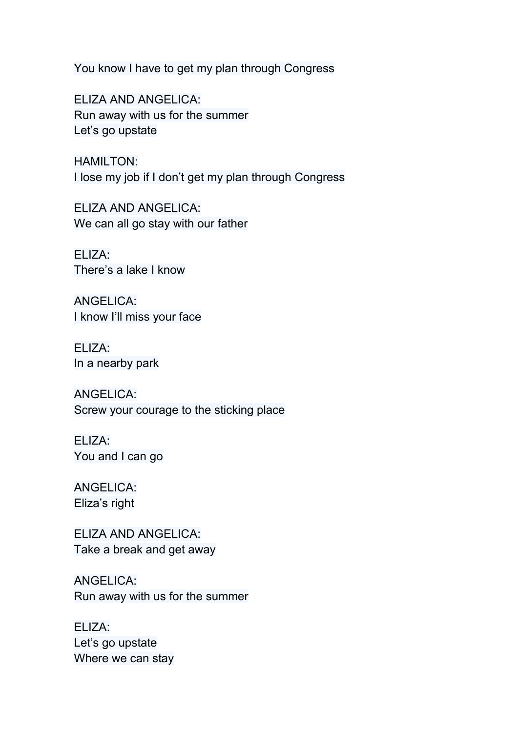You know I have to get my plan through Congress

ELIZA AND ANGELICA: Run away with us for the summer Let's go upstate

HAMILTON: I lose my job if I don't get my plan through Congress

ELIZA AND ANGELICA: We can all go stay with our father

ELIZA: There's a lake I know

ANGELICA: I know I'll miss your face

 $FI$  IZA: In a nearby park

ANGELICA: Screw your courage to the sticking place

ELIZA: You and I can go

ANGELICA: Eliza's right

ELIZA AND ANGELICA: Take a break and get away

ANGELICA: Run away with us for the summer

 $FI$  IZA: Let's go upstate Where we can stay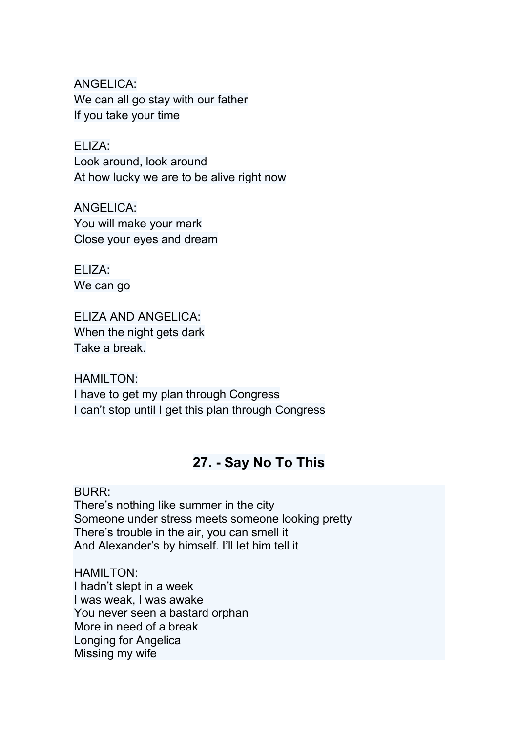ANGELICA: We can all go stay with our father If you take your time

ELIZA: Look around, look around At how lucky we are to be alive right now

ANGELICA: You will make your mark Close your eyes and dream

ELIZA: We can go

ELIZA AND ANGELICA: When the night gets dark Take a break.

HAMILTON: I have to get my plan through Congress I can't stop until I get this plan through Congress

# **27. - Say No To This**

BURR: There's nothing like summer in the city Someone under stress meets someone looking pretty There's trouble in the air, you can smell it And Alexander's by himself. I'll let him tell it

HAMILTON: I hadn't slept in a week I was weak, I was awake You never seen a bastard orphan More in need of a break Longing for Angelica Missing my wife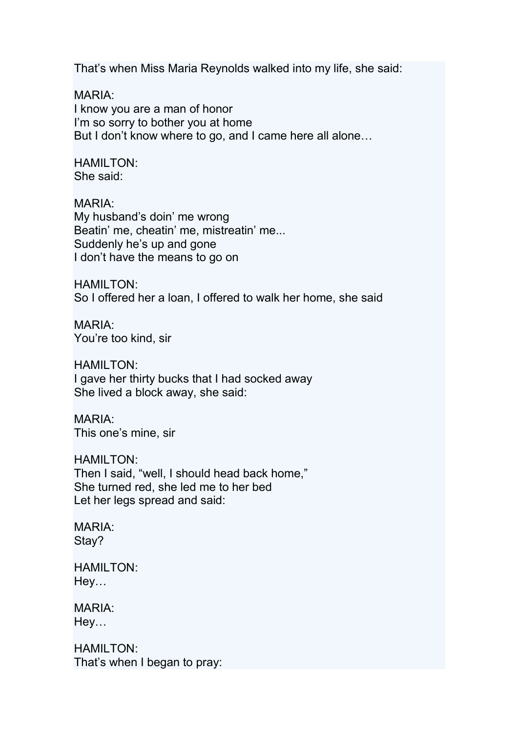That's when Miss Maria Reynolds walked into my life, she said:

MARIA: I know you are a man of honor I'm so sorry to bother you at home But I don't know where to go, and I came here all alone…

HAMILTON: She said:

MARIA: My husband's doin' me wrong Beatin' me, cheatin' me, mistreatin' me... Suddenly he's up and gone I don't have the means to go on

HAMILTON: So I offered her a loan, I offered to walk her home, she said

MARIA: You're too kind, sir

HAMILTON: I gave her thirty bucks that I had socked away She lived a block away, she said:

MARIA: This one's mine, sir

HAMILTON: Then I said, "well, I should head back home," She turned red, she led me to her bed Let her legs spread and said:

MARIA: Stay?

HAMILTON: Hey…

MARIA: Hey…

HAMILTON: That's when I began to pray: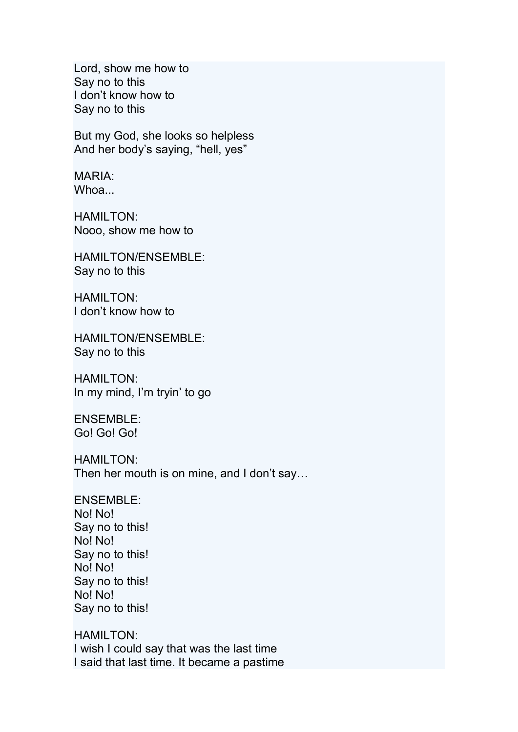Lord, show me how to Say no to this I don't know how to Say no to this

But my God, she looks so helpless And her body's saying, "hell, yes"

MARIA: Whoa...

HAMILTON: Nooo, show me how to

HAMILTON/ENSEMBLE: Say no to this

HAMILTON: I don't know how to

HAMILTON/ENSEMBLE: Say no to this

HAMILTON: In my mind, I'm tryin' to go

ENSEMBLE: Go! Go! Go!

HAMILTON: Then her mouth is on mine, and I don't say…

ENSEMBLE: No! No! Say no to this! No! No! Say no to this! No! No! Say no to this! No! No! Say no to this!

HAMILTON: I wish I could say that was the last time I said that last time. It became a pastime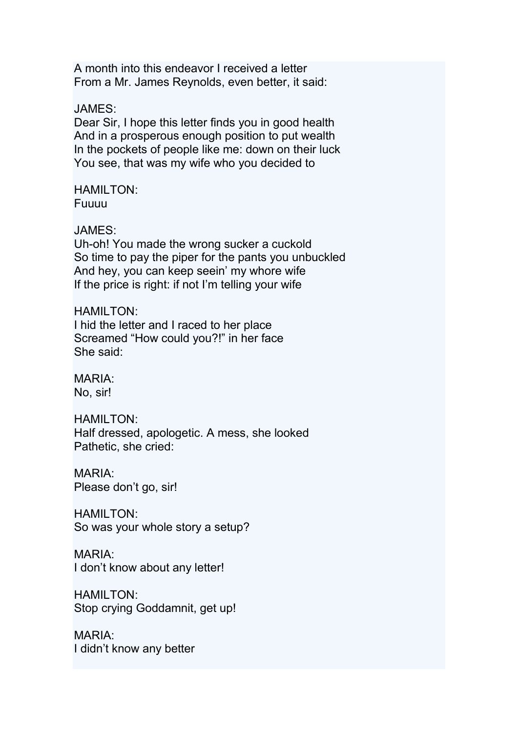A month into this endeavor I received a letter From a Mr. James Reynolds, even better, it said:

## JAMES:

Dear Sir, I hope this letter finds you in good health And in a prosperous enough position to put wealth In the pockets of people like me: down on their luck You see, that was my wife who you decided to

#### HAMILTON: Fuuuu

## JAMES:

Uh-oh! You made the wrong sucker a cuckold So time to pay the piper for the pants you unbuckled And hey, you can keep seein' my whore wife If the price is right: if not I'm telling your wife

## HAMILTON:

I hid the letter and I raced to her place Screamed "How could you?!" in her face She said:

MARIA: No, sir!

HAMILTON: Half dressed, apologetic. A mess, she looked Pathetic, she cried:

MARIA: Please don't go, sir!

HAMILTON: So was your whole story a setup?

MARIA: I don't know about any letter!

HAMILTON: Stop crying Goddamnit, get up!

MARIA: I didn't know any better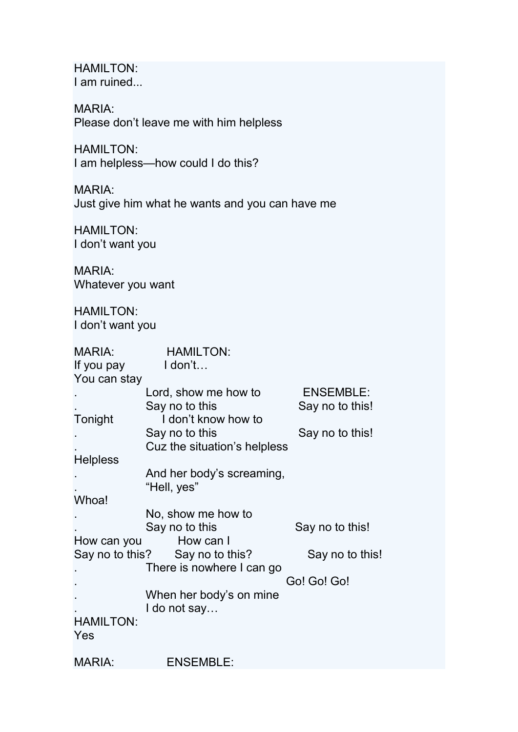HAMILTON: I am ruined...

MARIA: Please don't leave me with him helpless

HAMILTON: I am helpless—how could I do this?

MARIA: Just give him what he wants and you can have me

HAMILTON: I don't want you

MARIA: Whatever you want

HAMILTON: I don't want you

| <b>MARIA:</b>           | <b>HAMILTON:</b>                                                                |                                                        |
|-------------------------|---------------------------------------------------------------------------------|--------------------------------------------------------|
| If you pay              | I don't                                                                         |                                                        |
| You can stay            |                                                                                 |                                                        |
| Tonight                 | Lord, show me how to<br>Say no to this<br>I don't know how to<br>Say no to this | <b>ENSEMBLE:</b><br>Say no to this!<br>Say no to this! |
|                         | Cuz the situation's helpless                                                    |                                                        |
| <b>Helpless</b>         |                                                                                 |                                                        |
| Whoa!                   | And her body's screaming,<br>"Hell, yes"                                        |                                                        |
|                         | No, show me how to                                                              |                                                        |
| How can you             | Say no to this<br>How can I                                                     | Say no to this!                                        |
|                         | Say no to this? Say no to this?<br>There is nowhere I can go                    | Say no to this!                                        |
|                         |                                                                                 | Go! Go! Go!                                            |
| <b>HAMILTON:</b><br>Yes | When her body's on mine<br>I do not say                                         |                                                        |
|                         |                                                                                 |                                                        |
| <b>MARIA:</b>           | <b>ENSEMBLE:</b>                                                                |                                                        |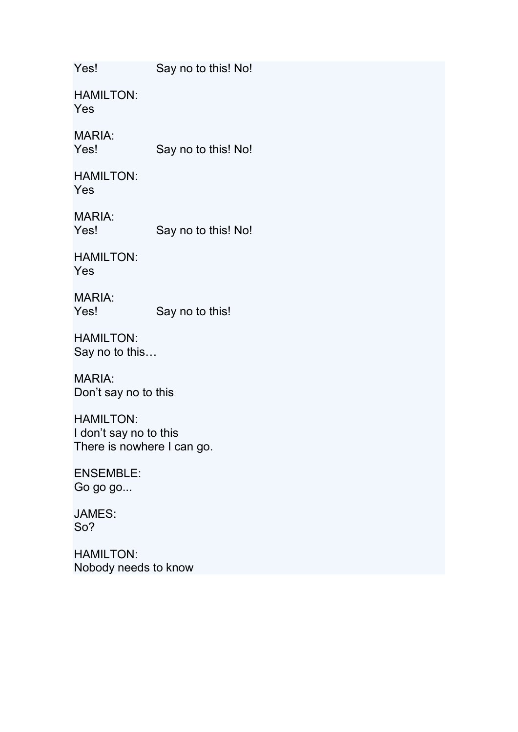| Yes!                                                                     | Say no to this! No! |  |
|--------------------------------------------------------------------------|---------------------|--|
| <b>HAMILTON:</b><br>Yes                                                  |                     |  |
| <b>MARIA:</b><br>Yes!                                                    | Say no to this! No! |  |
| <b>HAMILTON:</b><br>Yes                                                  |                     |  |
| <b>MARIA:</b><br>Yes!                                                    | Say no to this! No! |  |
| <b>HAMILTON:</b><br>Yes                                                  |                     |  |
| <b>MARIA:</b><br>Yes!                                                    | Say no to this!     |  |
| <b>HAMILTON:</b><br>Say no to this                                       |                     |  |
| <b>MARIA:</b><br>Don't say no to this                                    |                     |  |
| <b>HAMILTON:</b><br>I don't say no to this<br>There is nowhere I can go. |                     |  |
| <b>ENSEMBLE:</b>                                                         |                     |  |

Go go go...

JAMES: So?

HAMILTON: Nobody needs to know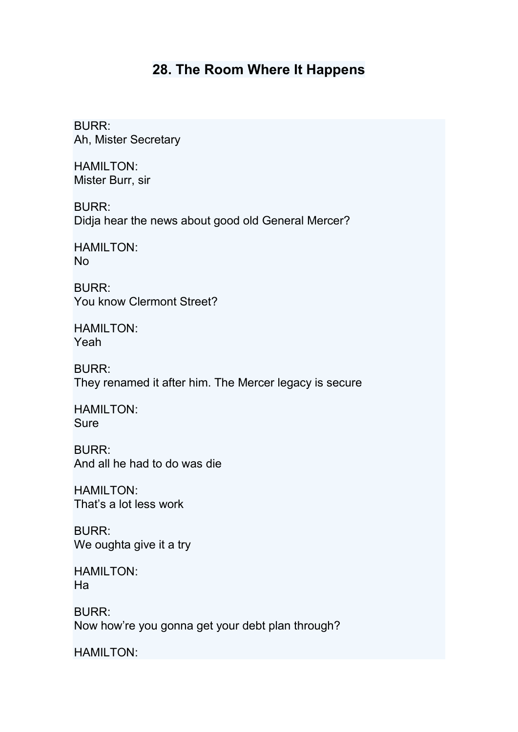## **28. The Room Where It Happens**

BURR: Ah, Mister Secretary

HAMILTON: Mister Burr, sir

BURR: Didja hear the news about good old General Mercer?

HAMILTON: No

BURR: You know Clermont Street?

HAMILTON: Yeah

BURR: They renamed it after him. The Mercer legacy is secure

HAMILTON: Sure

BURR: And all he had to do was die

HAMILTON: That's a lot less work

BURR: We oughta give it a try

HAMILTON: Ha

BURR: Now how're you gonna get your debt plan through?

HAMILTON: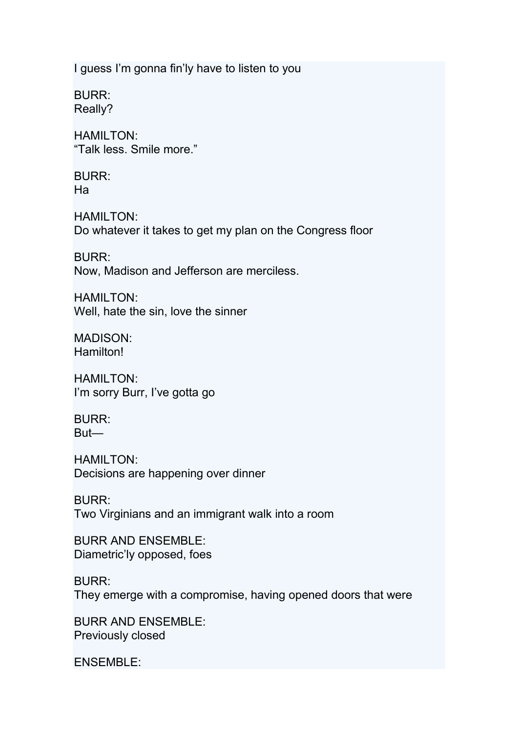I guess I'm gonna fin'ly have to listen to you

BURR: Really?

HAMILTON: "Talk less. Smile more."

BURR: Ha

HAMILTON: Do whatever it takes to get my plan on the Congress floor

BURR: Now, Madison and Jefferson are merciless.

HAMILTON: Well, hate the sin, love the sinner

MADISON: Hamilton!

HAMILTON: I'm sorry Burr, I've gotta go

BURR: But—

HAMILTON: Decisions are happening over dinner

BURR: Two Virginians and an immigrant walk into a room

BURR AND ENSEMBLE: Diametric'ly opposed, foes

BURR:

They emerge with a compromise, having opened doors that were

BURR AND ENSEMBLE: Previously closed

ENSEMBLE: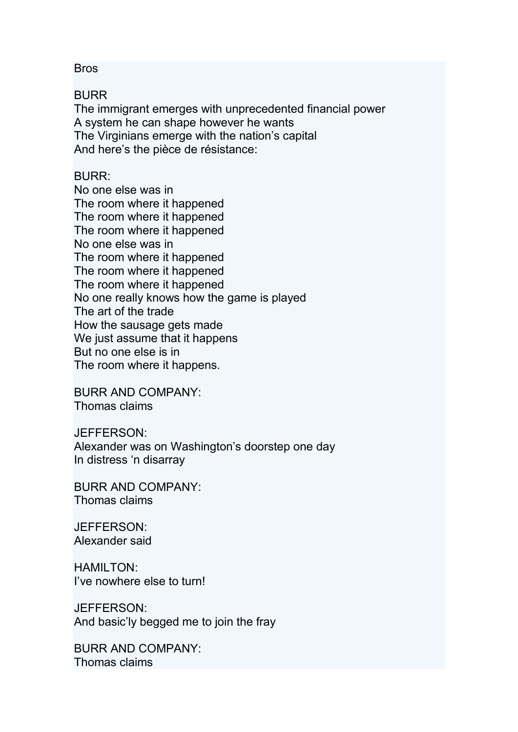## Bros

BURR The immigrant emerges with unprecedented financial power A system he can shape however he wants The Virginians emerge with the nation's capital And here's the pièce de résistance:

## BURR:

No one else was in The room where it happened The room where it happened The room where it happened No one else was in The room where it happened The room where it happened The room where it happened No one really knows how the game is played The art of the trade How the sausage gets made We just assume that it happens But no one else is in The room where it happens.

BURR AND COMPANY: Thomas claims

JEFFERSON:

Alexander was on Washington's doorstep one day In distress 'n disarray

BURR AND COMPANY: Thomas claims

JEFFERSON: Alexander said

HAMILTON: I've nowhere else to turn!

JEFFERSON: And basic'ly begged me to join the fray

BURR AND COMPANY: Thomas claims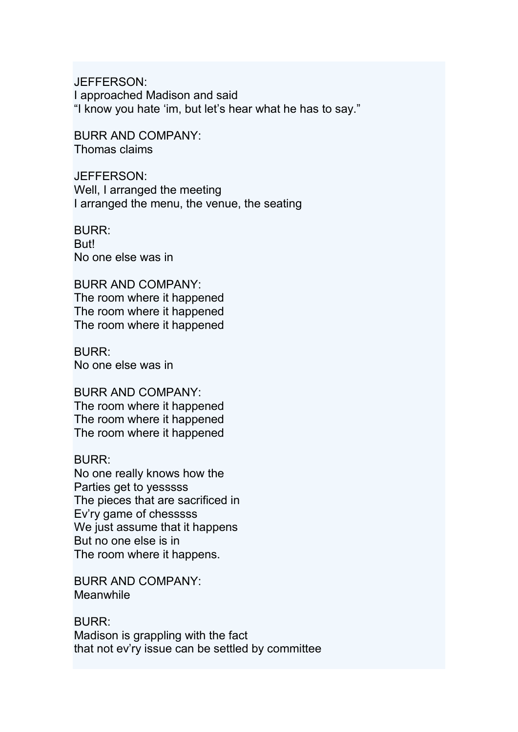JEFFERSON: I approached Madison and said "I know you hate 'im, but let's hear what he has to say."

BURR AND COMPANY: Thomas claims

JEFFERSON: Well, I arranged the meeting I arranged the menu, the venue, the seating

BURR: **But!** No one else was in

# BURR AND COMPANY:

The room where it happened The room where it happened The room where it happened

BURR: No one else was in

## BURR AND COMPANY:

The room where it happened The room where it happened The room where it happened

## BURR:

No one really knows how the Parties get to yesssss The pieces that are sacrificed in Ev'ry game of chesssss We just assume that it happens But no one else is in The room where it happens.

BURR AND COMPANY: **Meanwhile** 

## BURR:

Madison is grappling with the fact that not ev'ry issue can be settled by committee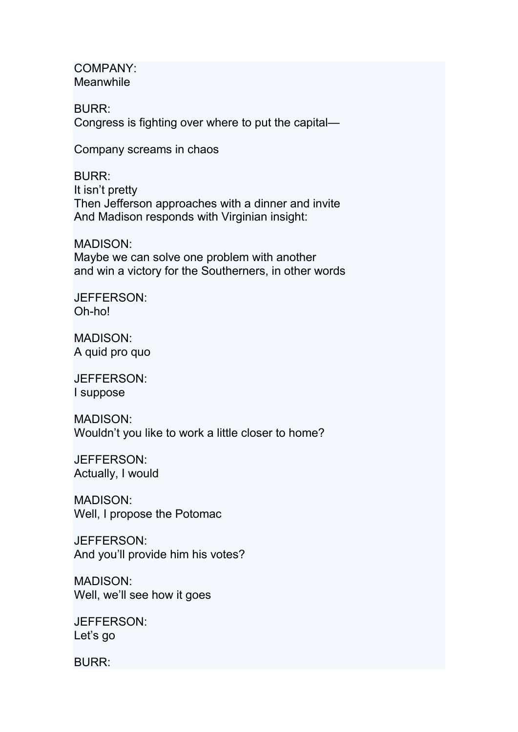COMPANY: Meanwhile

BURR: Congress is fighting over where to put the capital—

Company screams in chaos

BURR: It isn't pretty Then Jefferson approaches with a dinner and invite And Madison responds with Virginian insight:

MADISON: Maybe we can solve one problem with another and win a victory for the Southerners, in other words

JEFFERSON: Oh-ho!

MADISON: A quid pro quo

JEFFERSON: I suppose

MADISON: Wouldn't you like to work a little closer to home?

JEFFERSON: Actually, I would

MADISON: Well, I propose the Potomac

JEFFERSON: And you'll provide him his votes?

MADISON: Well, we'll see how it goes

JEFFERSON: Let's go

BURR: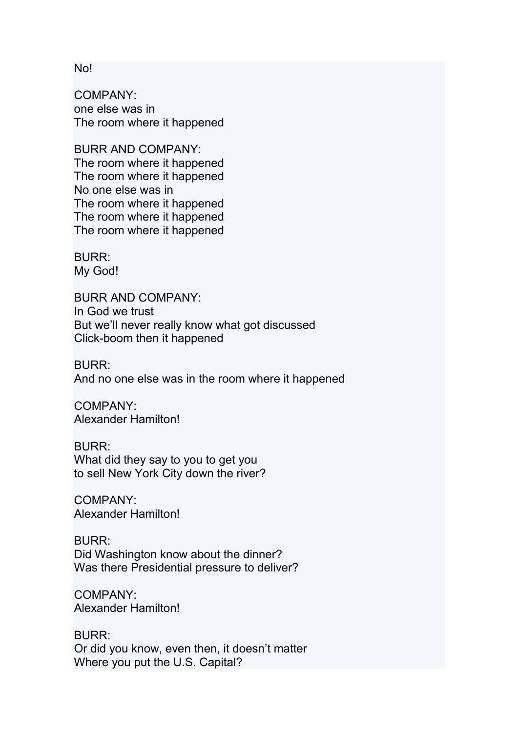No!

COMPANY: one else was in The room where it happened

BURR AND COMPANY: The room where it happened The room where it happened No one else was in The room where it happened The room where it happened The room where it happened

BURR: My God!

BURR AND COMPANY: In God we trust But we'll never really know what got discussed Click-boom then it happened

BURR: And no one else was in the room where it happened

COMPANY: Alexander Hamilton!

BURR: What did they say to you to get you to sell New York City down the river?

COMPANY: Alexander Hamilton!

BURR: Did Washington know about the dinner? Was there Presidential pressure to deliver?

COMPANY: Alexander Hamilton!

BURR: Or did you know, even then, it doesn't matter Where you put the U.S. Capital?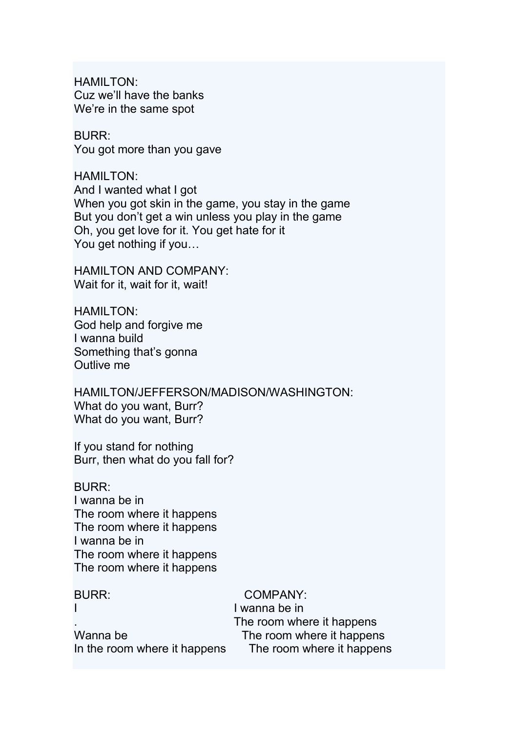HAMILTON: Cuz we'll have the banks We're in the same spot

## BURR:

You got more than you gave

HAMILTON: And I wanted what I got When you got skin in the game, you stay in the game But you don't get a win unless you play in the game Oh, you get love for it. You get hate for it You get nothing if you…

HAMILTON AND COMPANY: Wait for it, wait for it, wait!

HAMILTON: God help and forgive me I wanna build Something that's gonna Outlive me

HAMILTON/JEFFERSON/MADISON/WASHINGTON: What do you want, Burr? What do you want, Burr?

If you stand for nothing Burr, then what do you fall for?

#### BURR:

I wanna be in The room where it happens The room where it happens I wanna be in The room where it happens The room where it happens

| <b>BURR:</b> |
|--------------|
|--------------|

Wanna be The room where it happens In the room where it happens The room where it happens

COMPANY: I wanna be in

. The room where it happens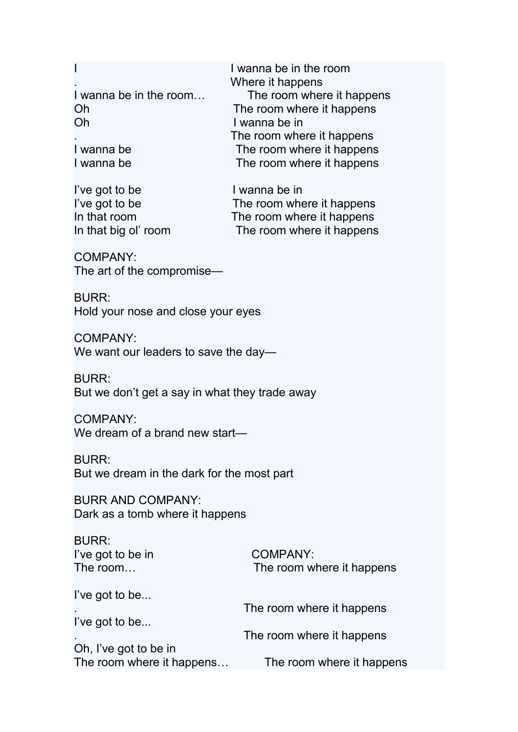# Oh I wanna be in

I've got to be I wanna be in

I I wanna be in the room . Where it happens I wanna be in the room… The room where it happens Oh The room where it happens . The room where it happens I wanna be The room where it happens I wanna be The room where it happens

I've got to be The room where it happens In that room The room where it happens In that big ol' room The room where it happens

COMPANY: The art of the compromise—

BURR: Hold your nose and close your eyes

COMPANY: We want our leaders to save the day—

BURR: But we don't get a say in what they trade away

COMPANY: We dream of a brand new start-

BURR:

But we dream in the dark for the most part

BURR AND COMPANY: Dark as a tomb where it happens

BURR: I've got to be in COMPANY:

The room... The room where it happens

I've got to be...

I've got to be...

. The room where it happens

. The room where it happens

Oh, I've got to be in The room where it happens... The room where it happens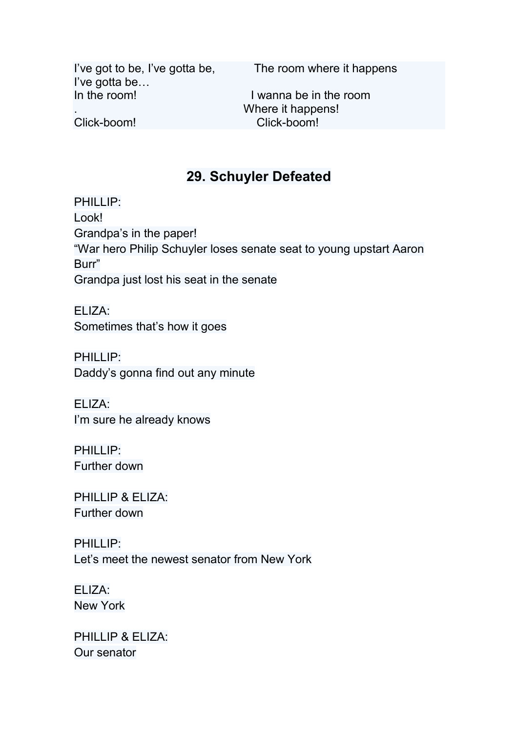I've got to be, I've gotta be, The room where it happens I've gotta be… In the room! I wanna be in the room

.<br>Click-boom! (Click-boom! Click-boom! Click-boom! Click-boom!

# **29. Schuyler Defeated**

PHILLIP: Look! Grandpa's in the paper! "War hero Philip Schuyler loses senate seat to young upstart Aaron Burr" Grandpa just lost his seat in the senate

 $FI$  IZA: Sometimes that's how it goes

PHILLIP: Daddy's gonna find out any minute

ELIZA: I'm sure he already knows

PHILLIP: Further down

PHILLIP & ELIZA: Further down

PHILLIP: Let's meet the newest senator from New York

ELIZA: New York

PHILLIP & ELIZA: Our senator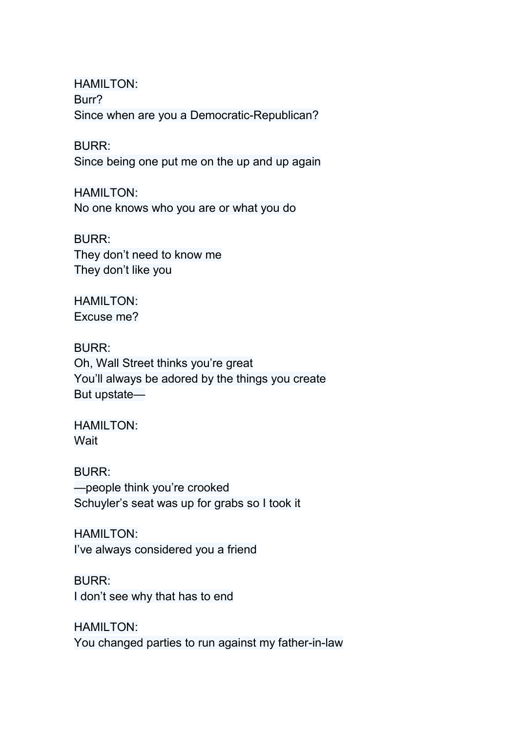HAMILTON: Burr? Since when are you a Democratic-Republican?

BURR:

Since being one put me on the up and up again

HAMILTON: No one knows who you are or what you do

BURR: They don't need to know me They don't like you

HAMII TON<sup>.</sup> Excuse me?

BURR: Oh, Wall Street thinks you're great You'll always be adored by the things you create But upstate—

HAMILTON: Wait

BURR: —people think you're crooked Schuyler's seat was up for grabs so I took it

HAMILTON: I've always considered you a friend

BURR: I don't see why that has to end

HAMILTON<sup>.</sup> You changed parties to run against my father-in-law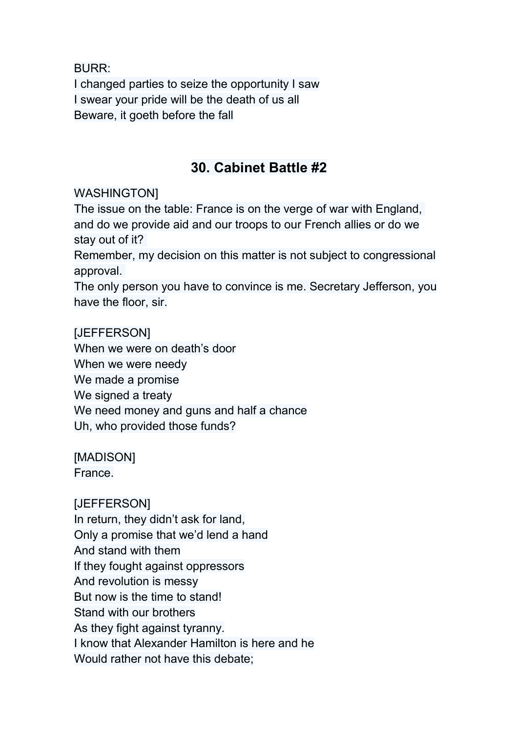BURR:

I changed parties to seize the opportunity I saw I swear your pride will be the death of us all Beware, it goeth before the fall

# **30. Cabinet Battle #2**

WASHINGTON]

The issue on the table: France is on the verge of war with England, and do we provide aid and our troops to our French allies or do we stay out of it?

Remember, my decision on this matter is not subject to congressional approval.

The only person you have to convince is me. Secretary Jefferson, you have the floor, sir.

## [JEFFERSON]

When we were on death's door When we were needy We made a promise We signed a treaty We need money and guns and half a chance Uh, who provided those funds?

[MADISON]

France.

## [JEFFERSON]

In return, they didn't ask for land, Only a promise that we'd lend a hand And stand with them If they fought against oppressors And revolution is messy But now is the time to stand! Stand with our brothers As they fight against tyranny. I know that Alexander Hamilton is here and he Would rather not have this debate;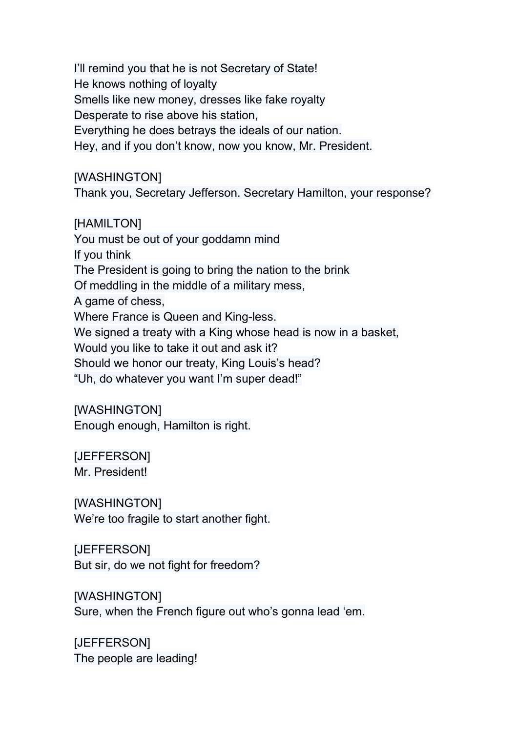I'll remind you that he is not Secretary of State! He knows nothing of loyalty Smells like new money, dresses like fake royalty Desperate to rise above his station, Everything he does betrays the ideals of our nation. Hey, and if you don't know, now you know, Mr. President.

[WASHINGTON]

Thank you, Secretary Jefferson. Secretary Hamilton, your response?

[HAMILTON] You must be out of your goddamn mind If you think The President is going to bring the nation to the brink Of meddling in the middle of a military mess, A game of chess, Where France is Queen and King-less. We signed a treaty with a King whose head is now in a basket, Would you like to take it out and ask it? Should we honor our treaty, King Louis's head?

"Uh, do whatever you want I'm super dead!"

[WASHINGTON] Enough enough, Hamilton is right.

[JEFFERSON] Mr. President!

[WASHINGTON] We're too fragile to start another fight.

[JEFFERSON] But sir, do we not fight for freedom?

[WASHINGTON] Sure, when the French figure out who's gonna lead 'em.

[JEFFERSON] The people are leading!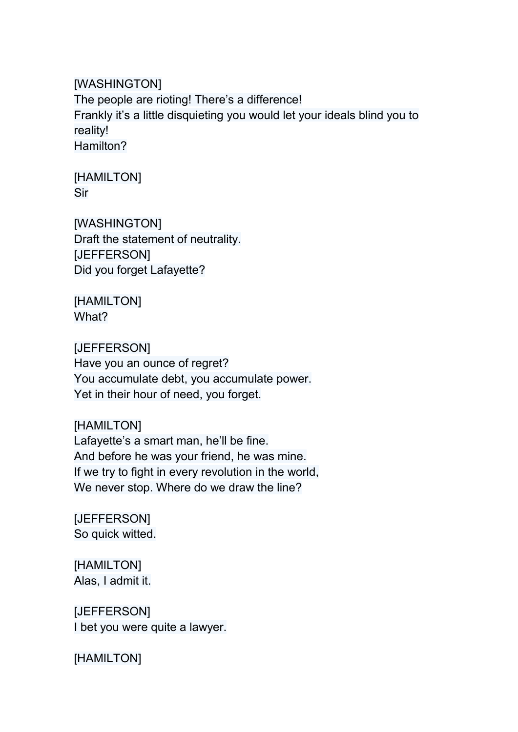## [WASHINGTON]

The people are rioting! There's a difference! Frankly it's a little disquieting you would let your ideals blind you to reality! Hamilton?

[HAMILTON] Sir

[WASHINGTON] Draft the statement of neutrality. [JEFFERSON] Did you forget Lafayette?

[HAMILTON] What?

[JEFFERSON] Have you an ounce of regret? You accumulate debt, you accumulate power. Yet in their hour of need, you forget.

[HAMILTON] Lafayette's a smart man, he'll be fine. And before he was your friend, he was mine. If we try to fight in every revolution in the world, We never stop. Where do we draw the line?

[JEFFERSON] So quick witted.

[HAMILTON] Alas, I admit it.

[JEFFERSON] I bet you were quite a lawyer.

[HAMILTON]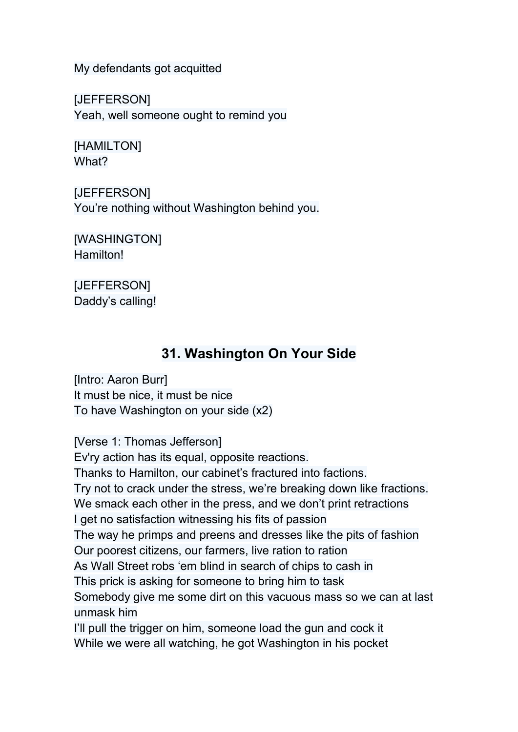My defendants got acquitted

[JEFFERSON] Yeah, well someone ought to remind you

[HAMILTON] What?

[JEFFERSON] You're nothing without Washington behind you.

[WASHINGTON] Hamilton!

[JEFFERSON] Daddy's calling!

# **31. Washington On Your Side**

[Intro: Aaron Burr] It must be nice, it must be nice To have Washington on your side (x2)

[Verse 1: Thomas Jefferson] Ev'ry action has its equal, opposite reactions. Thanks to Hamilton, our cabinet's fractured into factions. Try not to crack under the stress, we're breaking down like fractions. We smack each other in the press, and we don't print retractions I get no satisfaction witnessing his fits of passion The way he primps and preens and dresses like the pits of fashion Our poorest citizens, our farmers, live ration to ration As Wall Street robs 'em blind in search of chips to cash in This prick is asking for someone to bring him to task Somebody give me some dirt on this vacuous mass so we can at last unmask him I'll pull the trigger on him, someone load the gun and cock it While we were all watching, he got Washington in his pocket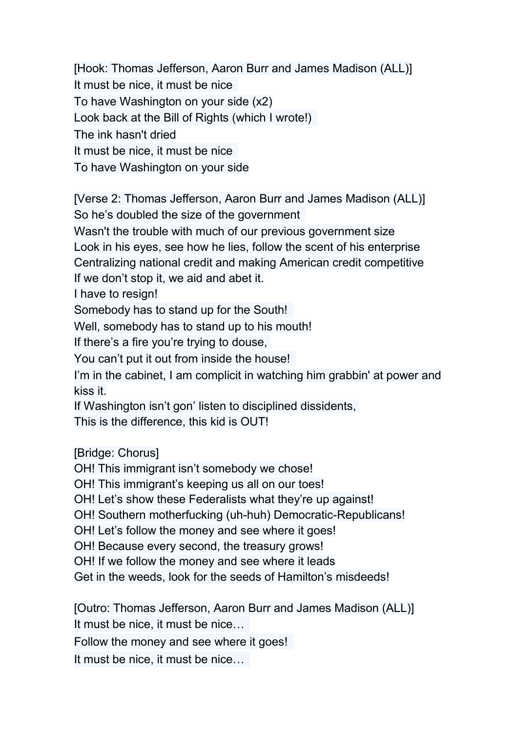[Hook: Thomas Jefferson, Aaron Burr and James Madison (ALL)] It must be nice, it must be nice To have Washington on your side (x2) Look back at the Bill of Rights (which I wrote!) The ink hasn't dried It must be nice, it must be nice To have Washington on your side

[Verse 2: Thomas Jefferson, Aaron Burr and James Madison (ALL)] So he's doubled the size of the government

Wasn't the trouble with much of our previous government size Look in his eyes, see how he lies, follow the scent of his enterprise Centralizing national credit and making American credit competitive If we don't stop it, we aid and abet it.

I have to resign!

Somebody has to stand up for the South!

Well, somebody has to stand up to his mouth!

If there's a fire you're trying to douse,

You can't put it out from inside the house!

I'm in the cabinet, I am complicit in watching him grabbin' at power and kiss it.

If Washington isn't gon' listen to disciplined dissidents, This is the difference, this kid is OUT!

[Bridge: Chorus]

OH! This immigrant isn't somebody we chose!

OH! This immigrant's keeping us all on our toes!

OH! Let's show these Federalists what they're up against!

OH! Southern motherfucking (uh-huh) Democratic-Republicans!

OH! Let's follow the money and see where it goes!

OH! Because every second, the treasury grows!

OH! If we follow the money and see where it leads

Get in the weeds, look for the seeds of Hamilton's misdeeds!

[Outro: Thomas Jefferson, Aaron Burr and James Madison (ALL)]

It must be nice, it must be nice…

Follow the money and see where it goes!

It must be nice, it must be nice…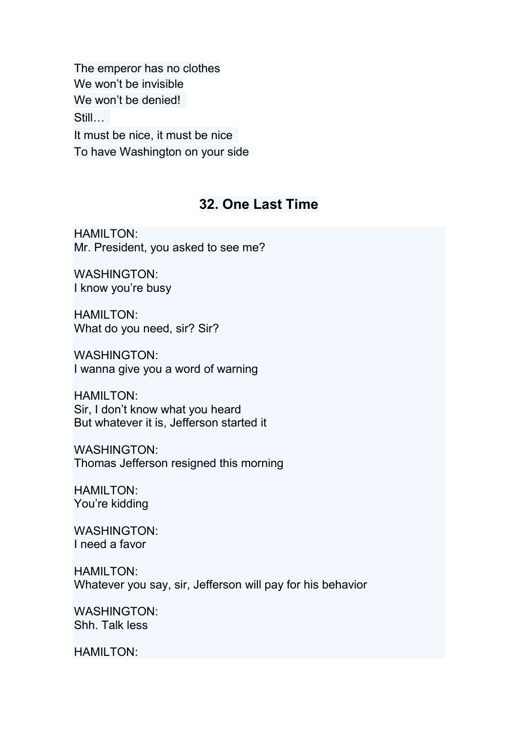The emperor has no clothes We won't be invisible We won't be denied! Still… It must be nice, it must be nice To have Washington on your side

# **32. One Last Time**

HAMILTON: Mr. President, you asked to see me?

WASHINGTON: I know you're busy

HAMILTON: What do you need, sir? Sir?

WASHINGTON: I wanna give you a word of warning

HAMILTON: Sir, I don't know what you heard But whatever it is, Jefferson started it

WASHINGTON: Thomas Jefferson resigned this morning

HAMILTON: You're kidding

WASHINGTON: I need a favor

HAMILTON: Whatever you say, sir, Jefferson will pay for his behavior

WASHINGTON: Shh. Talk less

HAMILTON: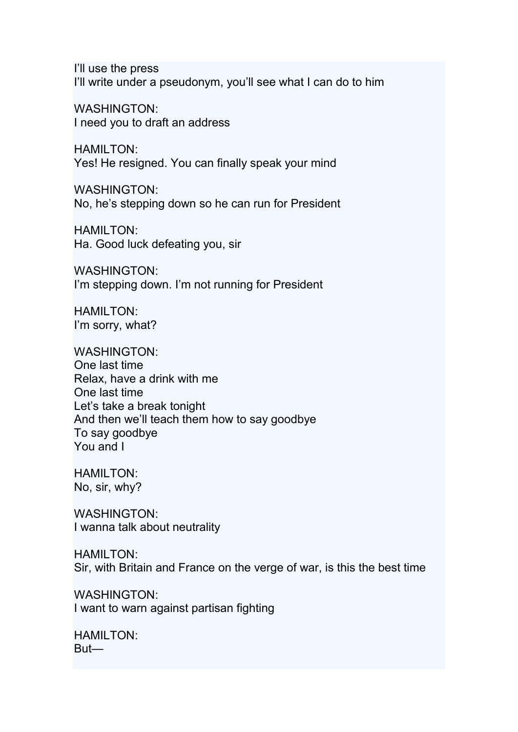I'll use the press I'll write under a pseudonym, you'll see what I can do to him

WASHINGTON: I need you to draft an address

HAMILTON: Yes! He resigned. You can finally speak your mind

WASHINGTON: No, he's stepping down so he can run for President

HAMILTON: Ha. Good luck defeating you, sir

WASHINGTON: I'm stepping down. I'm not running for President

HAMILTON: I'm sorry, what?

WASHINGTON: One last time Relax, have a drink with me One last time Let's take a break tonight And then we'll teach them how to say goodbye To say goodbye You and I

HAMILTON<sup>.</sup> No, sir, why?

WASHINGTON: I wanna talk about neutrality

HAMILTON: Sir, with Britain and France on the verge of war, is this the best time

WASHINGTON: I want to warn against partisan fighting

HAMILTON: But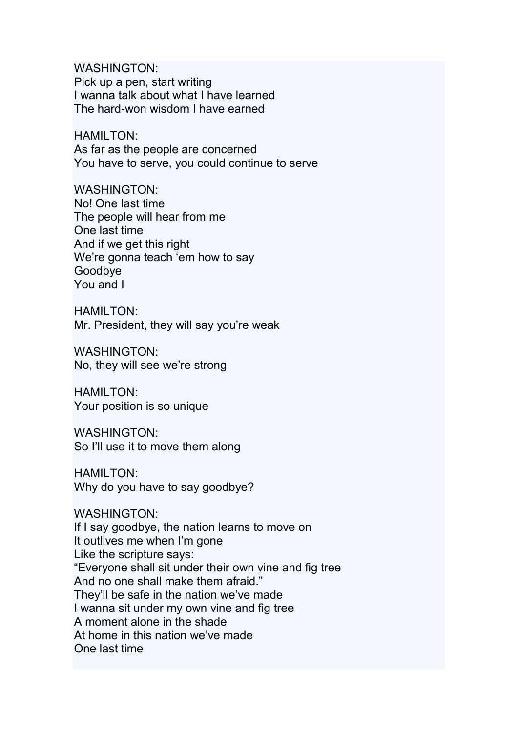WASHINGTON: Pick up a pen, start writing I wanna talk about what I have learned The hard-won wisdom I have earned

HAMILTON: As far as the people are concerned You have to serve, you could continue to serve

WASHINGTON: No! One last time The people will hear from me One last time And if we get this right We're gonna teach 'em how to say Goodbye You and I

HAMII TON: Mr. President, they will say you're weak

WASHINGTON: No, they will see we're strong

HAMILTON: Your position is so unique

WASHINGTON: So I'll use it to move them along

HAMII TON<sup>.</sup> Why do you have to say goodbye?

WASHINGTON:

If I say goodbye, the nation learns to move on It outlives me when I'm gone Like the scripture says: "Everyone shall sit under their own vine and fig tree And no one shall make them afraid." They'll be safe in the nation we've made I wanna sit under my own vine and fig tree A moment alone in the shade At home in this nation we've made One last time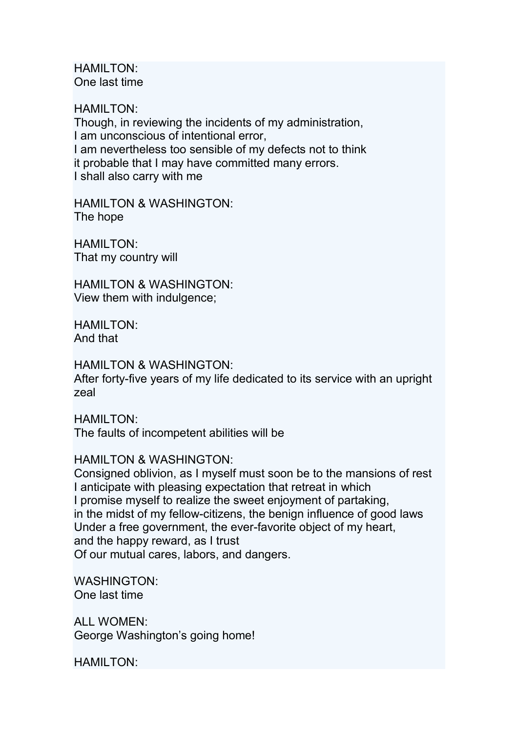HAMILTON: One last time

HAMILTON: Though, in reviewing the incidents of my administration, I am unconscious of intentional error, I am nevertheless too sensible of my defects not to think it probable that I may have committed many errors. I shall also carry with me

HAMILTON & WASHINGTON: The hope

HAMILTON<sup>.</sup> That my country will

HAMILTON & WASHINGTON: View them with indulgence;

HAMILTON: And that

HAMILTON & WASHINGTON: After forty-five years of my life dedicated to its service with an upright zeal

HAMILTON: The faults of incompetent abilities will be

## HAMILTON & WASHINGTON:

Consigned oblivion, as I myself must soon be to the mansions of rest I anticipate with pleasing expectation that retreat in which I promise myself to realize the sweet enjoyment of partaking, in the midst of my fellow-citizens, the benign influence of good laws Under a free government, the ever-favorite object of my heart, and the happy reward, as I trust Of our mutual cares, labors, and dangers.

WASHINGTON: One last time

ALL WOMEN: George Washington's going home!

HAMILTON<sup>.</sup>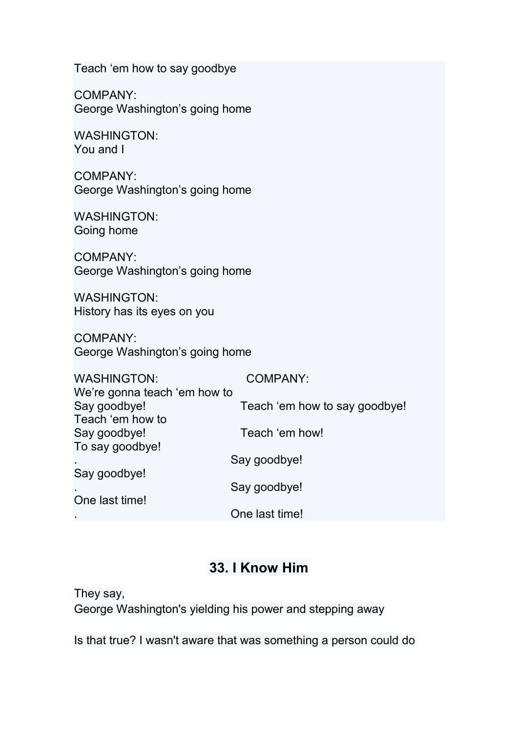| Teach 'em how to say goodbye |  |
|------------------------------|--|
|------------------------------|--|

COMPANY: George Washington's going home

WASHINGTON: You and I

COMPANY: George Washington's going home

WASHINGTON: Going home

COMPANY: George Washington's going home

WASHINGTON: History has its eyes on you

COMPANY: George Washington's going home

| <b>WASHINGTON:</b>           | <b>COMPANY:</b>               |  |  |  |
|------------------------------|-------------------------------|--|--|--|
| We're gonna teach 'em how to |                               |  |  |  |
| Say goodbye!                 | Teach 'em how to say goodbye! |  |  |  |
| Teach 'em how to             |                               |  |  |  |
| Say goodbye!                 | Teach 'em how!                |  |  |  |
| To say goodbye!              |                               |  |  |  |
|                              | Say goodbye!                  |  |  |  |
| Say goodbye!                 |                               |  |  |  |
|                              | Say goodbye!                  |  |  |  |
| One last time!               |                               |  |  |  |
|                              | One last time!                |  |  |  |

# **33. I Know Him**

They say, George Washington's yielding his power and stepping away

Is that true? I wasn't aware that was something a person could do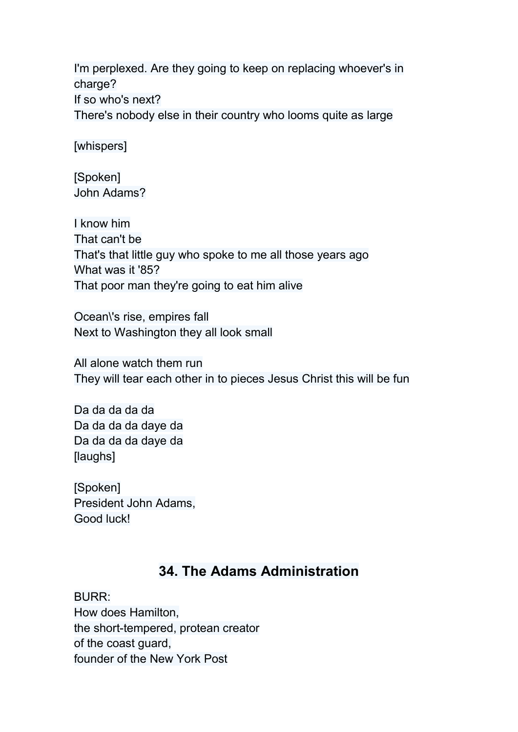I'm perplexed. Are they going to keep on replacing whoever's in charge? If so who's next? There's nobody else in their country who looms quite as large

[whispers]

[Spoken] John Adams?

I know him That can't be That's that little guy who spoke to me all those years ago What was it '85? That poor man they're going to eat him alive

Ocean\'s rise, empires fall Next to Washington they all look small

All alone watch them run They will tear each other in to pieces Jesus Christ this will be fun

Da da da da da Da da da da daye da Da da da da daye da [laughs]

[Spoken] President John Adams, Good luck!

# **34. The Adams Administration**

BURR: How does Hamilton, the short-tempered, protean creator of the coast guard, founder of the New York Post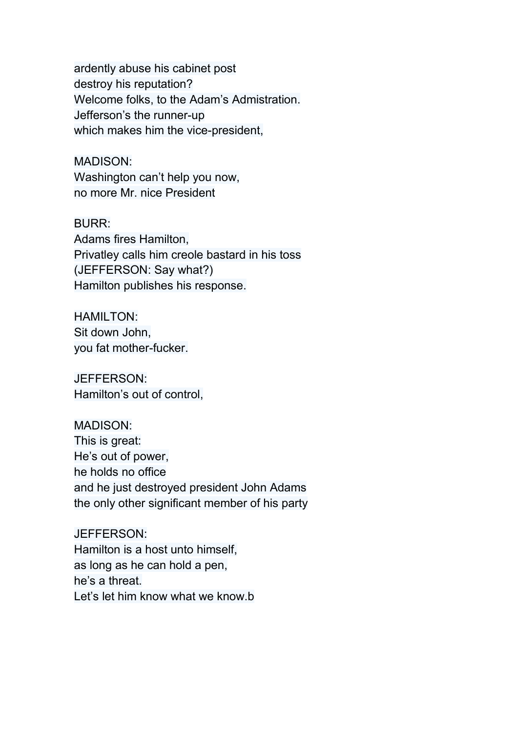ardently abuse his cabinet post destroy his reputation? Welcome folks, to the Adam's Admistration. Jefferson's the runner-up which makes him the vice-president,

MADISON: Washington can't help you now, no more Mr. nice President

BURR: Adams fires Hamilton, Privatley calls him creole bastard in his toss (JEFFERSON: Say what?) Hamilton publishes his response.

HAMILTON: Sit down John, you fat mother-fucker.

JEFFERSON: Hamilton's out of control,

MADISON: This is great: He's out of power, he holds no office and he just destroyed president John Adams the only other significant member of his party

JEFFERSON: Hamilton is a host unto himself, as long as he can hold a pen, he's a threat. Let's let him know what we know.b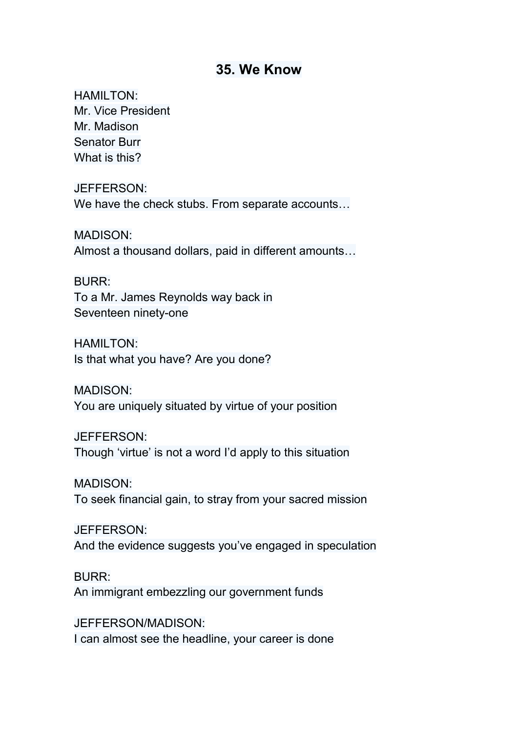## **35. We Know**

HAMILTON: Mr. Vice President Mr. Madison Senator Burr What is this?

#### JEFFERSON:

We have the check stubs. From separate accounts...

#### MADISON:

Almost a thousand dollars, paid in different amounts…

### BURR:

To a Mr. James Reynolds way back in Seventeen ninety-one

HAMILTON: Is that what you have? Are you done?

MADISON: You are uniquely situated by virtue of your position

## JEFFERSON:

Though 'virtue' is not a word I'd apply to this situation

#### MADISON:

To seek financial gain, to stray from your sacred mission

#### JEFFERSON:

And the evidence suggests you've engaged in speculation

#### BURR:

An immigrant embezzling our government funds

JEFFERSON/MADISON: I can almost see the headline, your career is done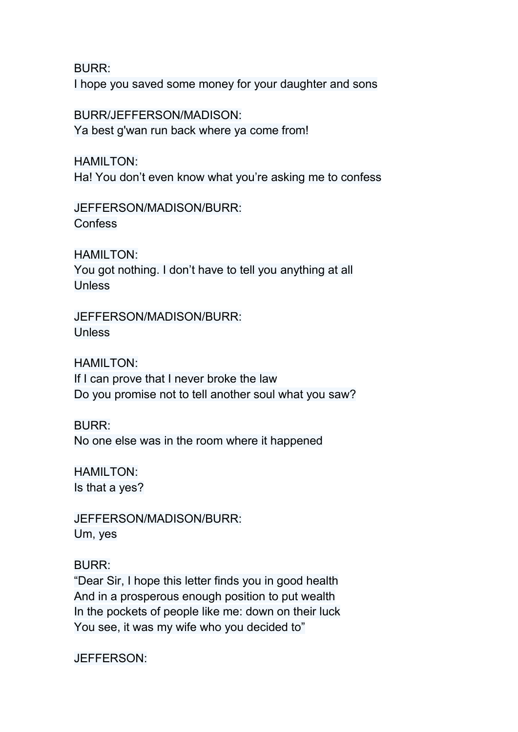BURR:

I hope you saved some money for your daughter and sons

BURR/JEFFERSON/MADISON: Ya best g'wan run back where ya come from!

HAMILTON: Ha! You don't even know what you're asking me to confess

JEFFERSON/MADISON/BURR: **Confess** 

HAMILTON: You got nothing. I don't have to tell you anything at all Unless

JEFFERSON/MADISON/BURR: **Unless** 

HAMILTON: If I can prove that I never broke the law Do you promise not to tell another soul what you saw?

BURR: No one else was in the room where it happened

HAMILTON<sup>.</sup> Is that a yes?

JEFFERSON/MADISON/BURR: Um, yes

BURR:

"Dear Sir, I hope this letter finds you in good health And in a prosperous enough position to put wealth In the pockets of people like me: down on their luck You see, it was my wife who you decided to"

JEFFERSON: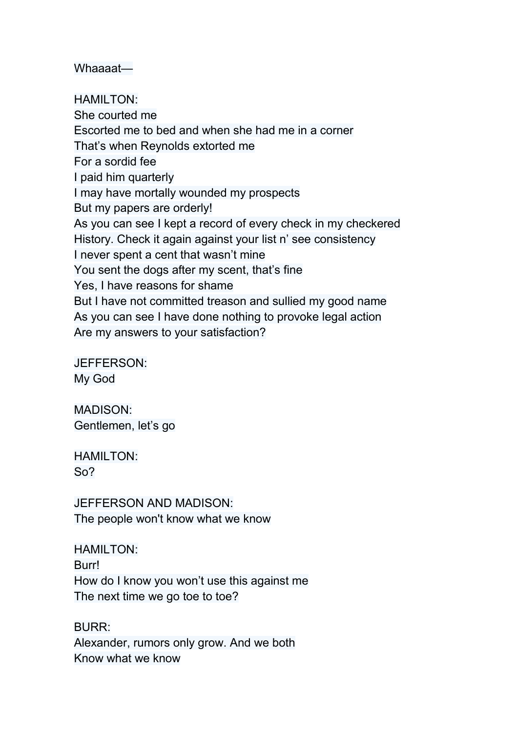Whaaaat—

HAMILTON: She courted me Escorted me to bed and when she had me in a corner That's when Reynolds extorted me For a sordid fee I paid him quarterly I may have mortally wounded my prospects But my papers are orderly! As you can see I kept a record of every check in my checkered History. Check it again against your list n' see consistency I never spent a cent that wasn't mine You sent the dogs after my scent, that's fine Yes, I have reasons for shame But I have not committed treason and sullied my good name As you can see I have done nothing to provoke legal action Are my answers to your satisfaction?

JEFFERSON: My God

MADISON: Gentlemen, let's go

HAMILTON: So?

JEFFERSON AND MADISON: The people won't know what we know

HAMILTON<sup>.</sup> Burr! How do I know you won't use this against me The next time we go toe to toe?

BURR: Alexander, rumors only grow. And we both Know what we know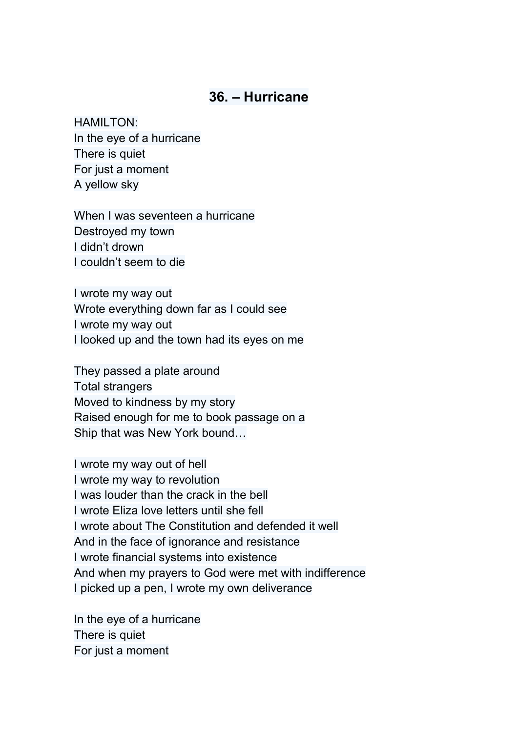## **36. – Hurricane**

HAMILTON: In the eye of a hurricane There is quiet For just a moment A yellow sky

When I was seventeen a hurricane Destroyed my town I didn't drown I couldn't seem to die

I wrote my way out Wrote everything down far as I could see I wrote my way out I looked up and the town had its eyes on me

They passed a plate around Total strangers Moved to kindness by my story Raised enough for me to book passage on a Ship that was New York bound…

I wrote my way out of hell I wrote my way to revolution I was louder than the crack in the bell I wrote Eliza love letters until she fell I wrote about The Constitution and defended it well And in the face of ignorance and resistance I wrote financial systems into existence And when my prayers to God were met with indifference I picked up a pen, I wrote my own deliverance

In the eye of a hurricane There is quiet For just a moment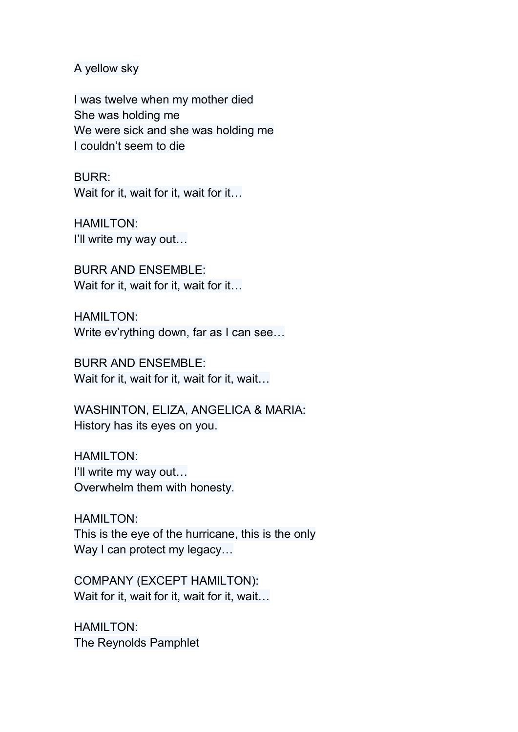A yellow sky

I was twelve when my mother died She was holding me We were sick and she was holding me I couldn't seem to die

BURR: Wait for it, wait for it, wait for it…

HAMILTON: I'll write my way out…

BURR AND ENSEMBLE: Wait for it, wait for it, wait for it...

HAMILTON: Write ev'rything down, far as I can see…

BURR AND ENSEMBLE: Wait for it, wait for it, wait for it, wait...

WASHINTON, ELIZA, ANGELICA & MARIA: History has its eyes on you.

HAMILTON: I'll write my way out… Overwhelm them with honesty.

HAMILTON: This is the eye of the hurricane, this is the only Way I can protect my legacy…

COMPANY (EXCEPT HAMILTON): Wait for it, wait for it, wait for it, wait...

HAMILTON<sup>.</sup> The Reynolds Pamphlet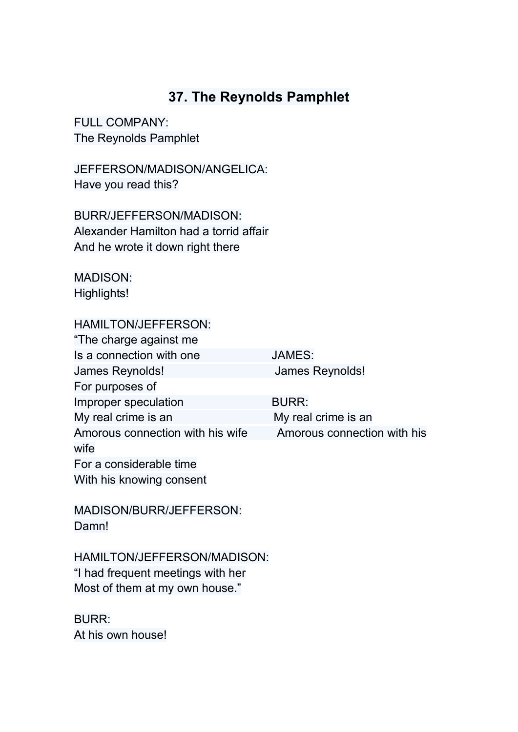# **37. The Reynolds Pamphlet**

FULL COMPANY: The Reynolds Pamphlet

JEFFERSON/MADISON/ANGELICA: Have you read this?

BURR/JEFFERSON/MADISON: Alexander Hamilton had a torrid affair And he wrote it down right there

MADISON: Highlights!

## HAMILTON/JEFFERSON:

| "The charge against me           |                    |
|----------------------------------|--------------------|
| Is a connection with one         | <b>JAMES:</b>      |
| James Reynolds!                  | James Reynolds!    |
| For purposes of                  |                    |
| Improper speculation             | <b>BURR:</b>       |
| My real crime is an              | My real crime is a |
| Amorous connection with his wife | Amorous connect    |
| wife                             |                    |
| For a considerable time          |                    |
| With his knowing consent         |                    |

MADISON/BURR/JEFFERSON: Damn!

HAMILTON/JEFFERSON/MADISON: "I had frequent meetings with her Most of them at my own house."

BURR: At his own house! **IURR:** Ay real crime is an Amorous connection with his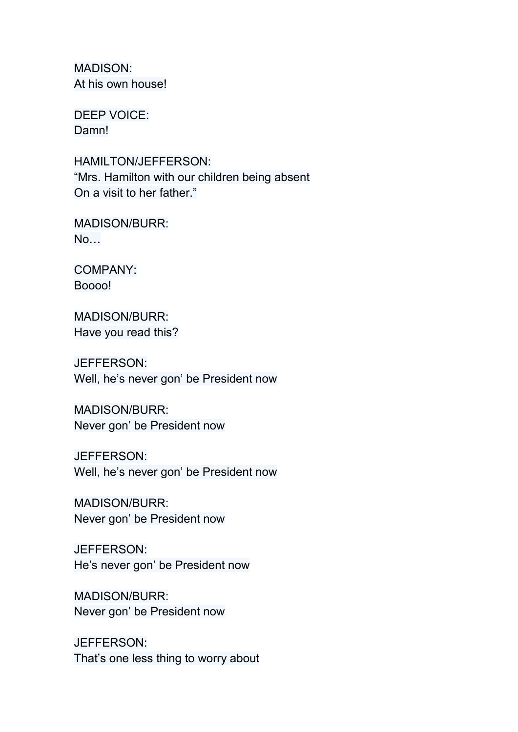MADISON: At his own house!

DEEP VOICE: Damn!

HAMILTON/JEFFERSON: "Mrs. Hamilton with our children being absent On a visit to her father."

MADISON/BURR: No…

COMPANY: Boooo!

MADISON/BURR: Have you read this?

JEFFERSON: Well, he's never gon' be President now

MADISON/BURR: Never gon' be President now

JEFFERSON: Well, he's never gon' be President now

MADISON/BURR: Never gon' be President now

JEFFERSON: He's never gon' be President now

MADISON/BURR: Never gon' be President now

JEFFERSON: That's one less thing to worry about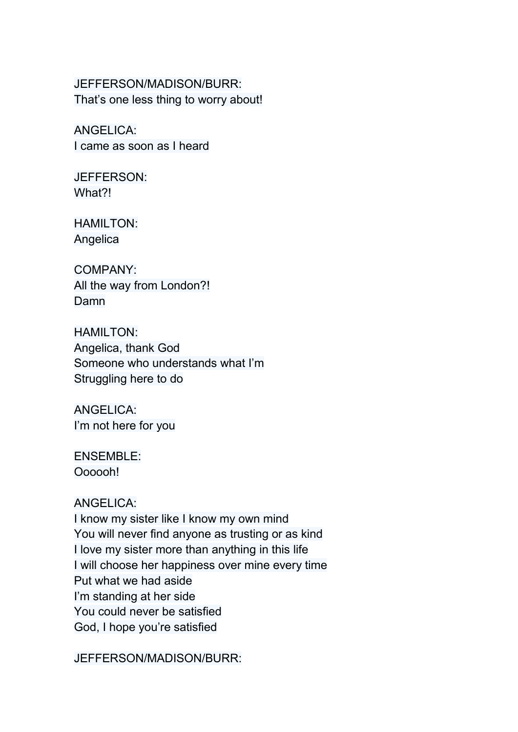JEFFERSON/MADISON/BURR: That's one less thing to worry about!

ANGELICA: I came as soon as I heard

JEFFERSON: What?!

HAMILTON: Angelica

COMPANY: All the way from London?! Damn

HAMILTON: Angelica, thank God Someone who understands what I'm Struggling here to do

ANGELICA: I'm not here for you

ENSEMBLE: Oooooh!

## ANGELICA:

I know my sister like I know my own mind You will never find anyone as trusting or as kind I love my sister more than anything in this life I will choose her happiness over mine every time Put what we had aside I'm standing at her side You could never be satisfied God, I hope you're satisfied

JEFFERSON/MADISON/BURR: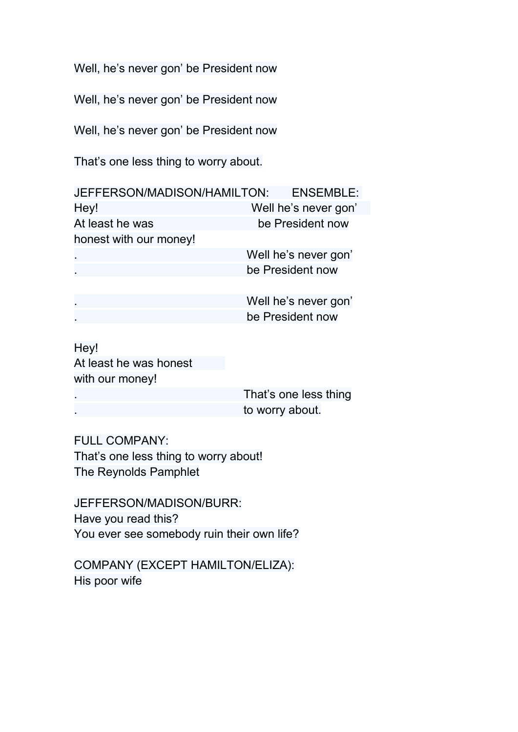Well, he's never gon' be President now

Well, he's never gon' be President now

Well, he's never gon' be President now

That's one less thing to worry about.

| JEFFERSON/MADISON/HAMILTON:<br><b>ENSEMBLE:</b> |                      |  |  |  |
|-------------------------------------------------|----------------------|--|--|--|
| Hey!                                            | Well he's never gon' |  |  |  |
| At least he was                                 | be President now     |  |  |  |
| honest with our money!                          |                      |  |  |  |
|                                                 | Well he's never gon' |  |  |  |
|                                                 | be President now     |  |  |  |
|                                                 |                      |  |  |  |
|                                                 | Well he's never gon' |  |  |  |
|                                                 | be President now     |  |  |  |
|                                                 |                      |  |  |  |

Hey! At least he was honest with our money!

. That's one less thing to worry about.

FULL COMPANY: That's one less thing to worry about! The Reynolds Pamphlet

JEFFERSON/MADISON/BURR: Have you read this? You ever see somebody ruin their own life?

COMPANY (EXCEPT HAMILTON/ELIZA): His poor wife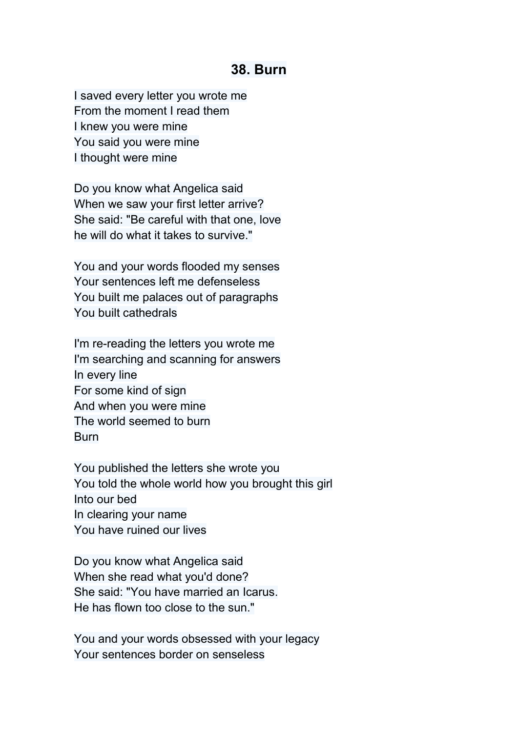## **38. Burn**

I saved every letter you wrote me From the moment I read them I knew you were mine You said you were mine I thought were mine

Do you know what Angelica said When we saw your first letter arrive? She said: "Be careful with that one, love he will do what it takes to survive."

You and your words flooded my senses Your sentences left me defenseless You built me palaces out of paragraphs You built cathedrals

I'm re-reading the letters you wrote me I'm searching and scanning for answers In every line For some kind of sign And when you were mine The world seemed to burn Burn

You published the letters she wrote you You told the whole world how you brought this girl Into our bed In clearing your name You have ruined our lives

Do you know what Angelica said When she read what you'd done? She said: "You have married an Icarus. He has flown too close to the sun."

You and your words obsessed with your legacy Your sentences border on senseless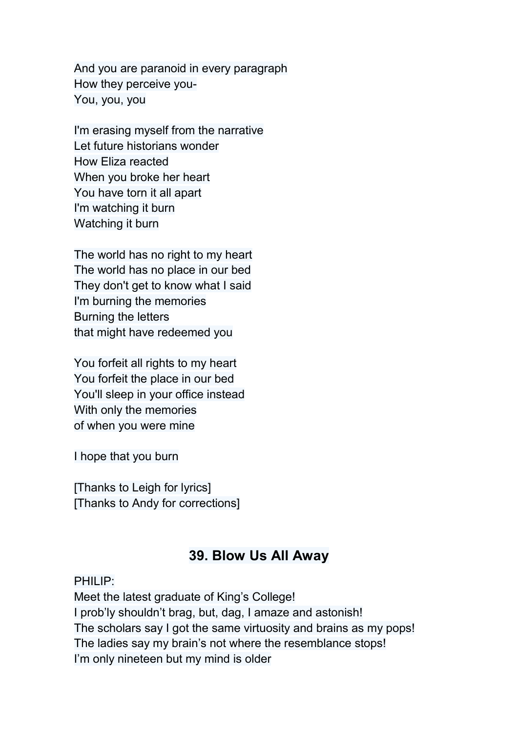And you are paranoid in every paragraph How they perceive you-You, you, you

I'm erasing myself from the narrative Let future historians wonder How Eliza reacted When you broke her heart You have torn it all apart I'm watching it burn Watching it burn

The world has no right to my heart The world has no place in our bed They don't get to know what I said I'm burning the memories Burning the letters that might have redeemed you

You forfeit all rights to my heart You forfeit the place in our bed You'll sleep in your office instead With only the memories of when you were mine

I hope that you burn

[Thanks to Leigh for lyrics] [Thanks to Andy for corrections]

## **39. Blow Us All Away**

PHILIP:

Meet the latest graduate of King's College! I prob'ly shouldn't brag, but, dag, I amaze and astonish! The scholars say I got the same virtuosity and brains as my pops! The ladies say my brain's not where the resemblance stops! I'm only nineteen but my mind is older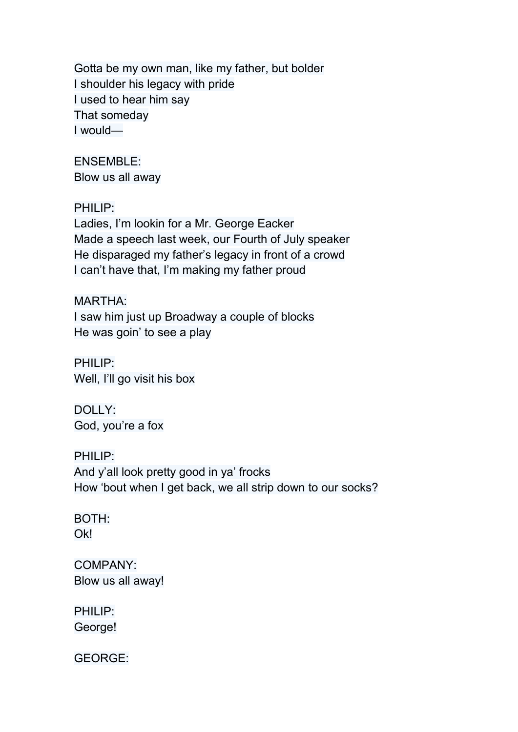Gotta be my own man, like my father, but bolder I shoulder his legacy with pride I used to hear him say That someday I would—

ENSEMBLE: Blow us all away

PHII IP<sup>.</sup>

Ladies, I'm lookin for a Mr. George Eacker Made a speech last week, our Fourth of July speaker He disparaged my father's legacy in front of a crowd I can't have that, I'm making my father proud

MARTHA: I saw him just up Broadway a couple of blocks He was goin' to see a play

PHILIP: Well, I'll go visit his box

DOLLY: God, you're a fox

PHILIP: And y'all look pretty good in ya' frocks How 'bout when I get back, we all strip down to our socks?

BOTH: Ok!

COMPANY: Blow us all away!

PHILIP: George!

GEORGE: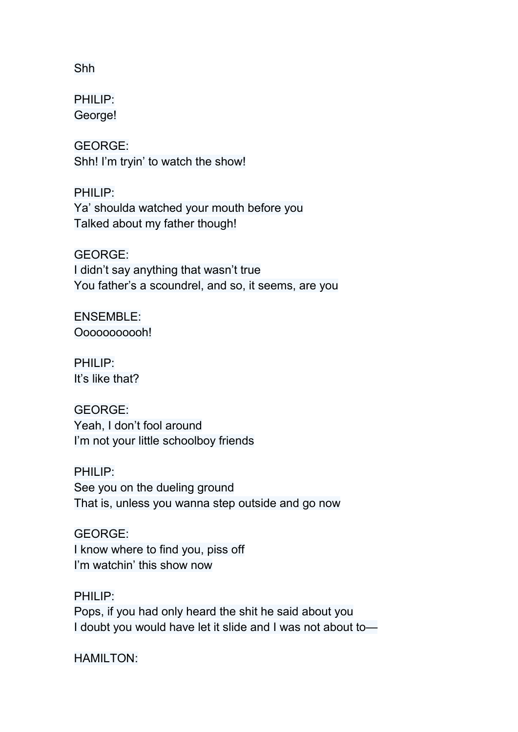Shh

PHILIP: George!

GEORGE: Shh! I'm tryin' to watch the show!

PHILIP: Ya' shoulda watched your mouth before you Talked about my father though!

GEORGE: I didn't say anything that wasn't true You father's a scoundrel, and so, it seems, are you

ENSEMBLE: Ooooooooooh!

PHILIP: It's like that?

GEORGE: Yeah, I don't fool around I'm not your little schoolboy friends

PHII IP<sup>.</sup> See you on the dueling ground That is, unless you wanna step outside and go now

GEORGE: I know where to find you, piss off I'm watchin' this show now

PHILIP: Pops, if you had only heard the shit he said about you I doubt you would have let it slide and I was not about to—

HAMILTON: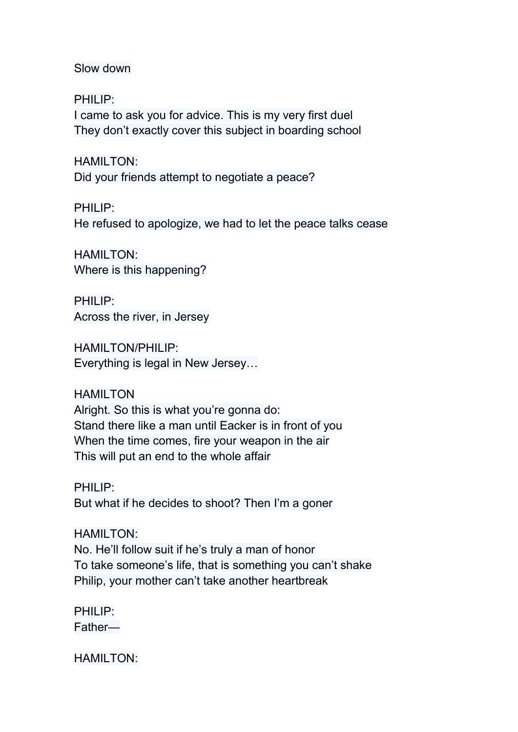Slow down

PHILIP: I came to ask you for advice. This is my very first duel They don't exactly cover this subject in boarding school

HAMILTON: Did your friends attempt to negotiate a peace?

PHILIP: He refused to apologize, we had to let the peace talks cease

HAMILTON: Where is this happening?

PHII IP<sup>.</sup> Across the river, in Jersey

HAMILTON/PHILIP: Everything is legal in New Jersey…

HAMILTON Alright. So this is what you're gonna do: Stand there like a man until Eacker is in front of you When the time comes, fire your weapon in the air This will put an end to the whole affair

PHILIP: But what if he decides to shoot? Then I'm a goner

HAMILTON: No. He'll follow suit if he's truly a man of honor To take someone's life, that is something you can't shake Philip, your mother can't take another heartbreak

PHILIP: Father—

HAMILTON: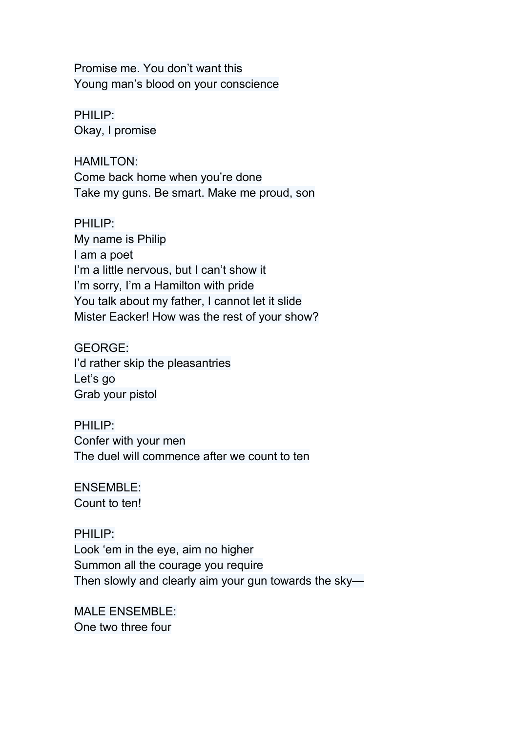Promise me. You don't want this Young man's blood on your conscience

PHILIP: Okay, I promise

HAMILTON: Come back home when you're done Take my guns. Be smart. Make me proud, son

PHILIP: My name is Philip I am a poet I'm a little nervous, but I can't show it I'm sorry, I'm a Hamilton with pride You talk about my father, I cannot let it slide Mister Eacker! How was the rest of your show?

GEORGE: I'd rather skip the pleasantries Let's go Grab your pistol

PHILIP: Confer with your men The duel will commence after we count to ten

ENSEMBLE: Count to ten!

PHILIP: Look 'em in the eye, aim no higher Summon all the courage you require Then slowly and clearly aim your gun towards the sky—

MALE ENSEMBLE: One two three four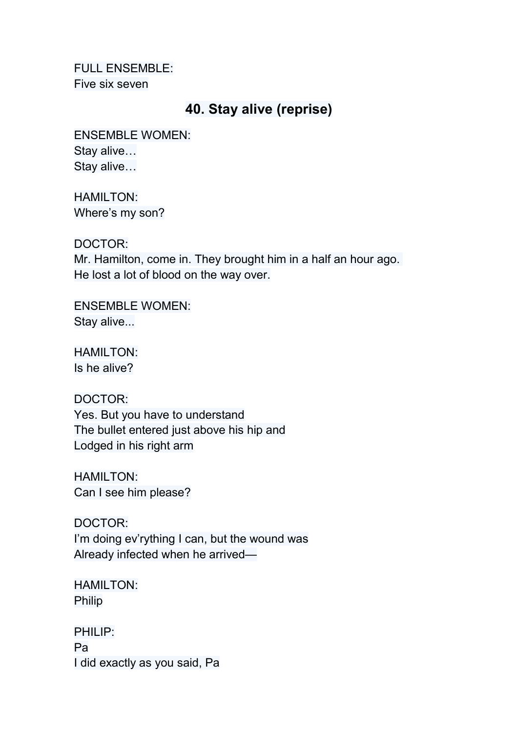FULL ENSEMBLE: Five six seven

# **40. Stay alive (reprise)**

ENSEMBLE WOMEN: Stay alive… Stay alive…

HAMILTON: Where's my son?

DOCTOR: Mr. Hamilton, come in. They brought him in a half an hour ago. He lost a lot of blood on the way over.

ENSEMBLE WOMEN: Stay alive...

HAMILTON: Is he alive?

DOCTOR: Yes. But you have to understand The bullet entered just above his hip and Lodged in his right arm

HAMILTON: Can I see him please?

DOCTOR: I'm doing ev'rything I can, but the wound was Already infected when he arrived—

HAMILTON: Philip

PHILIP: Pa I did exactly as you said, Pa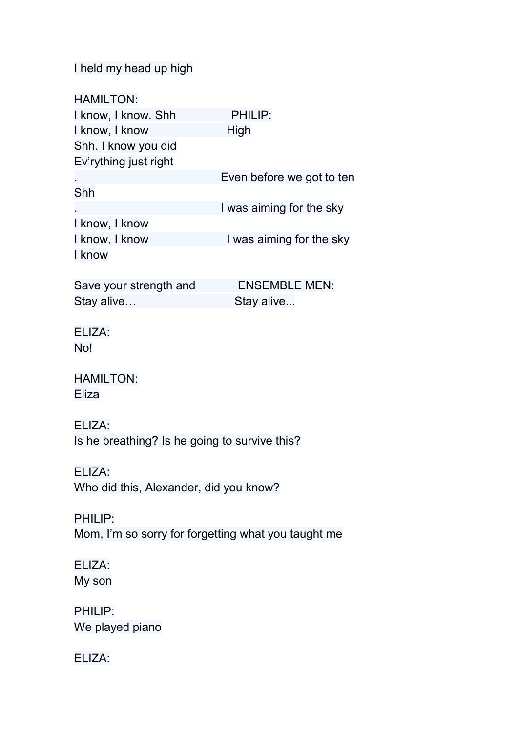I held my head up high

| <b>HAMILTON:</b>      |                           |
|-----------------------|---------------------------|
| I know, I know. Shh   | PHILIP:                   |
| I know, I know        | High                      |
| Shh. I know you did   |                           |
| Ev'rything just right |                           |
|                       | Even before we got to ten |
| Shh                   |                           |
|                       | I was aiming for the sky  |
| I know, I know        |                           |
| I know, I know        | I was aiming for the sky  |
| I know                |                           |
|                       |                           |

Save your strength and ENSEMBLE MEN: Stay alive... Stay alive...

ELIZA: No!

HAMILTON: Eliza

ELIZA: Is he breathing? Is he going to survive this?

ELIZA: Who did this, Alexander, did you know?

PHILIP: Mom, I'm so sorry for forgetting what you taught me

ELIZA: My son

PHILIP: We played piano

ELIZA: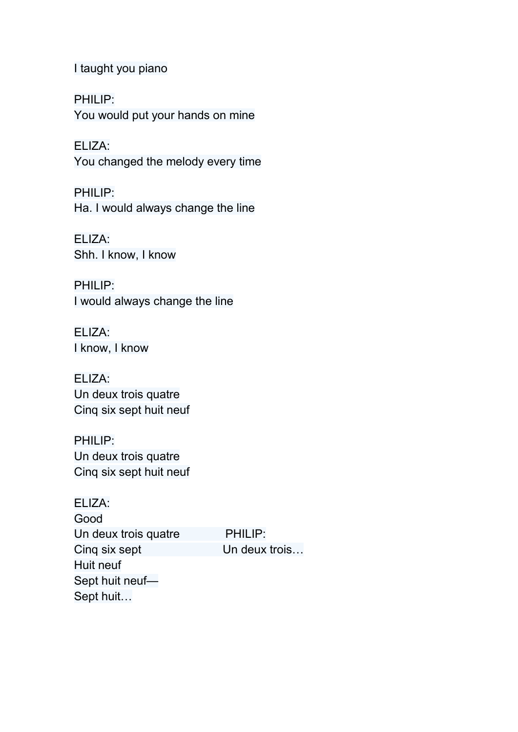I taught you piano

PHILIP: You would put your hands on mine

ELIZA: You changed the melody every time

PHILIP: Ha. I would always change the line

ELIZA: Shh. I know, I know

PHILIP: I would always change the line

ELIZA: I know, I know

ELIZA: Un deux trois quatre Cinq six sept huit neuf

PHILIP: Un deux trois quatre Cinq six sept huit neuf

ELIZA: Good Un deux trois quatre PHILIP: Cinq six sept Un deux trois... Huit neuf Sept huit neuf— Sept huit…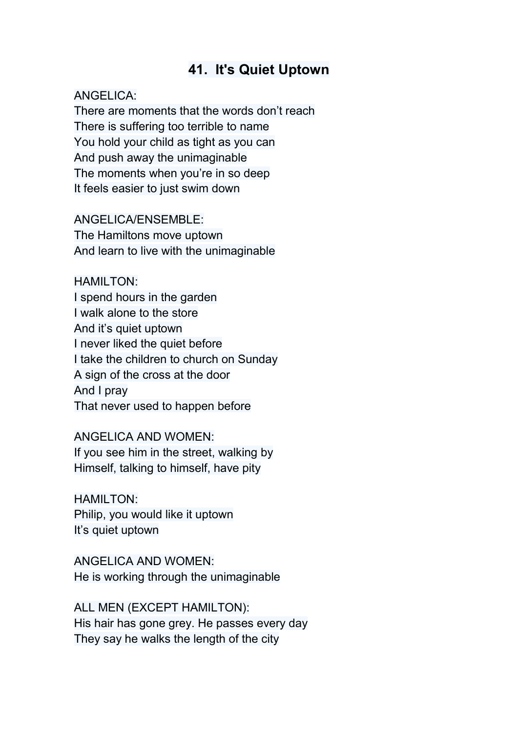## **41. It's Quiet Uptown**

#### ANGELICA:

There are moments that the words don't reach There is suffering too terrible to name You hold your child as tight as you can And push away the unimaginable The moments when you're in so deep It feels easier to just swim down

### ANGELICA/ENSEMBLE:

The Hamiltons move uptown And learn to live with the unimaginable

### HAMII TON<sup>.</sup>

I spend hours in the garden I walk alone to the store And it's quiet uptown I never liked the quiet before I take the children to church on Sunday A sign of the cross at the door And I pray That never used to happen before

#### ANGELICA AND WOMEN:

If you see him in the street, walking by Himself, talking to himself, have pity

HAMILTON: Philip, you would like it uptown It's quiet uptown

ANGELICA AND WOMEN: He is working through the unimaginable

ALL MEN (EXCEPT HAMILTON): His hair has gone grey. He passes every day They say he walks the length of the city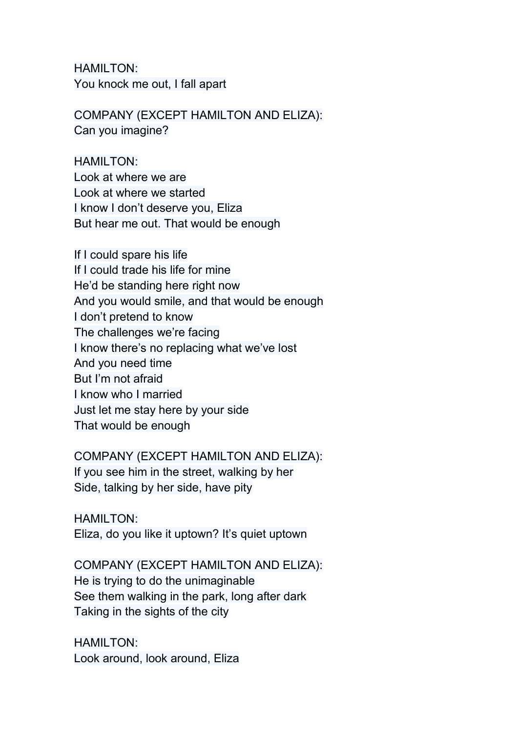HAMILTON: You knock me out, I fall apart

COMPANY (EXCEPT HAMILTON AND ELIZA): Can you imagine?

HAMILTON: Look at where we are Look at where we started I know I don't deserve you, Eliza But hear me out. That would be enough

If I could spare his life If I could trade his life for mine He'd be standing here right now And you would smile, and that would be enough I don't pretend to know The challenges we're facing I know there's no replacing what we've lost And you need time But I'm not afraid I know who I married Just let me stay here by your side That would be enough

COMPANY (EXCEPT HAMILTON AND ELIZA): If you see him in the street, walking by her Side, talking by her side, have pity

HAMILTON: Eliza, do you like it uptown? It's quiet uptown

COMPANY (EXCEPT HAMILTON AND ELIZA): He is trying to do the unimaginable See them walking in the park, long after dark Taking in the sights of the city

HAMILTON<sup>.</sup> Look around, look around, Eliza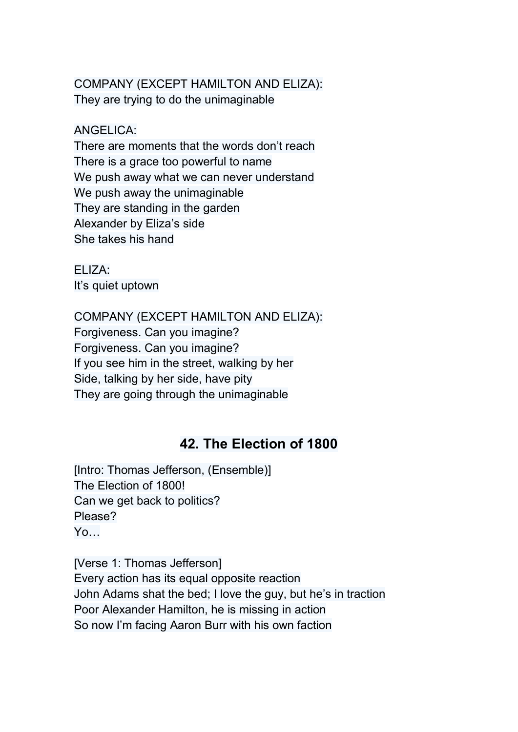## COMPANY (EXCEPT HAMILTON AND ELIZA): They are trying to do the unimaginable

### ANGELICA:

There are moments that the words don't reach There is a grace too powerful to name We push away what we can never understand We push away the unimaginable They are standing in the garden Alexander by Eliza's side She takes his hand

ELIZA: It's quiet uptown

COMPANY (EXCEPT HAMILTON AND ELIZA): Forgiveness. Can you imagine? Forgiveness. Can you imagine? If you see him in the street, walking by her Side, talking by her side, have pity They are going through the unimaginable

# **42. The Election of 1800**

[Intro: Thomas Jefferson, (Ensemble)] The Election of 1800! Can we get back to politics? Please? Yo…

[Verse 1: Thomas Jefferson] Every action has its equal opposite reaction John Adams shat the bed; I love the guy, but he's in traction Poor Alexander Hamilton, he is missing in action So now I'm facing Aaron Burr with his own faction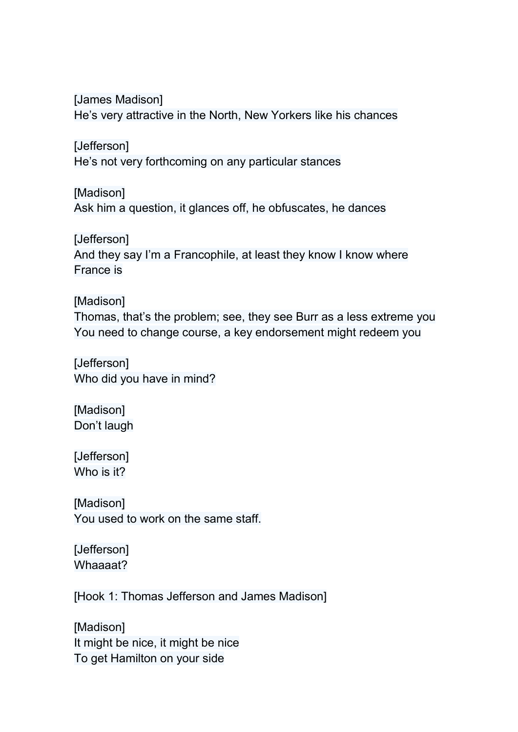[James Madison] He's very attractive in the North, New Yorkers like his chances

[Jefferson] He's not very forthcoming on any particular stances

[Madison] Ask him a question, it glances off, he obfuscates, he dances

[Jefferson] And they say I'm a Francophile, at least they know I know where France is

[Madison] Thomas, that's the problem; see, they see Burr as a less extreme you You need to change course, a key endorsement might redeem you

[Jefferson] Who did you have in mind?

[Madison] Don't laugh

[Jefferson] Who is it?

[Madison] You used to work on the same staff.

[Jefferson] Whaaaat?

[Hook 1: Thomas Jefferson and James Madison]

[Madison] It might be nice, it might be nice To get Hamilton on your side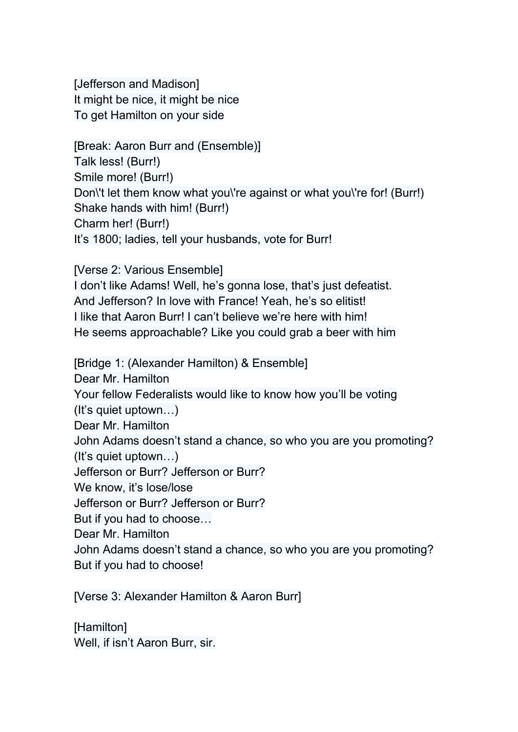[Jefferson and Madison] It might be nice, it might be nice To get Hamilton on your side

[Break: Aaron Burr and (Ensemble)] Talk less! (Burr!) Smile more! (Burr!) Don\'t let them know what you\'re against or what you\'re for! (Burr!) Shake hands with him! (Burr!) Charm her! (Burr!) It's 1800; ladies, tell your husbands, vote for Burr!

[Verse 2: Various Ensemble] I don't like Adams! Well, he's gonna lose, that's just defeatist. And Jefferson? In love with France! Yeah, he's so elitist! I like that Aaron Burr! I can't believe we're here with him! He seems approachable? Like you could grab a beer with him

[Bridge 1: (Alexander Hamilton) & Ensemble] Dear Mr. Hamilton Your fellow Federalists would like to know how you'll be voting (It's quiet uptown…) Dear Mr. Hamilton John Adams doesn't stand a chance, so who you are you promoting? (It's quiet uptown…) Jefferson or Burr? Jefferson or Burr? We know, it's lose/lose Jefferson or Burr? Jefferson or Burr? But if you had to choose… Dear Mr. Hamilton John Adams doesn't stand a chance, so who you are you promoting? But if you had to choose!

[Verse 3: Alexander Hamilton & Aaron Burr]

[Hamilton] Well, if isn't Aaron Burr, sir.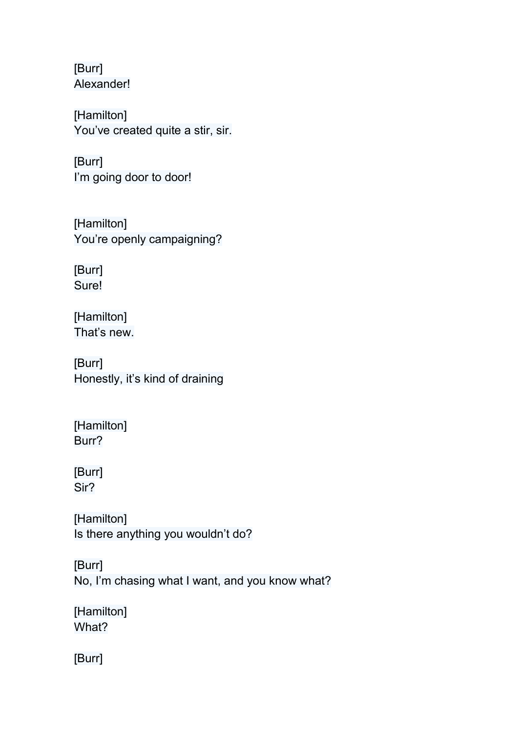[Burr] Alexander!

[Hamilton] You've created quite a stir, sir.

[Burr] I'm going door to door!

[Hamilton] You're openly campaigning?

[Burr] Sure!

[Hamilton] That's new.

[Burr] Honestly, it's kind of draining

[Hamilton] Burr?

[Burr] Sir?

[Hamilton] Is there anything you wouldn't do?

[Burr] No, I'm chasing what I want, and you know what?

[Hamilton] What?

[Burr]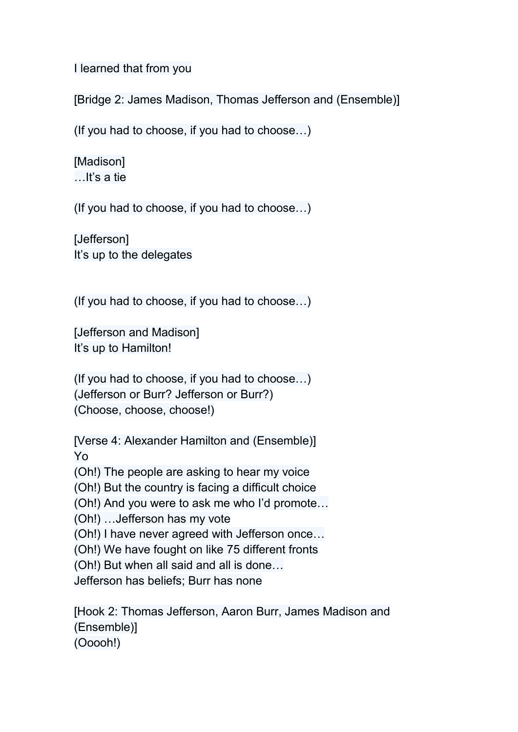I learned that from you

[Bridge 2: James Madison, Thomas Jefferson and (Ensemble)]

(If you had to choose, if you had to choose…)

[Madison] …It's a tie

(If you had to choose, if you had to choose…)

[Jefferson] It's up to the delegates

(If you had to choose, if you had to choose…)

[Jefferson and Madison] It's up to Hamilton!

(If you had to choose, if you had to choose…) (Jefferson or Burr? Jefferson or Burr?) (Choose, choose, choose!)

[Verse 4: Alexander Hamilton and (Ensemble)] Yo

(Oh!) The people are asking to hear my voice

(Oh!) But the country is facing a difficult choice

(Oh!) And you were to ask me who I'd promote…

(Oh!) …Jefferson has my vote

(Oh!) I have never agreed with Jefferson once…

(Oh!) We have fought on like 75 different fronts

(Oh!) But when all said and all is done…

Jefferson has beliefs; Burr has none

[Hook 2: Thomas Jefferson, Aaron Burr, James Madison and (Ensemble)] (Ooooh!)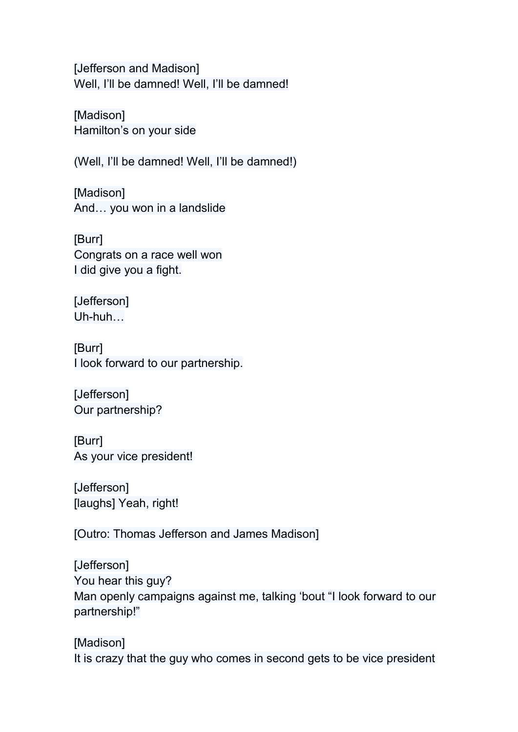[Jefferson and Madison] Well, I'll be damned! Well, I'll be damned!

[Madison] Hamilton's on your side

(Well, I'll be damned! Well, I'll be damned!)

[Madison] And… you won in a landslide

[Burr] Congrats on a race well won I did give you a fight.

[Jefferson] Uh-huh…

[Burr] I look forward to our partnership.

[Jefferson] Our partnership?

[Burr] As your vice president!

[Jefferson] [laughs] Yeah, right!

[Outro: Thomas Jefferson and James Madison]

[Jefferson] You hear this guy? Man openly campaigns against me, talking 'bout "I look forward to our partnership!"

[Madison] It is crazy that the guy who comes in second gets to be vice president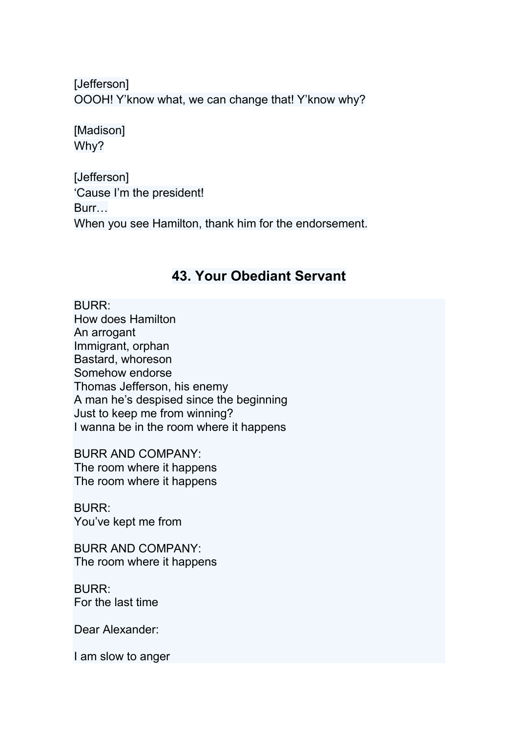[Jefferson] OOOH! Y'know what, we can change that! Y'know why?

[Madison] Why?

[Jefferson] 'Cause I'm the president! **Burr** When you see Hamilton, thank him for the endorsement.

# **43. Your Obediant Servant**

BURR: How does Hamilton An arrogant Immigrant, orphan Bastard, whoreson Somehow endorse Thomas Jefferson, his enemy A man he's despised since the beginning Just to keep me from winning? I wanna be in the room where it happens

BURR AND COMPANY: The room where it happens The room where it happens

BURR: You've kept me from

BURR AND COMPANY: The room where it happens

BURR: For the last time

Dear Alexander:

I am slow to anger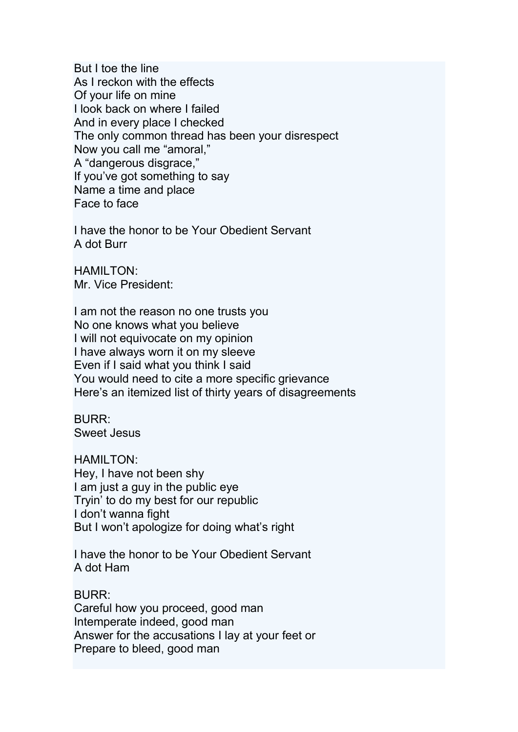But I toe the line As I reckon with the effects Of your life on mine I look back on where I failed And in every place I checked The only common thread has been your disrespect Now you call me "amoral," A "dangerous disgrace," If you've got something to say Name a time and place Face to face

I have the honor to be Your Obedient Servant A dot Burr

HAMILTON: Mr. Vice President:

I am not the reason no one trusts you No one knows what you believe I will not equivocate on my opinion I have always worn it on my sleeve Even if I said what you think I said You would need to cite a more specific grievance Here's an itemized list of thirty years of disagreements

BURR: Sweet Jesus

HAMILTON: Hey, I have not been shy I am just a guy in the public eye Tryin' to do my best for our republic I don't wanna fight But I won't apologize for doing what's right

I have the honor to be Your Obedient Servant A dot Ham

BURR:

Careful how you proceed, good man Intemperate indeed, good man Answer for the accusations I lay at your feet or Prepare to bleed, good man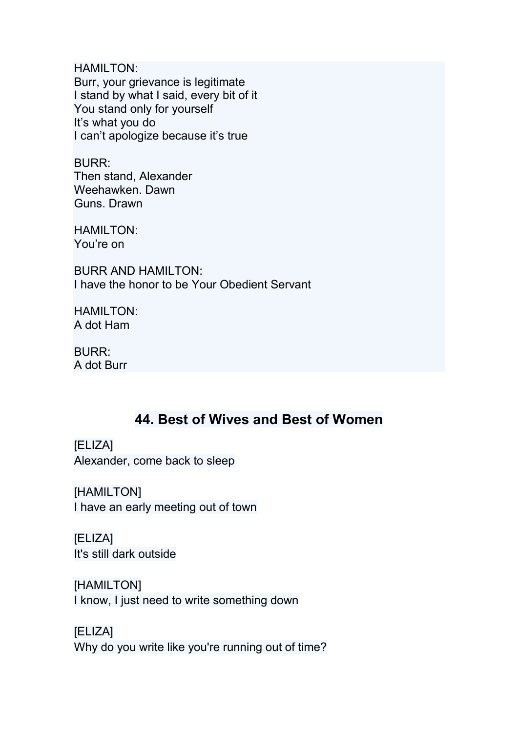HAMILTON: Burr, your grievance is legitimate I stand by what I said, every bit of it You stand only for yourself It's what you do I can't apologize because it's true

BURR: Then stand, Alexander Weehawken. Dawn Guns. Drawn

HAMILTON: You're on

BURR AND HAMILTON: I have the honor to be Your Obedient Servant

HAMILTON: A dot Ham

BURR: A dot Burr

## **44. Best of Wives and Best of Women**

[ELIZA] Alexander, come back to sleep

[HAMILTON] I have an early meeting out of town

[ELIZA] It's still dark outside

[HAMILTON] I know, I just need to write something down

[ELIZA] Why do you write like you're running out of time?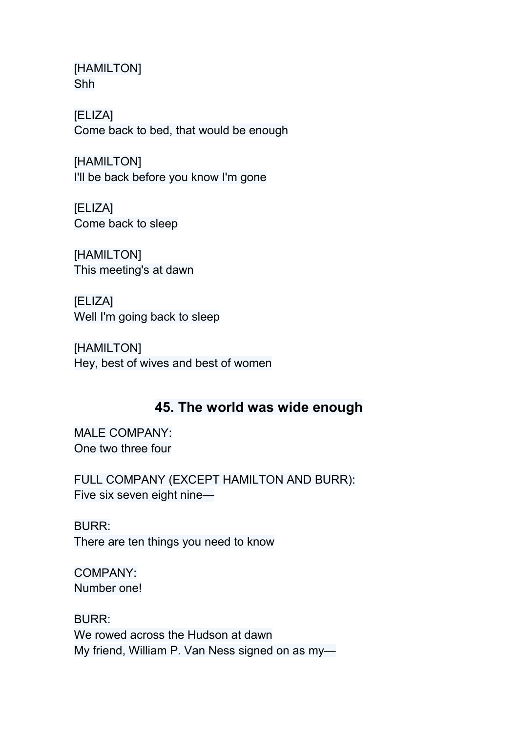[HAMILTON] Shh

[ELIZA] Come back to bed, that would be enough

[HAMILTON] I'll be back before you know I'm gone

[ELIZA] Come back to sleep

[HAMILTON] This meeting's at dawn

[ELIZA] Well I'm going back to sleep

[HAMILTON] Hey, best of wives and best of women

### **45. The world was wide enough**

MALE COMPANY: One two three four

FULL COMPANY (EXCEPT HAMILTON AND BURR): Five six seven eight nine—

BURR: There are ten things you need to know

COMPANY: Number one!

BURR: We rowed across the Hudson at dawn My friend, William P. Van Ness signed on as my—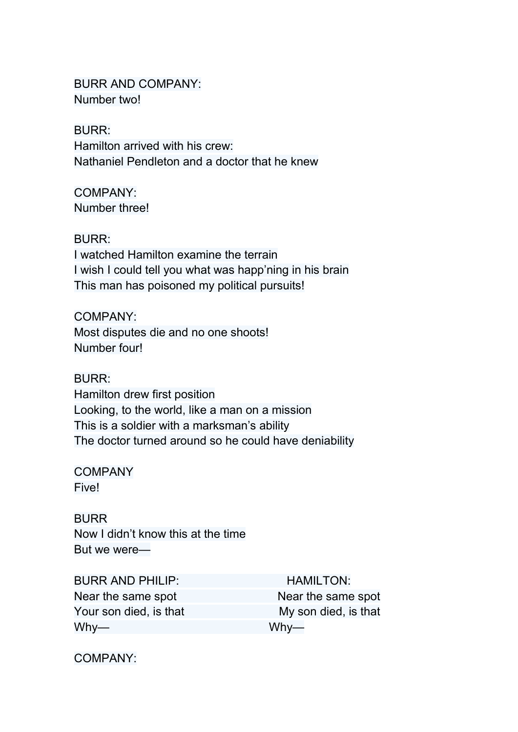BURR AND COMPANY: Number two!

BURR: Hamilton arrived with his crew: Nathaniel Pendleton and a doctor that he knew

COMPANY: Number three!

### BURR:

I watched Hamilton examine the terrain I wish I could tell you what was happ'ning in his brain This man has poisoned my political pursuits!

COMPANY: Most disputes die and no one shoots! Number four!

BURR: Hamilton drew first position Looking, to the world, like a man on a mission This is a soldier with a marksman's ability The doctor turned around so he could have deniability

**COMPANY** Five!

BURR Now I didn't know this at the time But we were—

BURR AND PHILIP: HAMILTON: Why— Why—

Near the same spot Near the same spot Your son died, is that My son died, is that

COMPANY: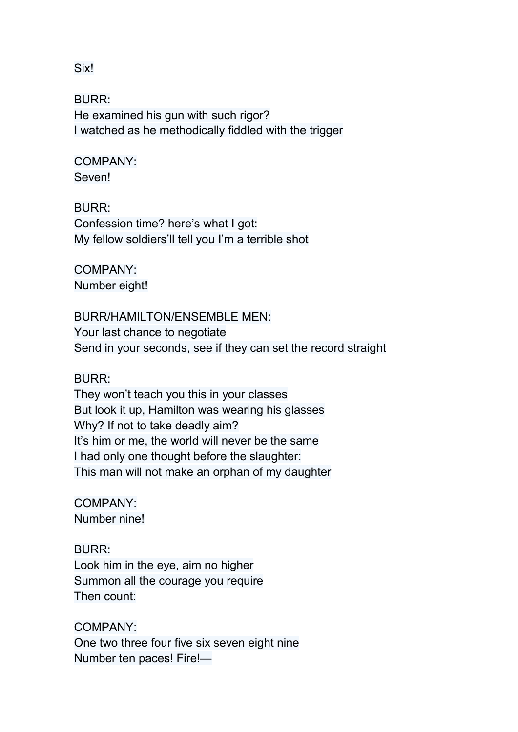Six!

BURR: He examined his gun with such rigor? I watched as he methodically fiddled with the trigger

### COMPANY: Seven!

BURR: Confession time? here's what I got: My fellow soldiers'll tell you I'm a terrible shot

COMPANY: Number eight!

BURR/HAMILTON/ENSEMBLE MEN: Your last chance to negotiate Send in your seconds, see if they can set the record straight

## BURR:

They won't teach you this in your classes But look it up, Hamilton was wearing his glasses Why? If not to take deadly aim? It's him or me, the world will never be the same I had only one thought before the slaughter: This man will not make an orphan of my daughter

COMPANY: Number nine!

BURR: Look him in the eye, aim no higher Summon all the courage you require Then count:

COMPANY: One two three four five six seven eight nine Number ten paces! Fire!—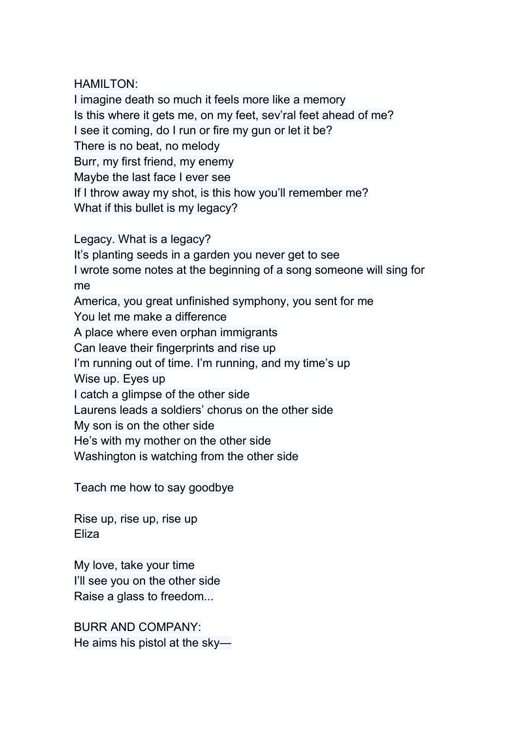### HAMILTON:

I imagine death so much it feels more like a memory Is this where it gets me, on my feet, sev'ral feet ahead of me? I see it coming, do I run or fire my gun or let it be? There is no beat, no melody Burr, my first friend, my enemy Maybe the last face I ever see If I throw away my shot, is this how you'll remember me? What if this bullet is my legacy?

Legacy. What is a legacy? It's planting seeds in a garden you never get to see I wrote some notes at the beginning of a song someone will sing for me America, you great unfinished symphony, you sent for me You let me make a difference A place where even orphan immigrants Can leave their fingerprints and rise up I'm running out of time. I'm running, and my time's up Wise up. Eyes up I catch a glimpse of the other side Laurens leads a soldiers' chorus on the other side My son is on the other side He's with my mother on the other side Washington is watching from the other side

Teach me how to say goodbye

Rise up, rise up, rise up Eliza

My love, take your time I'll see you on the other side Raise a glass to freedom...

BURR AND COMPANY: He aims his pistol at the sky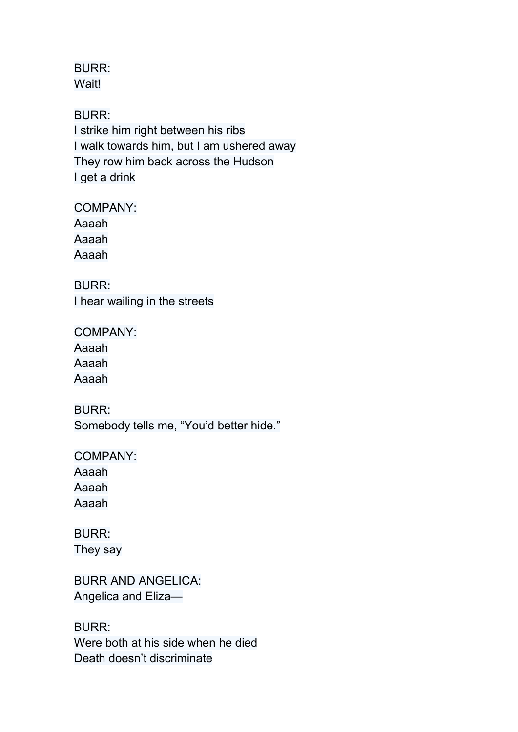BURR: Wait!

### BURR:

I strike him right between his ribs I walk towards him, but I am ushered away They row him back across the Hudson I get a drink

COMPANY:

Aaaah Aaaah

Aaaah

BURR: I hear wailing in the streets

COMPANY: Aaaah Aaaah Aaaah

BURR: Somebody tells me, "You'd better hide."

COMPANY: Aaaah Aaaah Aaaah

BURR: They say

BURR AND ANGELICA: Angelica and Eliza—

BURR: Were both at his side when he died Death doesn't discriminate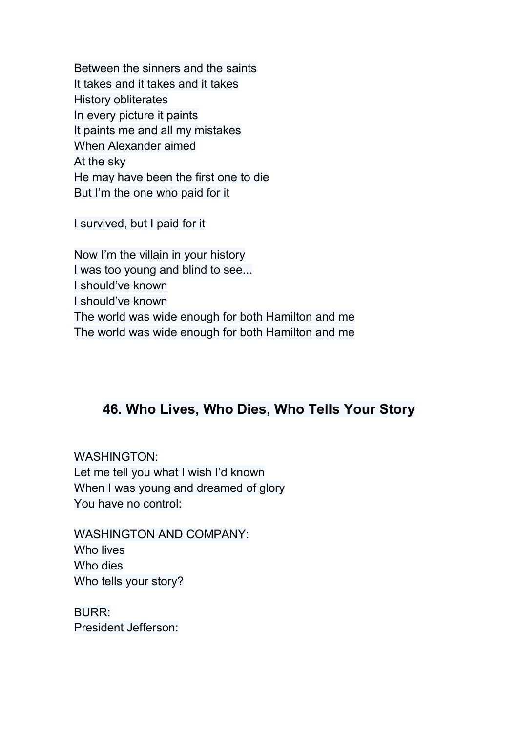Between the sinners and the saints It takes and it takes and it takes History obliterates In every picture it paints It paints me and all my mistakes When Alexander aimed At the sky He may have been the first one to die But I'm the one who paid for it

I survived, but I paid for it

Now I'm the villain in your history I was too young and blind to see... I should've known I should've known The world was wide enough for both Hamilton and me The world was wide enough for both Hamilton and me

## **46. Who Lives, Who Dies, Who Tells Your Story**

WASHINGTON: Let me tell you what I wish I'd known When I was young and dreamed of glory You have no control:

WASHINGTON AND COMPANY: Who lives Who dies Who tells your story?

BURR: President Jefferson: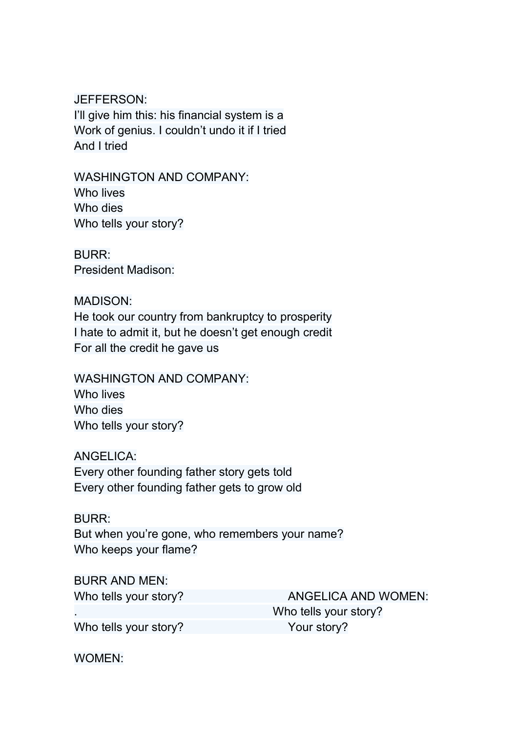JEFFERSON: I'll give him this: his financial system is a Work of genius. I couldn't undo it if I tried And I tried

WASHINGTON AND COMPANY: Who lives Who dies Who tells your story?

BURR: President Madison:

MADISON: He took our country from bankruptcy to prosperity I hate to admit it, but he doesn't get enough credit For all the credit he gave us

WASHINGTON AND COMPANY: Who lives Who dies Who tells your story?

ANGELICA: Every other founding father story gets told Every other founding father gets to grow old

BURR: But when you're gone, who remembers your name? Who keeps your flame?

BURR AND MEN:

Who tells your story? ANGELICA AND WOMEN: . Who tells your story?

Who tells your story? Your story?

WOMEN: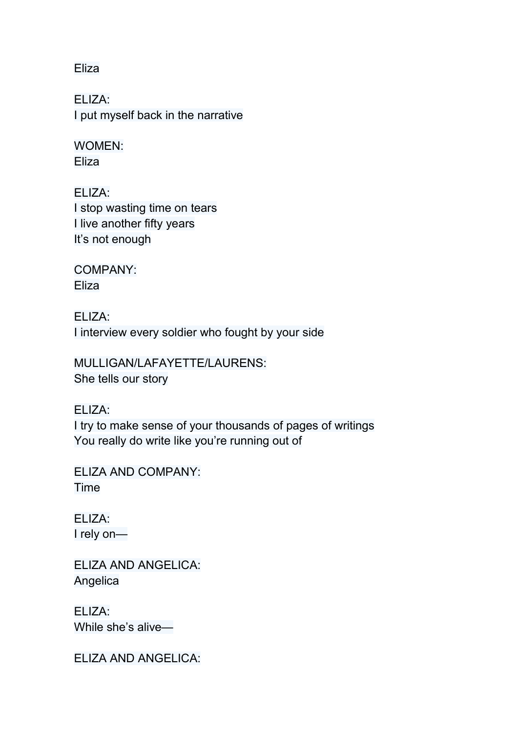Eliza

ELIZA: I put myself back in the narrative

WOMEN: Eliza

 $FI$  IZA: I stop wasting time on tears I live another fifty years It's not enough

COMPANY: Eliza

ELIZA: I interview every soldier who fought by your side

MULLIGAN/LAFAYETTE/LAURENS: She tells our story

ELIZA: I try to make sense of your thousands of pages of writings You really do write like you're running out of

ELIZA AND COMPANY: Time

ELIZA: I rely on—

ELIZA AND ANGELICA: Angelica

ELIZA: While she's alive—

ELIZA AND ANGELICA: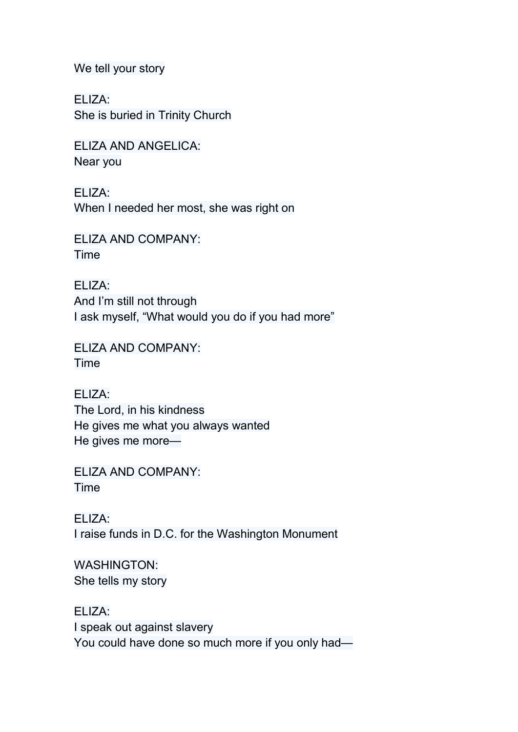We tell your story

ELIZA: She is buried in Trinity Church

ELIZA AND ANGELICA: Near you

ELIZA: When I needed her most, she was right on

ELIZA AND COMPANY: Time

ELIZA: And I'm still not through I ask myself, "What would you do if you had more"

ELIZA AND COMPANY: Time

ELIZA: The Lord, in his kindness He gives me what you always wanted He gives me more—

ELIZA AND COMPANY: Time

ELIZA: I raise funds in D.C. for the Washington Monument

WASHINGTON: She tells my story

ELIZA: I speak out against slavery You could have done so much more if you only had—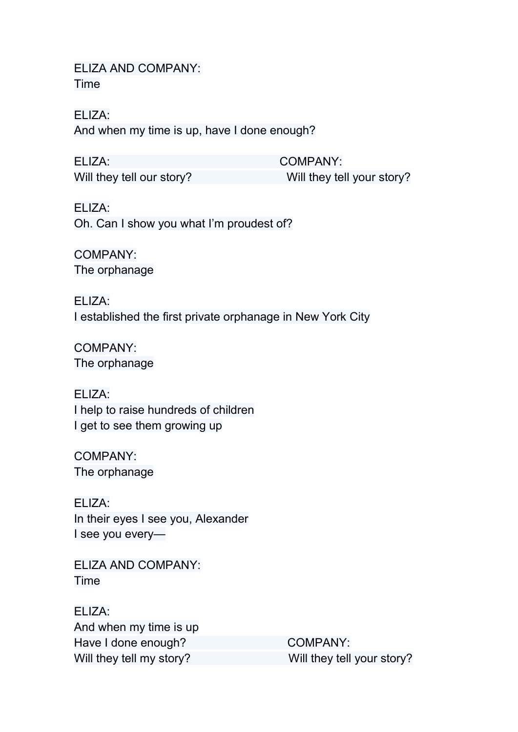ELIZA AND COMPANY: Time

ELIZA: And when my time is up, have I done enough?

ELIZA: COMPANY:

Will they tell our story? Will they tell your story?

ELIZA: Oh. Can I show you what I'm proudest of?

COMPANY: The orphanage

 $FI$  IZA: I established the first private orphanage in New York City

COMPANY: The orphanage

ELIZA: I help to raise hundreds of children I get to see them growing up

COMPANY: The orphanage

ELIZA: In their eyes I see you, Alexander I see you every—

ELIZA AND COMPANY: Time

ELIZA: And when my time is up Have I done enough? COMPANY:

Will they tell my story? Will they tell your story?